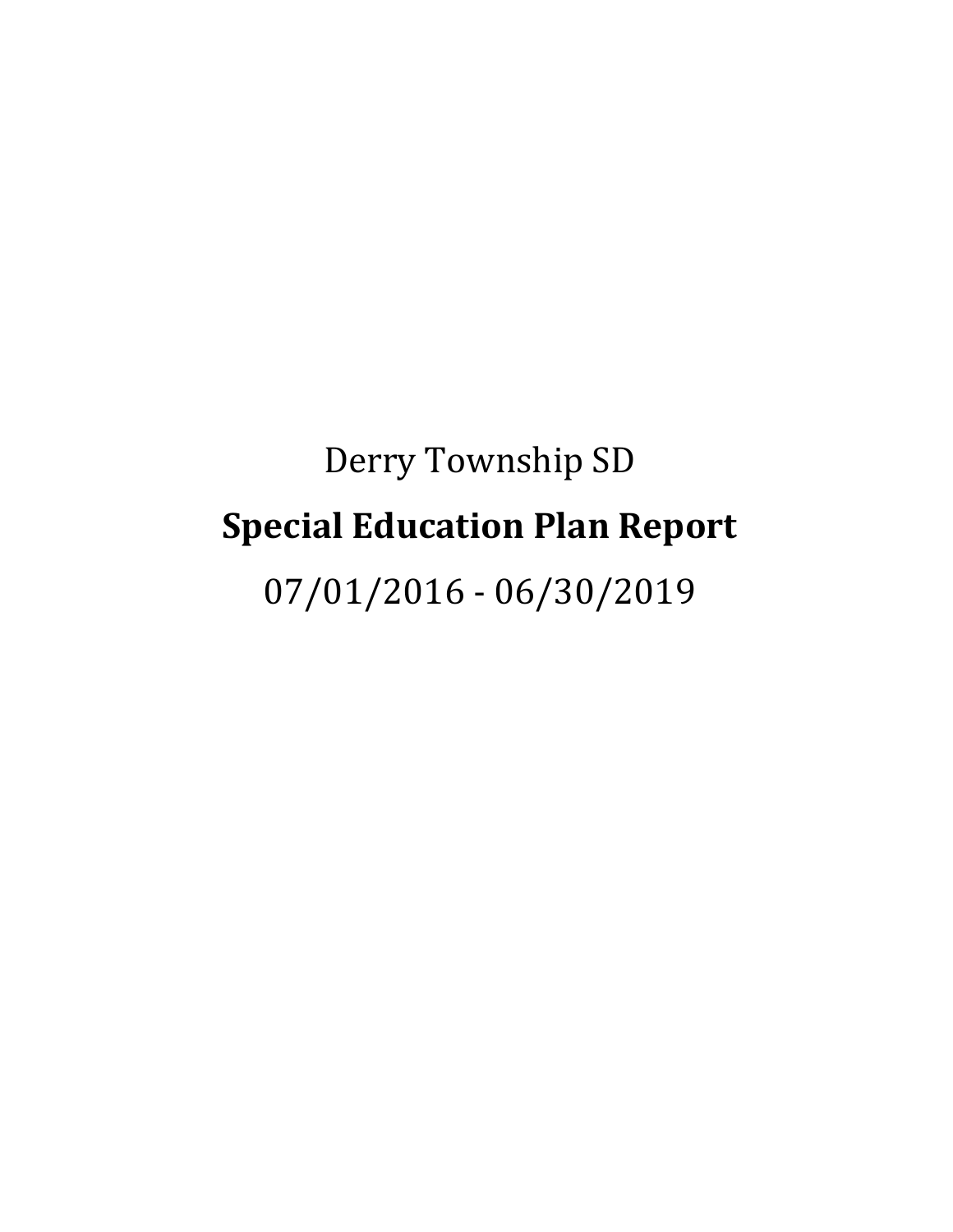# Derry Township SD **Special Education Plan Report** 07/01/2016 - 06/30/2019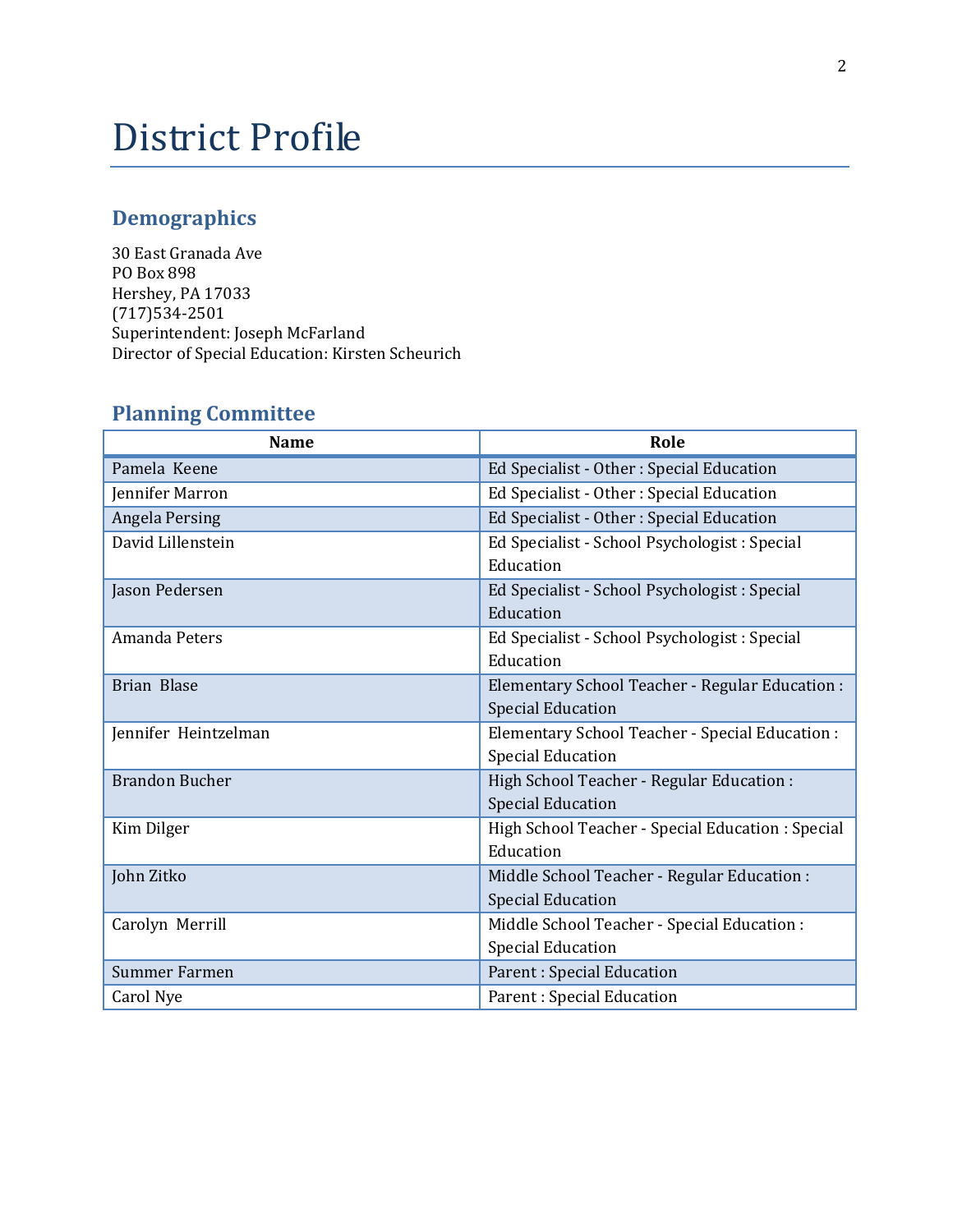# District Profile

# **Demographics**

30 East Granada Ave PO Box 898 Hershey, PA 17033 (717)534-2501 Superintendent: Joseph McFarland Director of Special Education: Kirsten Scheurich

| <b>Name</b>           | Role                                              |
|-----------------------|---------------------------------------------------|
| Pamela Keene          | Ed Specialist - Other : Special Education         |
| Jennifer Marron       | Ed Specialist - Other : Special Education         |
| Angela Persing        | Ed Specialist - Other : Special Education         |
| David Lillenstein     | Ed Specialist - School Psychologist : Special     |
|                       | Education                                         |
| Jason Pedersen        | Ed Specialist - School Psychologist : Special     |
|                       | Education                                         |
| Amanda Peters         | Ed Specialist - School Psychologist : Special     |
|                       | Education                                         |
| <b>Brian Blase</b>    | Elementary School Teacher - Regular Education :   |
|                       | <b>Special Education</b>                          |
| Jennifer Heintzelman  | Elementary School Teacher - Special Education :   |
|                       | <b>Special Education</b>                          |
| <b>Brandon Bucher</b> | High School Teacher - Regular Education :         |
|                       | <b>Special Education</b>                          |
| Kim Dilger            | High School Teacher - Special Education : Special |
|                       | Education                                         |
| John Zitko            | Middle School Teacher - Regular Education :       |
|                       | <b>Special Education</b>                          |
| Carolyn Merrill       | Middle School Teacher - Special Education :       |
|                       | <b>Special Education</b>                          |
| <b>Summer Farmen</b>  | Parent : Special Education                        |
| Carol Nye             | Parent: Special Education                         |

# **Planning Committee**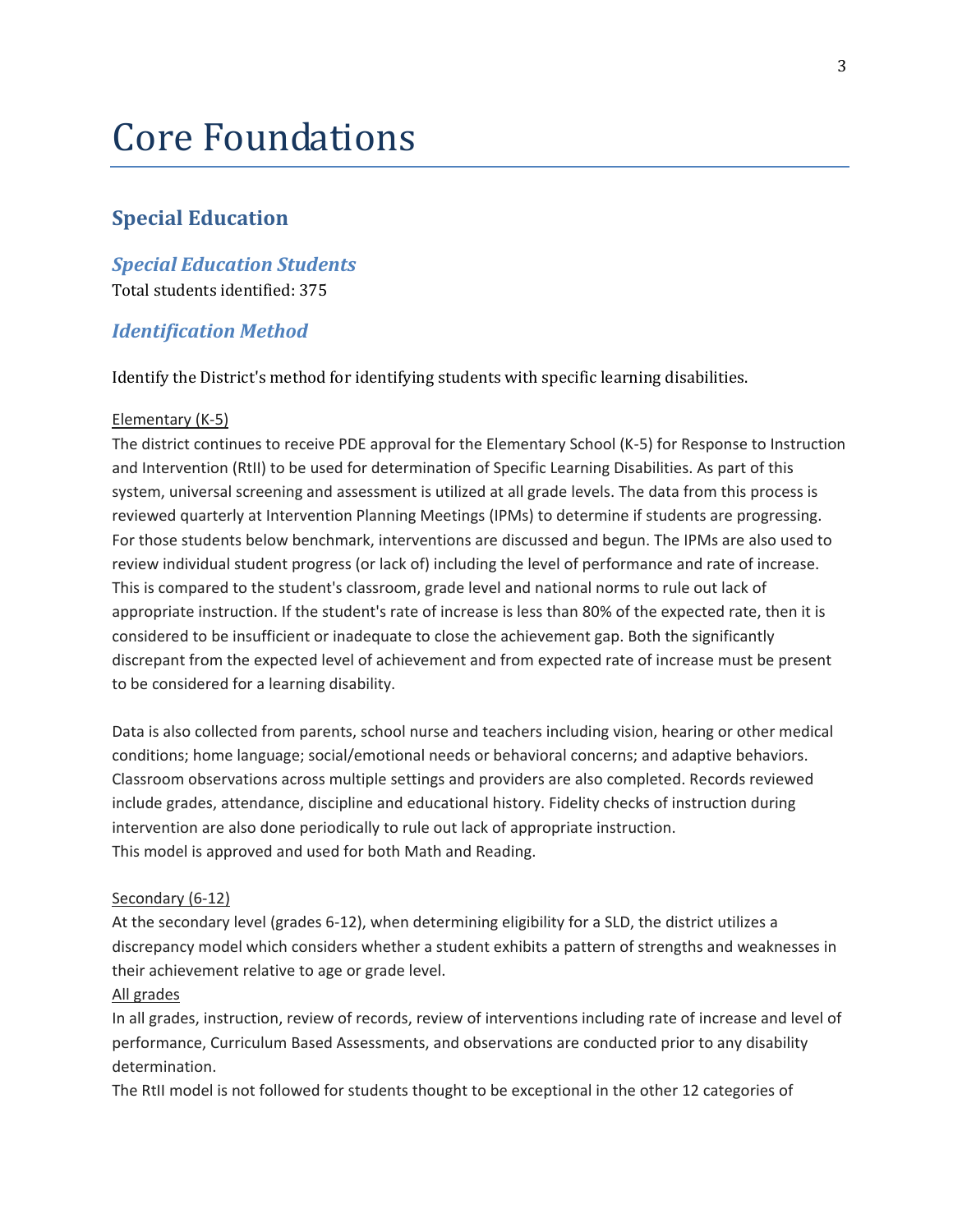# Core Foundations

# **Special Education**

# *Special Education Students*

Total students identified: 375

# *Identification Method*

Identify the District's method for identifying students with specific learning disabilities.

#### Elementary (K-5)

The district continues to receive PDE approval for the Elementary School (K-5) for Response to Instruction and Intervention (RtII) to be used for determination of Specific Learning Disabilities. As part of this system, universal screening and assessment is utilized at all grade levels. The data from this process is reviewed quarterly at Intervention Planning Meetings (IPMs) to determine if students are progressing. For those students below benchmark, interventions are discussed and begun. The IPMs are also used to review individual student progress (or lack of) including the level of performance and rate of increase. This is compared to the student's classroom, grade level and national norms to rule out lack of appropriate instruction. If the student's rate of increase is less than 80% of the expected rate, then it is considered to be insufficient or inadequate to close the achievement gap. Both the significantly discrepant from the expected level of achievement and from expected rate of increase must be present to be considered for a learning disability.

Data is also collected from parents, school nurse and teachers including vision, hearing or other medical conditions; home language; social/emotional needs or behavioral concerns; and adaptive behaviors. Classroom observations across multiple settings and providers are also completed. Records reviewed include grades, attendance, discipline and educational history. Fidelity checks of instruction during intervention are also done periodically to rule out lack of appropriate instruction. This model is approved and used for both Math and Reading.

#### Secondary (6-12)

At the secondary level (grades 6-12), when determining eligibility for a SLD, the district utilizes a discrepancy model which considers whether a student exhibits a pattern of strengths and weaknesses in their achievement relative to age or grade level.

### All grades

In all grades, instruction, review of records, review of interventions including rate of increase and level of performance, Curriculum Based Assessments, and observations are conducted prior to any disability determination.

The RtII model is not followed for students thought to be exceptional in the other 12 categories of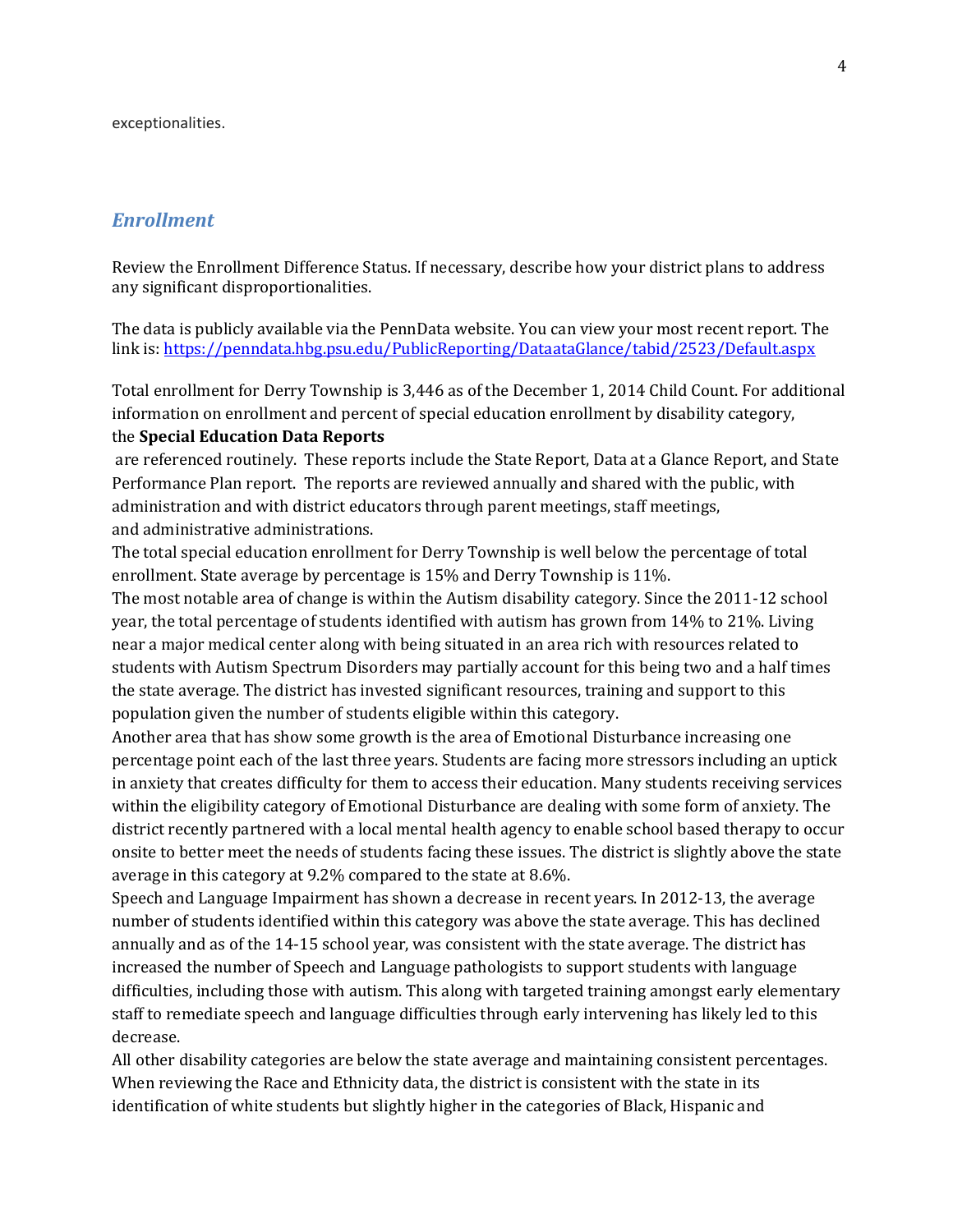exceptionalities.

## *Enrollment*

Review the Enrollment Difference Status. If necessary, describe how your district plans to address any significant disproportionalities.

The data is publicly available via the PennData website. You can view your most recent report. The link is[: https://penndata.hbg.psu.edu/PublicReporting/DataataGlance/tabid/2523/Default.aspx](https://penndata.hbg.psu.edu/PublicReporting/DataataGlance/tabid/2523/Default.aspx)

Total enrollment for Derry Township is 3,446 as of the December 1, 2014 Child Count. For additional information on enrollment and percent of special education enrollment by disability category, the **Special Education Data Reports**

are referenced routinely. These reports include the State Report, Data at a Glance Report, and State Performance Plan report. The reports are reviewed annually and shared with the public, with administration and with district educators through parent meetings, staff meetings, and administrative administrations.

The total special education enrollment for Derry Township is well below the percentage of total enrollment. State average by percentage is 15% and Derry Township is 11%.

The most notable area of change is within the Autism disability category. Since the 2011-12 school year, the total percentage of students identified with autism has grown from 14% to 21%. Living near a major medical center along with being situated in an area rich with resources related to students with Autism Spectrum Disorders may partially account for this being two and a half times the state average. The district has invested significant resources, training and support to this population given the number of students eligible within this category.

Another area that has show some growth is the area of Emotional Disturbance increasing one percentage point each of the last three years. Students are facing more stressors including an uptick in anxiety that creates difficulty for them to access their education. Many students receiving services within the eligibility category of Emotional Disturbance are dealing with some form of anxiety. The district recently partnered with a local mental health agency to enable school based therapy to occur onsite to better meet the needs of students facing these issues. The district is slightly above the state average in this category at 9.2% compared to the state at 8.6%.

Speech and Language Impairment has shown a decrease in recent years. In 2012-13, the average number of students identified within this category was above the state average. This has declined annually and as of the 14-15 school year, was consistent with the state average. The district has increased the number of Speech and Language pathologists to support students with language difficulties, including those with autism. This along with targeted training amongst early elementary staff to remediate speech and language difficulties through early intervening has likely led to this decrease.

All other disability categories are below the state average and maintaining consistent percentages. When reviewing the Race and Ethnicity data, the district is consistent with the state in its identification of white students but slightly higher in the categories of Black, Hispanic and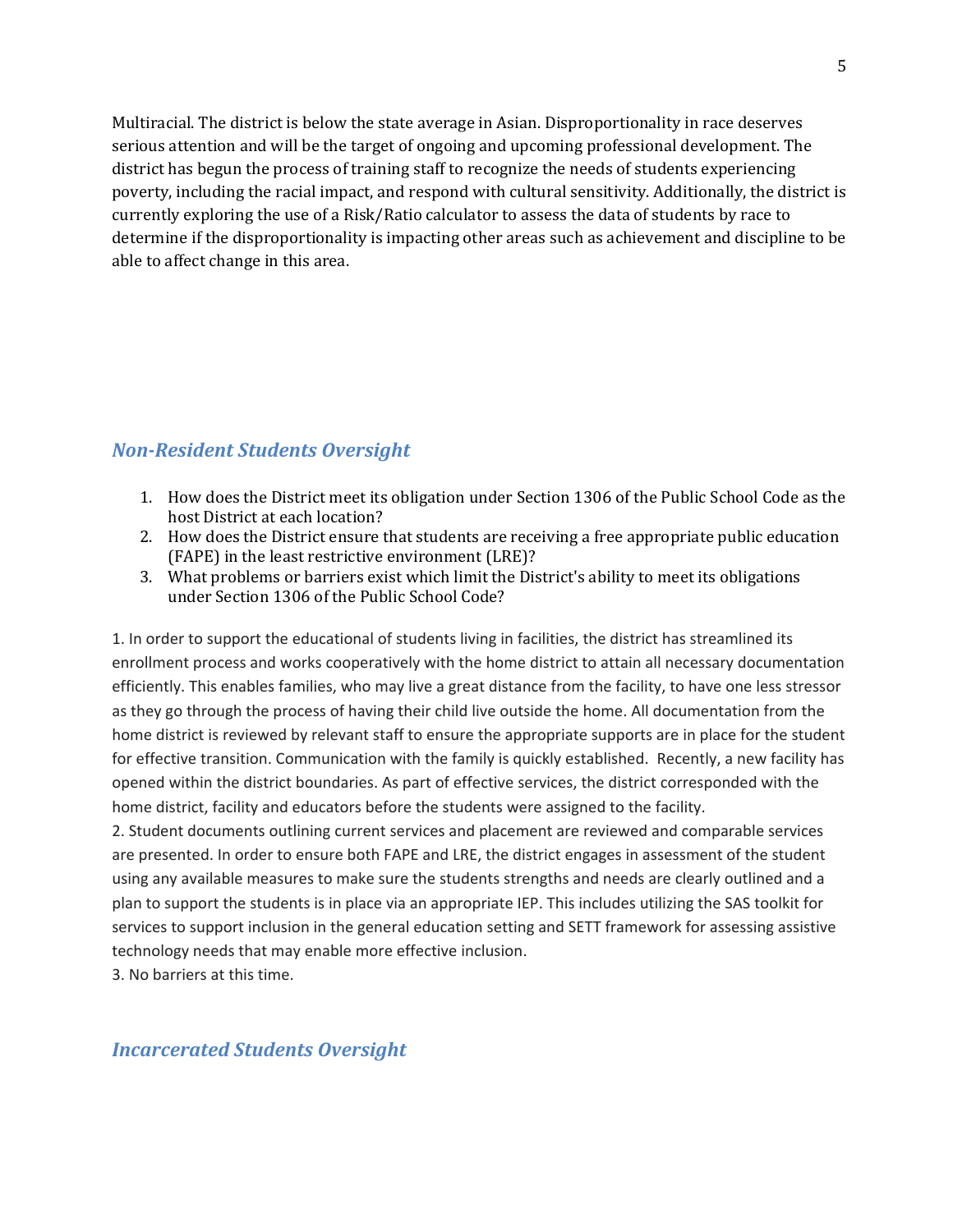Multiracial. The district is below the state average in Asian. Disproportionality in race deserves serious attention and will be the target of ongoing and upcoming professional development. The district has begun the process of training staff to recognize the needs of students experiencing poverty, including the racial impact, and respond with cultural sensitivity. Additionally, the district is currently exploring the use of a Risk/Ratio calculator to assess the data of students by race to determine if the disproportionality is impacting other areas such as achievement and discipline to be able to affect change in this area.

# *Non-Resident Students Oversight*

- 1. How does the District meet its obligation under Section 1306 of the Public School Code as the host District at each location?
- 2. How does the District ensure that students are receiving a free appropriate public education (FAPE) in the least restrictive environment (LRE)?
- 3. What problems or barriers exist which limit the District's ability to meet its obligations under Section 1306 of the Public School Code?

1. In order to support the educational of students living in facilities, the district has streamlined its enrollment process and works cooperatively with the home district to attain all necessary documentation efficiently. This enables families, who may live a great distance from the facility, to have one less stressor as they go through the process of having their child live outside the home. All documentation from the home district is reviewed by relevant staff to ensure the appropriate supports are in place for the student for effective transition. Communication with the family is quickly established. Recently, a new facility has opened within the district boundaries. As part of effective services, the district corresponded with the home district, facility and educators before the students were assigned to the facility.

2. Student documents outlining current services and placement are reviewed and comparable services are presented. In order to ensure both FAPE and LRE, the district engages in assessment of the student using any available measures to make sure the students strengths and needs are clearly outlined and a plan to support the students is in place via an appropriate IEP. This includes utilizing the SAS toolkit for services to support inclusion in the general education setting and SETT framework for assessing assistive technology needs that may enable more effective inclusion.

3. No barriers at this time.

# *Incarcerated Students Oversight*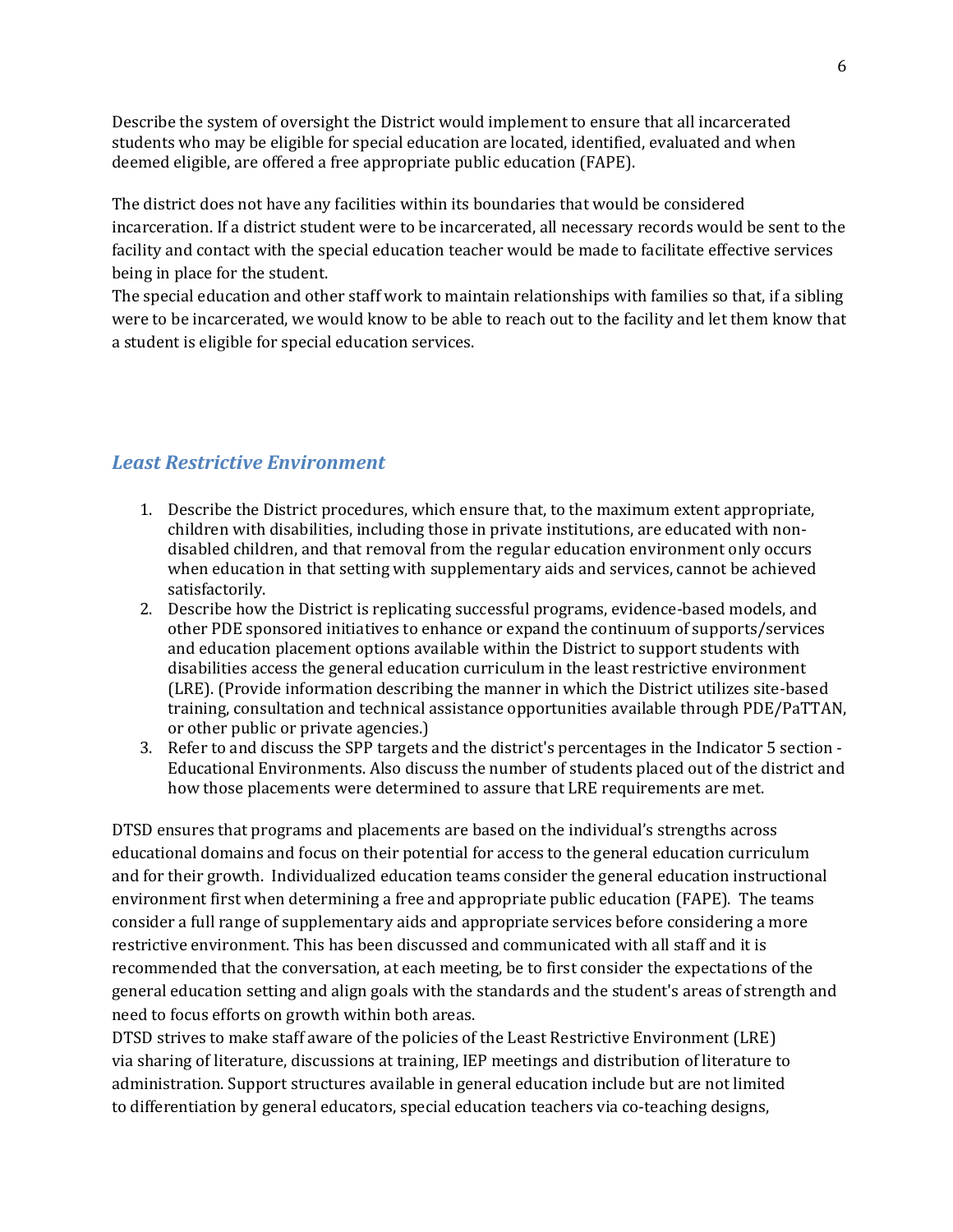Describe the system of oversight the District would implement to ensure that all incarcerated students who may be eligible for special education are located, identified, evaluated and when deemed eligible, are offered a free appropriate public education (FAPE).

The district does not have any facilities within its boundaries that would be considered incarceration. If a district student were to be incarcerated, all necessary records would be sent to the facility and contact with the special education teacher would be made to facilitate effective services being in place for the student.

The special education and other staff work to maintain relationships with families so that, if a sibling were to be incarcerated, we would know to be able to reach out to the facility and let them know that a student is eligible for special education services.

# *Least Restrictive Environment*

- 1. Describe the District procedures, which ensure that, to the maximum extent appropriate, children with disabilities, including those in private institutions, are educated with nondisabled children, and that removal from the regular education environment only occurs when education in that setting with supplementary aids and services, cannot be achieved satisfactorily.
- 2. Describe how the District is replicating successful programs, evidence-based models, and other PDE sponsored initiatives to enhance or expand the continuum of supports/services and education placement options available within the District to support students with disabilities access the general education curriculum in the least restrictive environment (LRE). (Provide information describing the manner in which the District utilizes site-based training, consultation and technical assistance opportunities available through PDE/PaTTAN, or other public or private agencies.)
- 3. Refer to and discuss the SPP targets and the district's percentages in the Indicator 5 section Educational Environments. Also discuss the number of students placed out of the district and how those placements were determined to assure that LRE requirements are met.

DTSD ensures that programs and placements are based on the individual's strengths across educational domains and focus on their potential for access to the general education curriculum and for their growth. Individualized education teams consider the general education instructional environment first when determining a free and appropriate public education (FAPE). The teams consider a full range of supplementary aids and appropriate services before considering a more restrictive environment. This has been discussed and communicated with all staff and it is recommended that the conversation, at each meeting, be to first consider the expectations of the general education setting and align goals with the standards and the student's areas of strength and need to focus efforts on growth within both areas.

DTSD strives to make staff aware of the policies of the Least Restrictive Environment (LRE) via sharing of literature, discussions at training, IEP meetings and distribution of literature to administration. Support structures available in general education include but are not limited to differentiation by general educators, special education teachers via co-teaching designs,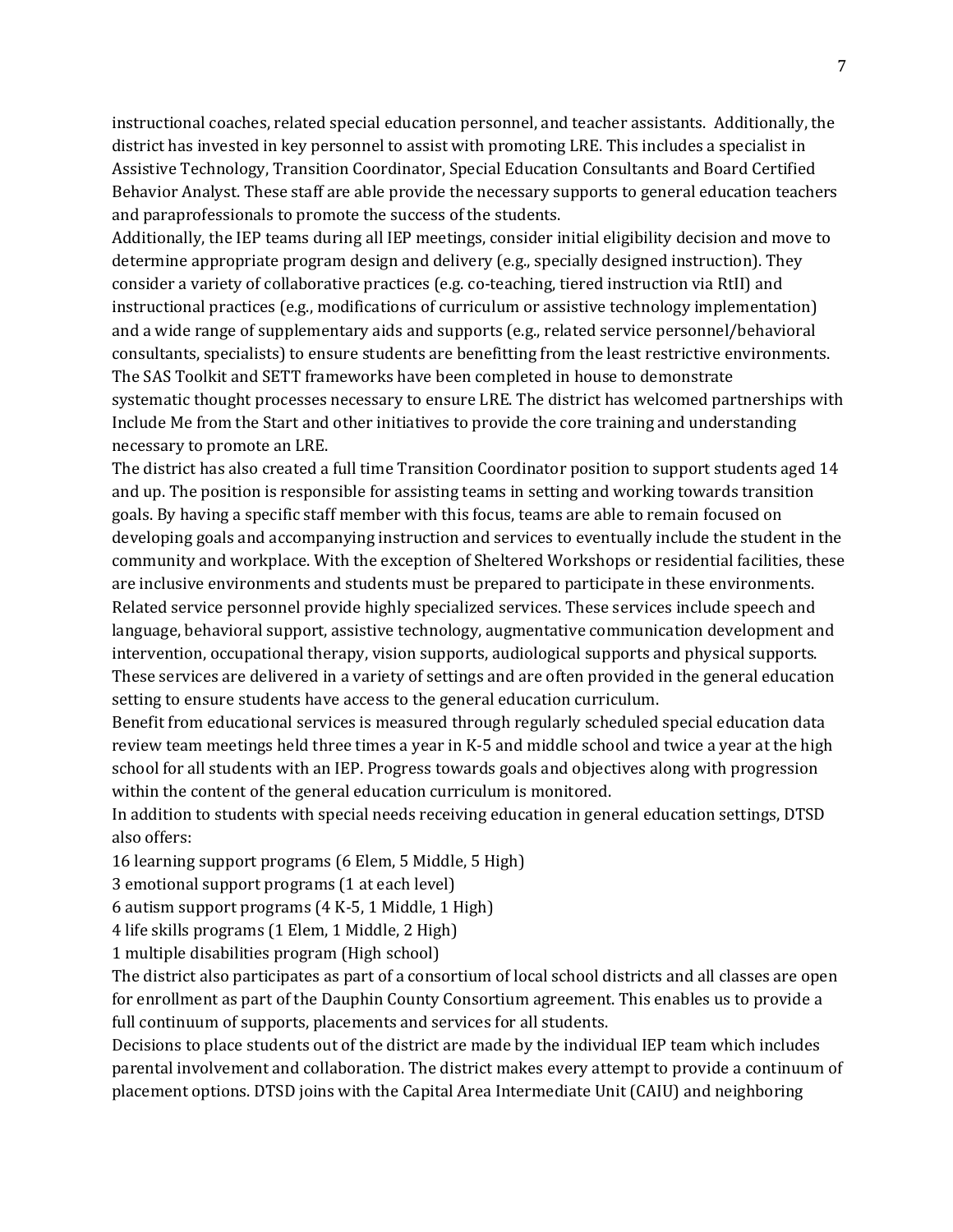instructional coaches, related special education personnel, and teacher assistants. Additionally, the district has invested in key personnel to assist with promoting LRE. This includes a specialist in Assistive Technology, Transition Coordinator, Special Education Consultants and Board Certified Behavior Analyst. These staff are able provide the necessary supports to general education teachers and paraprofessionals to promote the success of the students.

Additionally, the IEP teams during all IEP meetings, consider initial eligibility decision and move to determine appropriate program design and delivery (e.g., specially designed instruction). They consider a variety of collaborative practices (e.g. co-teaching, tiered instruction via RtII) and instructional practices (e.g., modifications of curriculum or assistive technology implementation) and a wide range of supplementary aids and supports (e.g., related service personnel/behavioral consultants, specialists) to ensure students are benefitting from the least restrictive environments. The SAS Toolkit and SETT frameworks have been completed in house to demonstrate systematic thought processes necessary to ensure LRE. The district has welcomed partnerships with Include Me from the Start and other initiatives to provide the core training and understanding necessary to promote an LRE.

The district has also created a full time Transition Coordinator position to support students aged 14 and up. The position is responsible for assisting teams in setting and working towards transition goals. By having a specific staff member with this focus, teams are able to remain focused on developing goals and accompanying instruction and services to eventually include the student in the community and workplace. With the exception of Sheltered Workshops or residential facilities, these are inclusive environments and students must be prepared to participate in these environments. Related service personnel provide highly specialized services. These services include speech and language, behavioral support, assistive technology, augmentative communication development and intervention, occupational therapy, vision supports, audiological supports and physical supports. These services are delivered in a variety of settings and are often provided in the general education setting to ensure students have access to the general education curriculum.

Benefit from educational services is measured through regularly scheduled special education data review team meetings held three times a year in K-5 and middle school and twice a year at the high school for all students with an IEP. Progress towards goals and objectives along with progression within the content of the general education curriculum is monitored.

In addition to students with special needs receiving education in general education settings, DTSD also offers:

16 learning support programs (6 Elem, 5 Middle, 5 High)

3 emotional support programs (1 at each level)

6 autism support programs (4 K-5, 1 Middle, 1 High)

4 life skills programs (1 Elem, 1 Middle, 2 High)

1 multiple disabilities program (High school)

The district also participates as part of a consortium of local school districts and all classes are open for enrollment as part of the Dauphin County Consortium agreement. This enables us to provide a full continuum of supports, placements and services for all students.

Decisions to place students out of the district are made by the individual IEP team which includes parental involvement and collaboration. The district makes every attempt to provide a continuum of placement options. DTSD joins with the Capital Area Intermediate Unit (CAIU) and neighboring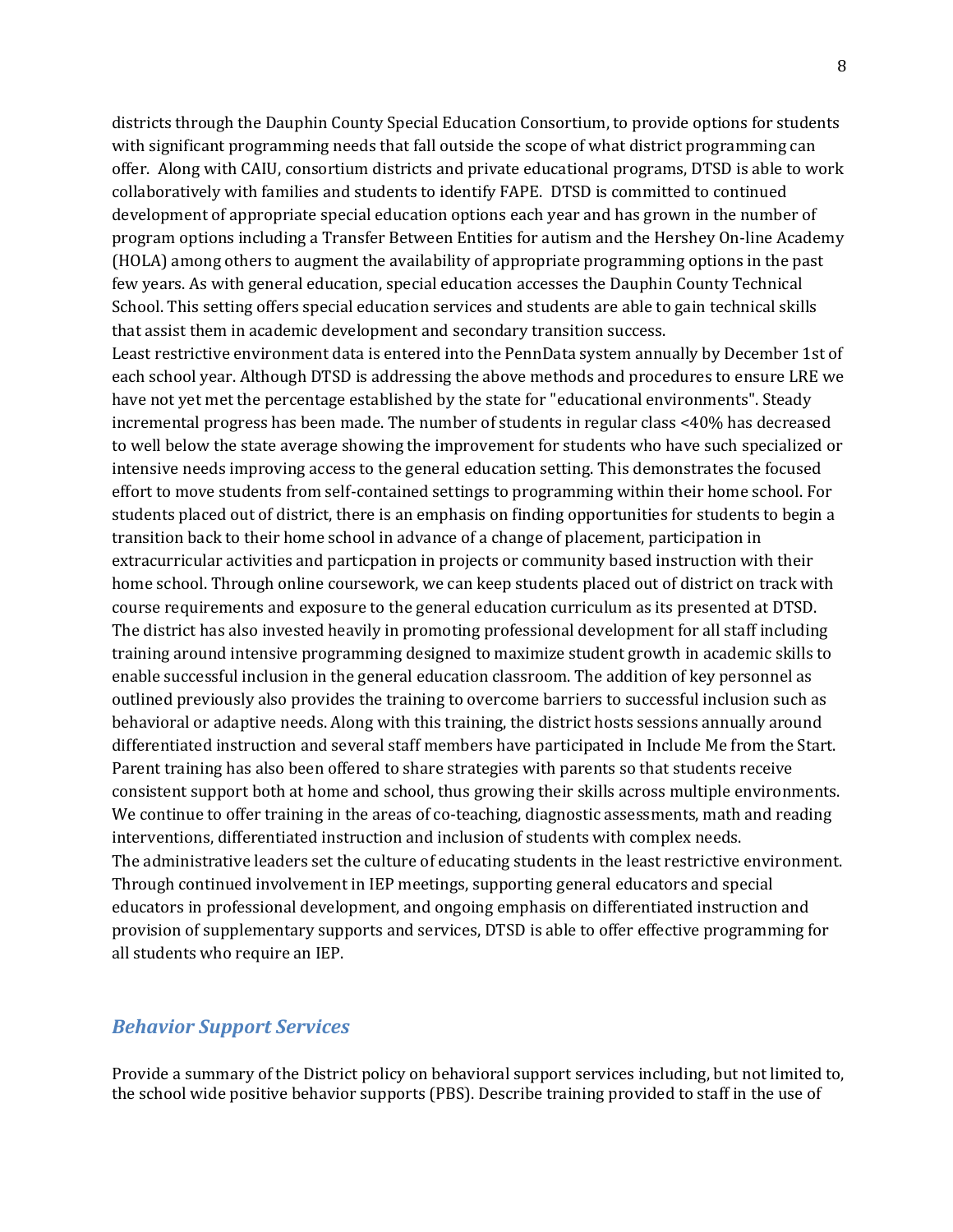districts through the Dauphin County Special Education Consortium, to provide options for students with significant programming needs that fall outside the scope of what district programming can offer. Along with CAIU, consortium districts and private educational programs, DTSD is able to work collaboratively with families and students to identify FAPE. DTSD is committed to continued development of appropriate special education options each year and has grown in the number of program options including a Transfer Between Entities for autism and the Hershey On-line Academy (HOLA) among others to augment the availability of appropriate programming options in the past few years. As with general education, special education accesses the Dauphin County Technical School. This setting offers special education services and students are able to gain technical skills that assist them in academic development and secondary transition success.

Least restrictive environment data is entered into the PennData system annually by December 1st of each school year. Although DTSD is addressing the above methods and procedures to ensure LRE we have not yet met the percentage established by the state for "educational environments". Steady incremental progress has been made. The number of students in regular class <40% has decreased to well below the state average showing the improvement for students who have such specialized or intensive needs improving access to the general education setting. This demonstrates the focused effort to move students from self-contained settings to programming within their home school. For students placed out of district, there is an emphasis on finding opportunities for students to begin a transition back to their home school in advance of a change of placement, participation in extracurricular activities and particpation in projects or community based instruction with their home school. Through online coursework, we can keep students placed out of district on track with course requirements and exposure to the general education curriculum as its presented at DTSD. The district has also invested heavily in promoting professional development for all staff including training around intensive programming designed to maximize student growth in academic skills to enable successful inclusion in the general education classroom. The addition of key personnel as outlined previously also provides the training to overcome barriers to successful inclusion such as behavioral or adaptive needs. Along with this training, the district hosts sessions annually around differentiated instruction and several staff members have participated in Include Me from the Start. Parent training has also been offered to share strategies with parents so that students receive consistent support both at home and school, thus growing their skills across multiple environments. We continue to offer training in the areas of co-teaching, diagnostic assessments, math and reading interventions, differentiated instruction and inclusion of students with complex needs. The administrative leaders set the culture of educating students in the least restrictive environment. Through continued involvement in IEP meetings, supporting general educators and special educators in professional development, and ongoing emphasis on differentiated instruction and provision of supplementary supports and services, DTSD is able to offer effective programming for all students who require an IEP.

#### *Behavior Support Services*

Provide a summary of the District policy on behavioral support services including, but not limited to, the school wide positive behavior supports (PBS). Describe training provided to staff in the use of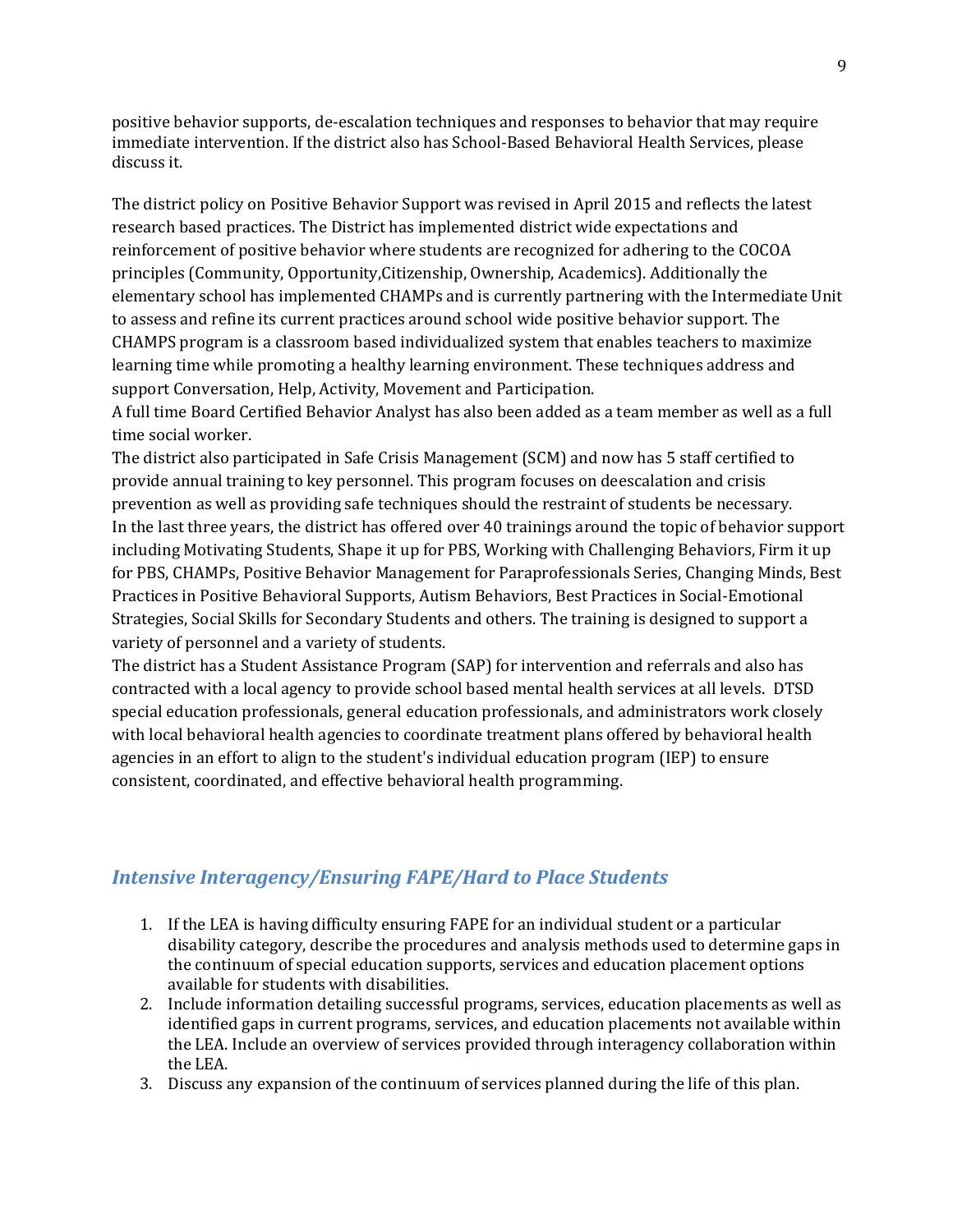positive behavior supports, de-escalation techniques and responses to behavior that may require immediate intervention. If the district also has School-Based Behavioral Health Services, please discuss it.

The district policy on Positive Behavior Support was revised in April 2015 and reflects the latest research based practices. The District has implemented district wide expectations and reinforcement of positive behavior where students are recognized for adhering to the COCOA principles (Community, Opportunity,Citizenship, Ownership, Academics). Additionally the elementary school has implemented CHAMPs and is currently partnering with the Intermediate Unit to assess and refine its current practices around school wide positive behavior support. The CHAMPS program is a classroom based individualized system that enables teachers to maximize learning time while promoting a healthy learning environment. These techniques address and support Conversation, Help, Activity, Movement and Participation.

A full time Board Certified Behavior Analyst has also been added as a team member as well as a full time social worker.

The district also participated in Safe Crisis Management (SCM) and now has 5 staff certified to provide annual training to key personnel. This program focuses on deescalation and crisis prevention as well as providing safe techniques should the restraint of students be necessary. In the last three years, the district has offered over 40 trainings around the topic of behavior support including Motivating Students, Shape it up for PBS, Working with Challenging Behaviors, Firm it up for PBS, CHAMPs, Positive Behavior Management for Paraprofessionals Series, Changing Minds, Best Practices in Positive Behavioral Supports, Autism Behaviors, Best Practices in Social-Emotional Strategies, Social Skills for Secondary Students and others. The training is designed to support a variety of personnel and a variety of students.

The district has a Student Assistance Program (SAP) for intervention and referrals and also has contracted with a local agency to provide school based mental health services at all levels. DTSD special education professionals, general education professionals, and administrators work closely with local behavioral health agencies to coordinate treatment plans offered by behavioral health agencies in an effort to align to the student's individual education program (IEP) to ensure consistent, coordinated, and effective behavioral health programming.

# *Intensive Interagency/Ensuring FAPE/Hard to Place Students*

- 1. If the LEA is having difficulty ensuring FAPE for an individual student or a particular disability category, describe the procedures and analysis methods used to determine gaps in the continuum of special education supports, services and education placement options available for students with disabilities.
- 2. Include information detailing successful programs, services, education placements as well as identified gaps in current programs, services, and education placements not available within the LEA. Include an overview of services provided through interagency collaboration within the LEA.
- 3. Discuss any expansion of the continuum of services planned during the life of this plan.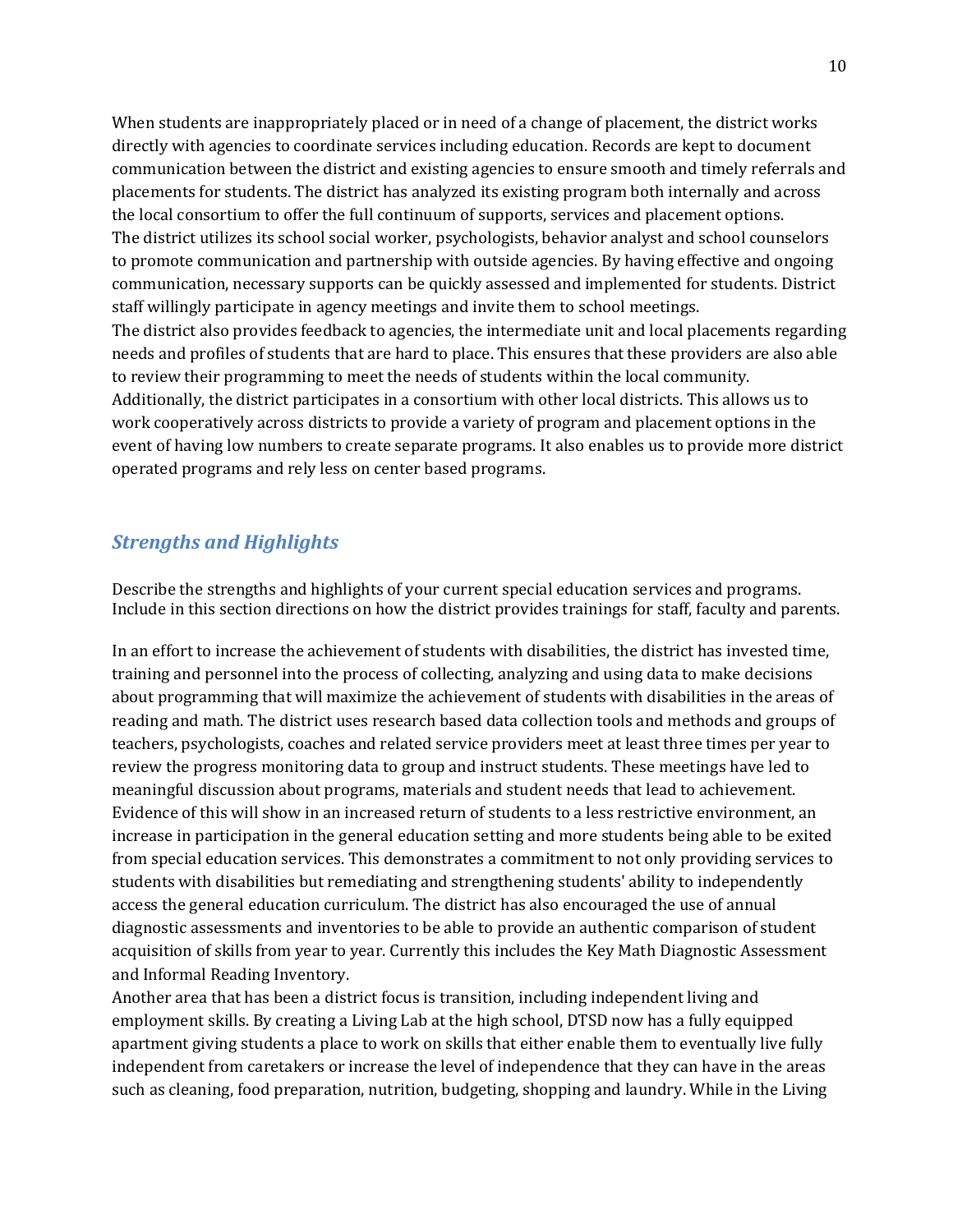When students are inappropriately placed or in need of a change of placement, the district works directly with agencies to coordinate services including education. Records are kept to document communication between the district and existing agencies to ensure smooth and timely referrals and placements for students. The district has analyzed its existing program both internally and across the local consortium to offer the full continuum of supports, services and placement options. The district utilizes its school social worker, psychologists, behavior analyst and school counselors to promote communication and partnership with outside agencies. By having effective and ongoing communication, necessary supports can be quickly assessed and implemented for students. District staff willingly participate in agency meetings and invite them to school meetings. The district also provides feedback to agencies, the intermediate unit and local placements regarding needs and profiles of students that are hard to place. This ensures that these providers are also able to review their programming to meet the needs of students within the local community. Additionally, the district participates in a consortium with other local districts. This allows us to work cooperatively across districts to provide a variety of program and placement options in the event of having low numbers to create separate programs. It also enables us to provide more district operated programs and rely less on center based programs.

# *Strengths and Highlights*

Describe the strengths and highlights of your current special education services and programs. Include in this section directions on how the district provides trainings for staff, faculty and parents.

In an effort to increase the achievement of students with disabilities, the district has invested time, training and personnel into the process of collecting, analyzing and using data to make decisions about programming that will maximize the achievement of students with disabilities in the areas of reading and math. The district uses research based data collection tools and methods and groups of teachers, psychologists, coaches and related service providers meet at least three times per year to review the progress monitoring data to group and instruct students. These meetings have led to meaningful discussion about programs, materials and student needs that lead to achievement. Evidence of this will show in an increased return of students to a less restrictive environment, an increase in participation in the general education setting and more students being able to be exited from special education services. This demonstrates a commitment to not only providing services to students with disabilities but remediating and strengthening students' ability to independently access the general education curriculum. The district has also encouraged the use of annual diagnostic assessments and inventories to be able to provide an authentic comparison of student acquisition of skills from year to year. Currently this includes the Key Math Diagnostic Assessment and Informal Reading Inventory.

Another area that has been a district focus is transition, including independent living and employment skills. By creating a Living Lab at the high school, DTSD now has a fully equipped apartment giving students a place to work on skills that either enable them to eventually live fully independent from caretakers or increase the level of independence that they can have in the areas such as cleaning, food preparation, nutrition, budgeting, shopping and laundry. While in the Living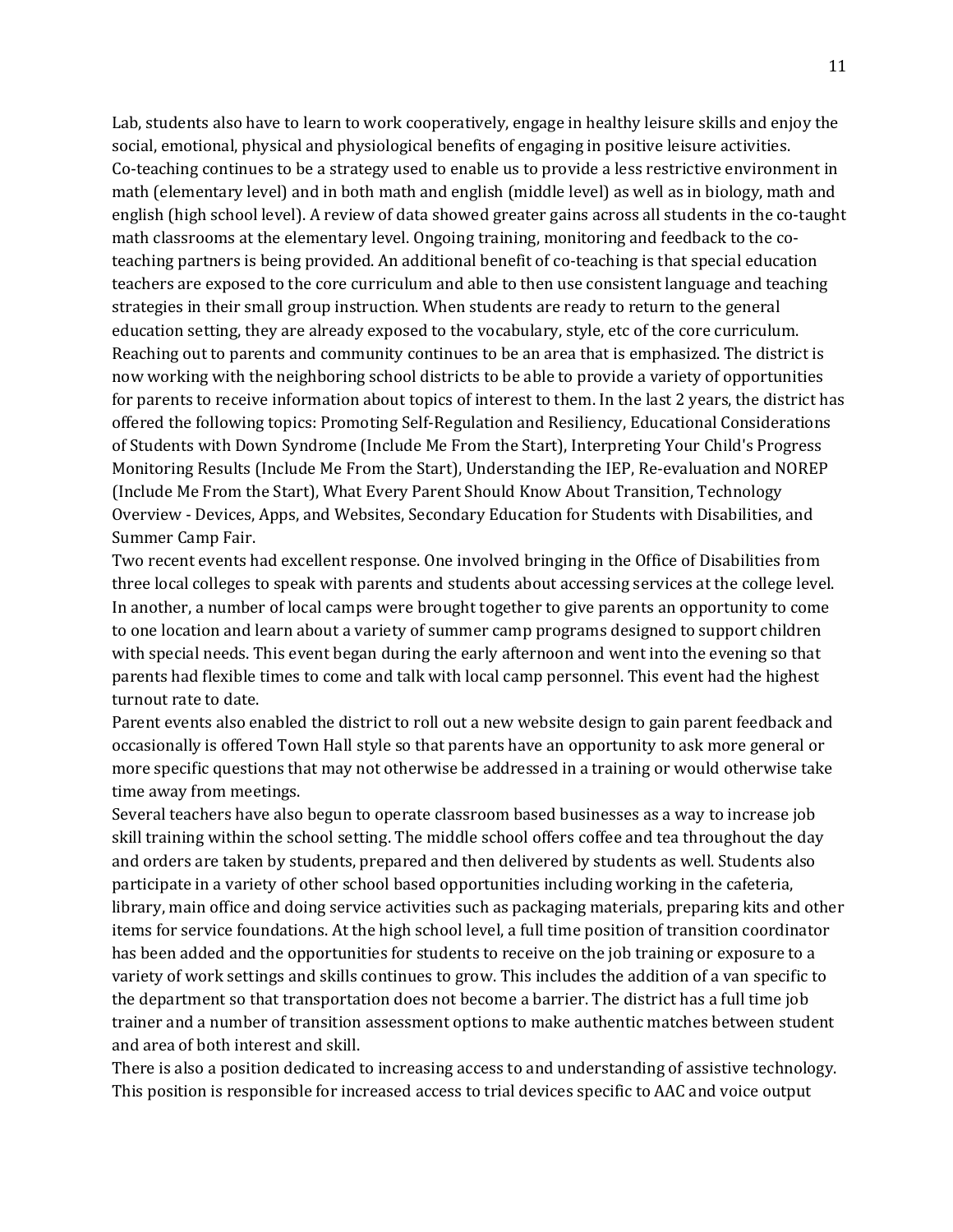Lab, students also have to learn to work cooperatively, engage in healthy leisure skills and enjoy the social, emotional, physical and physiological benefits of engaging in positive leisure activities. Co-teaching continues to be a strategy used to enable us to provide a less restrictive environment in math (elementary level) and in both math and english (middle level) as well as in biology, math and english (high school level). A review of data showed greater gains across all students in the co-taught math classrooms at the elementary level. Ongoing training, monitoring and feedback to the coteaching partners is being provided. An additional benefit of co-teaching is that special education teachers are exposed to the core curriculum and able to then use consistent language and teaching strategies in their small group instruction. When students are ready to return to the general education setting, they are already exposed to the vocabulary, style, etc of the core curriculum. Reaching out to parents and community continues to be an area that is emphasized. The district is now working with the neighboring school districts to be able to provide a variety of opportunities for parents to receive information about topics of interest to them. In the last 2 years, the district has offered the following topics: Promoting Self-Regulation and Resiliency, Educational Considerations of Students with Down Syndrome (Include Me From the Start), Interpreting Your Child's Progress Monitoring Results (Include Me From the Start), Understanding the IEP, Re-evaluation and NOREP (Include Me From the Start), What Every Parent Should Know About Transition, Technology Overview - Devices, Apps, and Websites, Secondary Education for Students with Disabilities, and Summer Camp Fair.

Two recent events had excellent response. One involved bringing in the Office of Disabilities from three local colleges to speak with parents and students about accessing services at the college level. In another, a number of local camps were brought together to give parents an opportunity to come to one location and learn about a variety of summer camp programs designed to support children with special needs. This event began during the early afternoon and went into the evening so that parents had flexible times to come and talk with local camp personnel. This event had the highest turnout rate to date.

Parent events also enabled the district to roll out a new website design to gain parent feedback and occasionally is offered Town Hall style so that parents have an opportunity to ask more general or more specific questions that may not otherwise be addressed in a training or would otherwise take time away from meetings.

Several teachers have also begun to operate classroom based businesses as a way to increase job skill training within the school setting. The middle school offers coffee and tea throughout the day and orders are taken by students, prepared and then delivered by students as well. Students also participate in a variety of other school based opportunities including working in the cafeteria, library, main office and doing service activities such as packaging materials, preparing kits and other items for service foundations. At the high school level, a full time position of transition coordinator has been added and the opportunities for students to receive on the job training or exposure to a variety of work settings and skills continues to grow. This includes the addition of a van specific to the department so that transportation does not become a barrier. The district has a full time job trainer and a number of transition assessment options to make authentic matches between student and area of both interest and skill.

There is also a position dedicated to increasing access to and understanding of assistive technology. This position is responsible for increased access to trial devices specific to AAC and voice output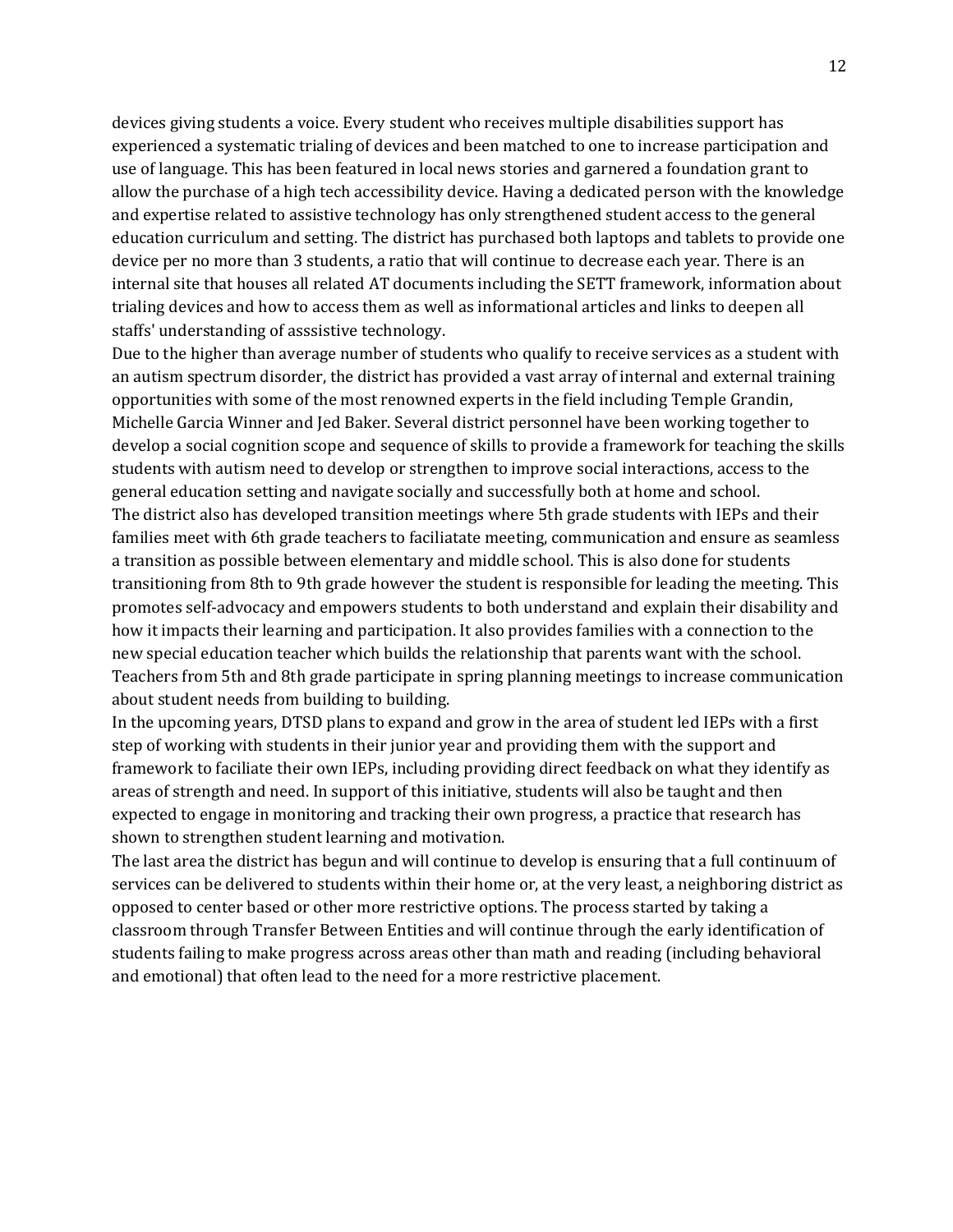devices giving students a voice. Every student who receives multiple disabilities support has experienced a systematic trialing of devices and been matched to one to increase participation and use of language. This has been featured in local news stories and garnered a foundation grant to allow the purchase of a high tech accessibility device. Having a dedicated person with the knowledge and expertise related to assistive technology has only strengthened student access to the general education curriculum and setting. The district has purchased both laptops and tablets to provide one device per no more than 3 students, a ratio that will continue to decrease each year. There is an internal site that houses all related AT documents including the SETT framework, information about trialing devices and how to access them as well as informational articles and links to deepen all staffs' understanding of asssistive technology.

Due to the higher than average number of students who qualify to receive services as a student with an autism spectrum disorder, the district has provided a vast array of internal and external training opportunities with some of the most renowned experts in the field including Temple Grandin, Michelle Garcia Winner and Jed Baker. Several district personnel have been working together to develop a social cognition scope and sequence of skills to provide a framework for teaching the skills students with autism need to develop or strengthen to improve social interactions, access to the general education setting and navigate socially and successfully both at home and school. The district also has developed transition meetings where 5th grade students with IEPs and their families meet with 6th grade teachers to faciliatate meeting, communication and ensure as seamless a transition as possible between elementary and middle school. This is also done for students transitioning from 8th to 9th grade however the student is responsible for leading the meeting. This promotes self-advocacy and empowers students to both understand and explain their disability and how it impacts their learning and participation. It also provides families with a connection to the new special education teacher which builds the relationship that parents want with the school. Teachers from 5th and 8th grade participate in spring planning meetings to increase communication about student needs from building to building.

In the upcoming years, DTSD plans to expand and grow in the area of student led IEPs with a first step of working with students in their junior year and providing them with the support and framework to faciliate their own IEPs, including providing direct feedback on what they identify as areas of strength and need. In support of this initiative, students will also be taught and then expected to engage in monitoring and tracking their own progress, a practice that research has shown to strengthen student learning and motivation.

The last area the district has begun and will continue to develop is ensuring that a full continuum of services can be delivered to students within their home or, at the very least, a neighboring district as opposed to center based or other more restrictive options. The process started by taking a classroom through Transfer Between Entities and will continue through the early identification of students failing to make progress across areas other than math and reading (including behavioral and emotional) that often lead to the need for a more restrictive placement.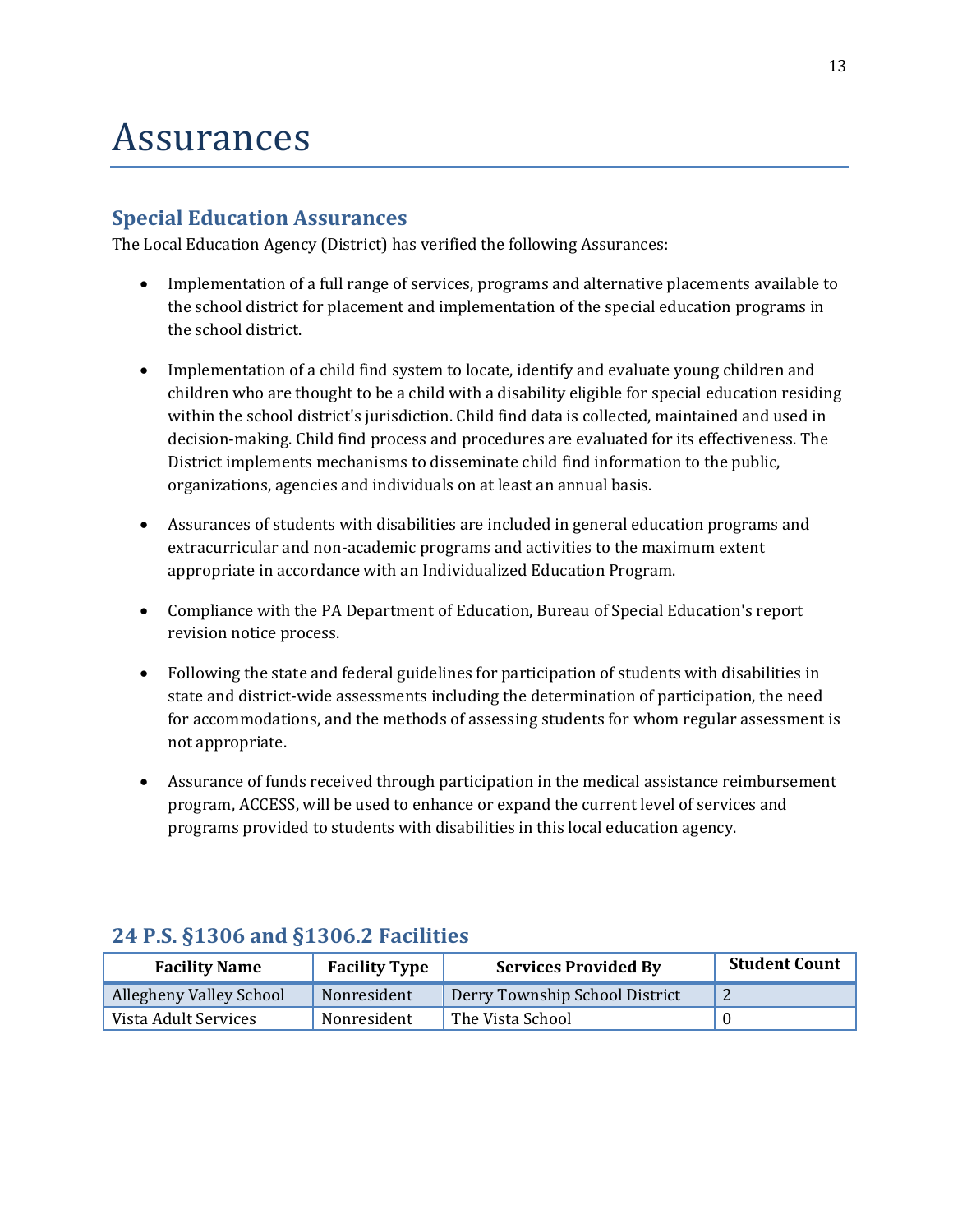# Assurances

# **Special Education Assurances**

The Local Education Agency (District) has verified the following Assurances:

- Implementation of a full range of services, programs and alternative placements available to the school district for placement and implementation of the special education programs in the school district.
- Implementation of a child find system to locate, identify and evaluate young children and children who are thought to be a child with a disability eligible for special education residing within the school district's jurisdiction. Child find data is collected, maintained and used in decision-making. Child find process and procedures are evaluated for its effectiveness. The District implements mechanisms to disseminate child find information to the public, organizations, agencies and individuals on at least an annual basis.
- Assurances of students with disabilities are included in general education programs and extracurricular and non-academic programs and activities to the maximum extent appropriate in accordance with an Individualized Education Program.
- Compliance with the PA Department of Education, Bureau of Special Education's report revision notice process.
- Following the state and federal guidelines for participation of students with disabilities in state and district-wide assessments including the determination of participation, the need for accommodations, and the methods of assessing students for whom regular assessment is not appropriate.
- Assurance of funds received through participation in the medical assistance reimbursement program, ACCESS, will be used to enhance or expand the current level of services and programs provided to students with disabilities in this local education agency.

| <b>Facility Name</b>    | <b>Facility Type</b> | <b>Services Provided By</b>    | <b>Student Count</b> |
|-------------------------|----------------------|--------------------------------|----------------------|
| Allegheny Valley School | Nonresident          | Derry Township School District |                      |
| Vista Adult Services    | Nonresident          | The Vista School               |                      |

# **24 P.S. §1306 and §1306.2 Facilities**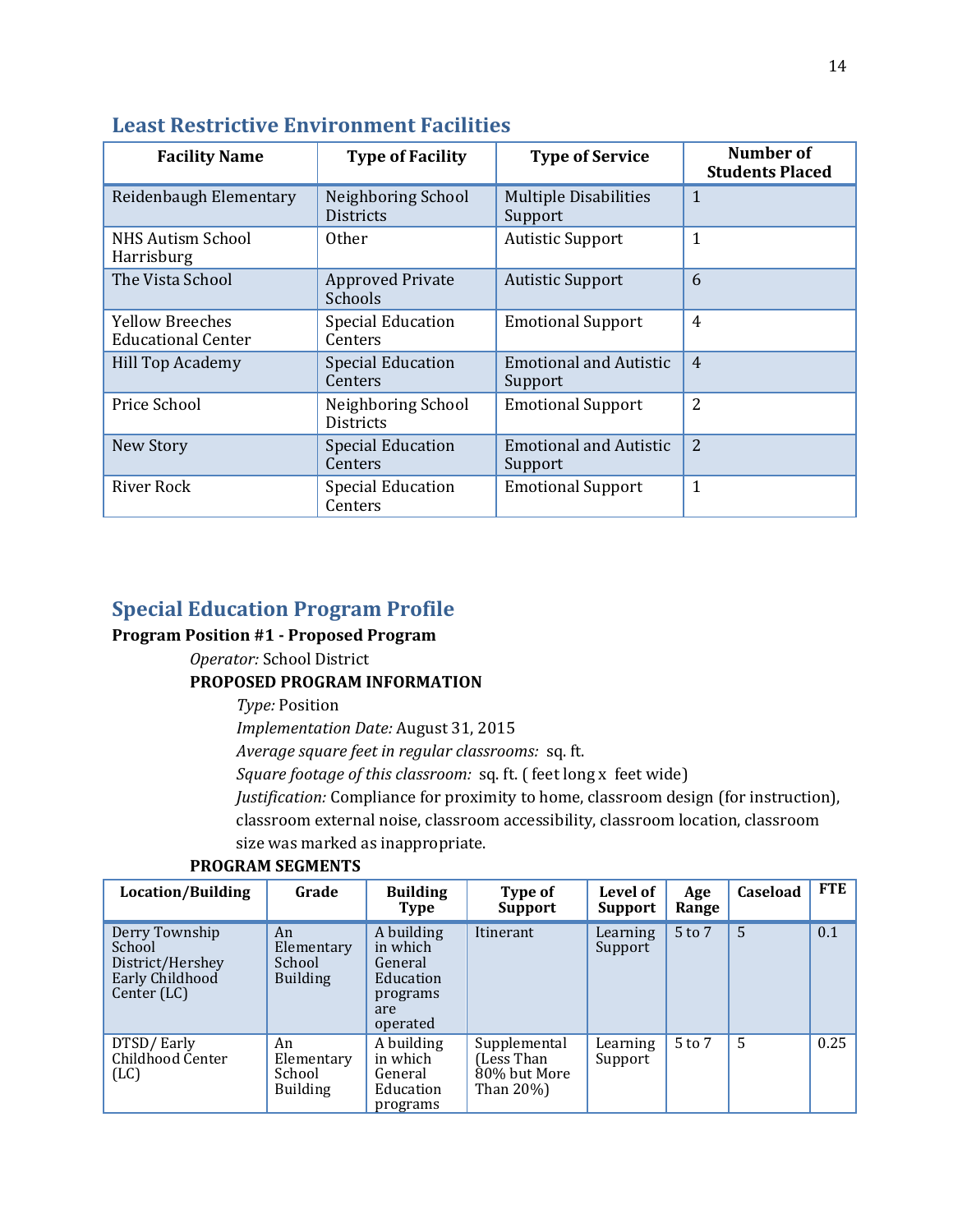| <b>Facility Name</b>                         | <b>Type of Facility</b>                | <b>Type of Service</b>                   | Number of<br><b>Students Placed</b> |
|----------------------------------------------|----------------------------------------|------------------------------------------|-------------------------------------|
| Reidenbaugh Elementary                       | Neighboring School<br><b>Districts</b> | <b>Multiple Disabilities</b><br>Support  | 1                                   |
| <b>NHS Autism School</b><br>Harrisburg       | <b>Other</b>                           | <b>Autistic Support</b>                  | 1                                   |
| The Vista School                             | <b>Approved Private</b><br>Schools     | <b>Autistic Support</b>                  | 6                                   |
| Yellow Breeches<br><b>Educational Center</b> | <b>Special Education</b><br>Centers    | <b>Emotional Support</b>                 | $\overline{4}$                      |
| Hill Top Academy                             | <b>Special Education</b><br>Centers    | <b>Emotional and Autistic</b><br>Support | $\overline{4}$                      |
| Price School                                 | Neighboring School<br><b>Districts</b> | <b>Emotional Support</b>                 | 2                                   |
| New Story                                    | <b>Special Education</b><br>Centers    | <b>Emotional and Autistic</b><br>Support | $\overline{2}$                      |
| River Rock                                   | <b>Special Education</b><br>Centers    | <b>Emotional Support</b>                 | 1                                   |

# **Least Restrictive Environment Facilities**

# **Special Education Program Profile**

### **Program Position #1 - Proposed Program**

*Operator:* School District

### **PROPOSED PROGRAM INFORMATION**

*Type:* Position

*Implementation Date:* August 31, 2015

*Average square feet in regular classrooms:* sq. ft.

*Square footage of this classroom:* sq. ft. ( feet long x feet wide)

*Justification:* Compliance for proximity to home, classroom design (for instruction),

classroom external noise, classroom accessibility, classroom location, classroom

size was marked as inappropriate.

| Location/Building                                                              | Grade                                         | <b>Building</b><br>Type                                                       | Type of<br><b>Support</b>                               | Level of<br><b>Support</b> | Age<br>Range | Caseload | FTE  |
|--------------------------------------------------------------------------------|-----------------------------------------------|-------------------------------------------------------------------------------|---------------------------------------------------------|----------------------------|--------------|----------|------|
| Derry Township<br>School<br>District/Hershey<br>Early Childhood<br>Center (LC) | An<br>Elementary<br>School<br><b>Building</b> | A building<br>in which<br>General<br>Education<br>programs<br>are<br>operated | Itinerant                                               | Learning<br>Support        | $5$ to $7$   | 5        | 0.1  |
| DTSD/Early<br>Childhood Center<br>(LC)                                         | An<br>Elementary<br>School<br><b>Building</b> | A building<br>in which<br>General<br>Education<br>programs                    | Supplemental<br>(Less Than<br>80% but More<br>Than 20%) | Learning<br>Support        | $5$ to $7$   | 5        | 0.25 |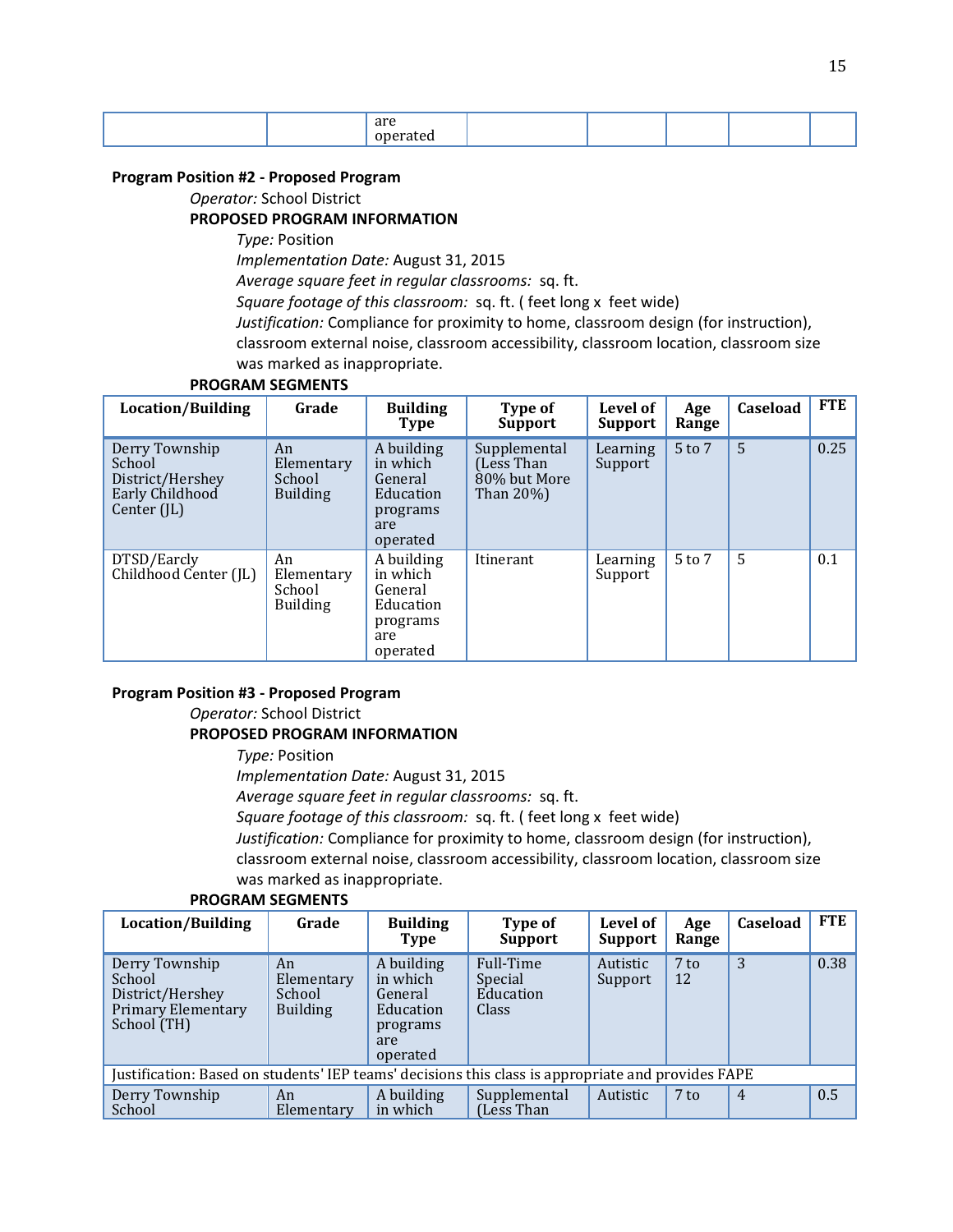|  | $\sim$ me $\sim$ |  |  |  |
|--|------------------|--|--|--|
|  |                  |  |  |  |

#### **Program Position #2 - Proposed Program**

*Operator:* School District

#### **PROPOSED PROGRAM INFORMATION**

*Type:* Position

*Implementation Date:* August 31, 2015

*Average square feet in regular classrooms:* sq. ft.

*Square footage of this classroom:* sq. ft. ( feet long x feet wide)

*Justification:* Compliance for proximity to home, classroom design (for instruction), classroom external noise, classroom accessibility, classroom location, classroom size was marked as inappropriate.

#### **PROGRAM SEGMENTS**

| Location/Building                                                                | Grade                                         | <b>Building</b><br><b>Type</b>                                                | Type of<br><b>Support</b>                                | Level of<br>Support | Age<br>Range | Caseload | <b>FTE</b> |
|----------------------------------------------------------------------------------|-----------------------------------------------|-------------------------------------------------------------------------------|----------------------------------------------------------|---------------------|--------------|----------|------------|
| Derry Township<br>School<br>District/Hershey<br>Early Childhood<br>Center $(IL)$ | An<br>Elementary<br>School<br><b>Building</b> | A building<br>in which<br>General<br>Education<br>programs<br>are<br>operated | Supplemental<br>(Less Than)<br>80% but More<br>Than 20%) | Learning<br>Support | 5 to 7       | 5        | 0.25       |
| DTSD/Earcly<br>Childhood Center (JL)                                             | An<br>Elementary<br>School<br>Building        | A building<br>in which<br>General<br>Education<br>programs<br>are<br>operated | Itinerant                                                | Learning<br>Support | $5$ to $7$   | 5        | 0.1        |

#### **Program Position #3 - Proposed Program**

*Operator:* School District

#### **PROPOSED PROGRAM INFORMATION**

*Type:* Position

*Implementation Date:* August 31, 2015

*Average square feet in regular classrooms:* sq. ft.

*Square footage of this classroom:* sq. ft. ( feet long x feet wide)

*Justification:* Compliance for proximity to home, classroom design (for instruction), classroom external noise, classroom accessibility, classroom location, classroom size

#### was marked as inappropriate.

| <b>Location/Building</b>                                                                           | Grade                                         | <b>Building</b><br>Type                                                       | Type of<br>Support                         | Level of<br>Support | Age<br>Range | <b>Caseload</b> | <b>FTE</b> |
|----------------------------------------------------------------------------------------------------|-----------------------------------------------|-------------------------------------------------------------------------------|--------------------------------------------|---------------------|--------------|-----------------|------------|
| Derry Township<br>School<br>District/Hershey<br><b>Primary Elementary</b><br>School (TH)           | An<br>Elementary<br>School<br><b>Building</b> | A building<br>in which<br>General<br>Education<br>programs<br>are<br>operated | Full-Time<br>Special<br>Education<br>Class | Autistic<br>Support | $7$ to<br>12 | 3               | 0.38       |
| Justification: Based on students' IEP teams' decisions this class is appropriate and provides FAPE |                                               |                                                                               |                                            |                     |              |                 |            |
| Derry Township<br>School                                                                           | An<br>Elementary                              | A building<br>in which                                                        | Supplemental<br>(Less Than)                | Autistic            | $7$ to       | $\overline{4}$  | 0.5        |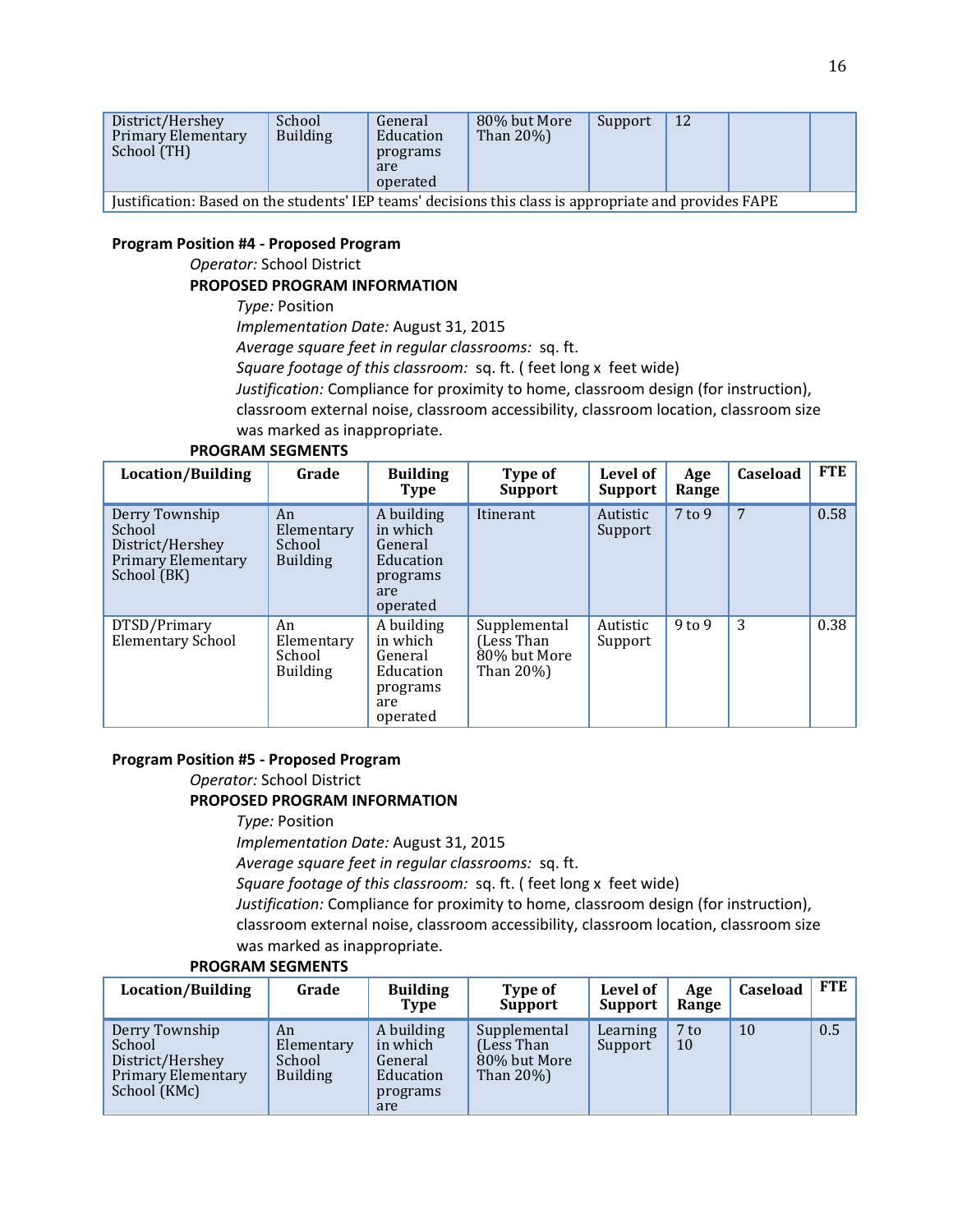| District/Hershey<br>Primary Elementary<br>School (TH)                                                  | School<br><b>Building</b> | General<br>Education<br>programs<br>are<br>operated | 80% but More<br>Than $20\%$ ) | Support | 12 |  |  |
|--------------------------------------------------------------------------------------------------------|---------------------------|-----------------------------------------------------|-------------------------------|---------|----|--|--|
| Justification: Based on the students' IEP teams' decisions this class is appropriate and provides FAPE |                           |                                                     |                               |         |    |  |  |

#### **Program Position #4 - Proposed Program**

*Operator:* School District

#### **PROPOSED PROGRAM INFORMATION**

*Type:* Position

*Implementation Date:* August 31, 2015

*Average square feet in regular classrooms:* sq. ft.

*Square footage of this classroom:* sq. ft. ( feet long x feet wide)

*Justification:* Compliance for proximity to home, classroom design (for instruction),

classroom external noise, classroom accessibility, classroom location, classroom size was marked as inappropriate.

#### **PROGRAM SEGMENTS**

| Location/Building                                                                 | Grade                                         | <b>Building</b><br><b>Type</b>                                                | Type of<br><b>Support</b>                               | Level of<br><b>Support</b> | Age<br>Range | Caseload | <b>FTE</b> |
|-----------------------------------------------------------------------------------|-----------------------------------------------|-------------------------------------------------------------------------------|---------------------------------------------------------|----------------------------|--------------|----------|------------|
| Derry Township<br>School<br>District/Hershey<br>Primary Elementary<br>School (BK) | An<br>Elementary<br>School<br><b>Building</b> | A building<br>in which<br>General<br>Education<br>programs<br>are<br>operated | Itinerant                                               | Autistic<br>Support        | $7$ to 9     | 7        | 0.58       |
| DTSD/Primary<br><b>Elementary School</b>                                          | An<br>Elementary<br>School<br><b>Building</b> | A building<br>in which<br>General<br>Education<br>programs<br>are<br>operated | Supplemental<br>(Less Than<br>80% but More<br>Than 20%) | Autistic<br>Support        | $9$ to $9$   | 3        | 0.38       |

#### **Program Position #5 - Proposed Program**

*Operator:* School District **PROPOSED PROGRAM INFORMATION** *Type:* Position

*Implementation Date:* August 31, 2015

*Average square feet in regular classrooms:* sq. ft.

*Square footage of this classroom:* sq. ft. ( feet long x feet wide)

*Justification:* Compliance for proximity to home, classroom design (for instruction), classroom external noise, classroom accessibility, classroom location, classroom size was marked as inappropriate.

| Location/Building                                                                  | Grade                                         | <b>Building</b><br>Type                                           | Type of<br><b>Support</b>                                | Level of<br>Support | Age<br>Range | <b>Caseload</b> | <b>FTE</b> |
|------------------------------------------------------------------------------------|-----------------------------------------------|-------------------------------------------------------------------|----------------------------------------------------------|---------------------|--------------|-----------------|------------|
| Derry Township<br>School<br>District/Hershey<br>Primary Elementary<br>School (KMc) | An<br>Elementary<br>School<br><b>Building</b> | A building<br>in which<br>General<br>Education<br>programs<br>are | Supplemental<br>(Less Than)<br>80% but More<br>Than 20%) | Learning<br>Support | $7$ to<br>10 | 10              | 0.5        |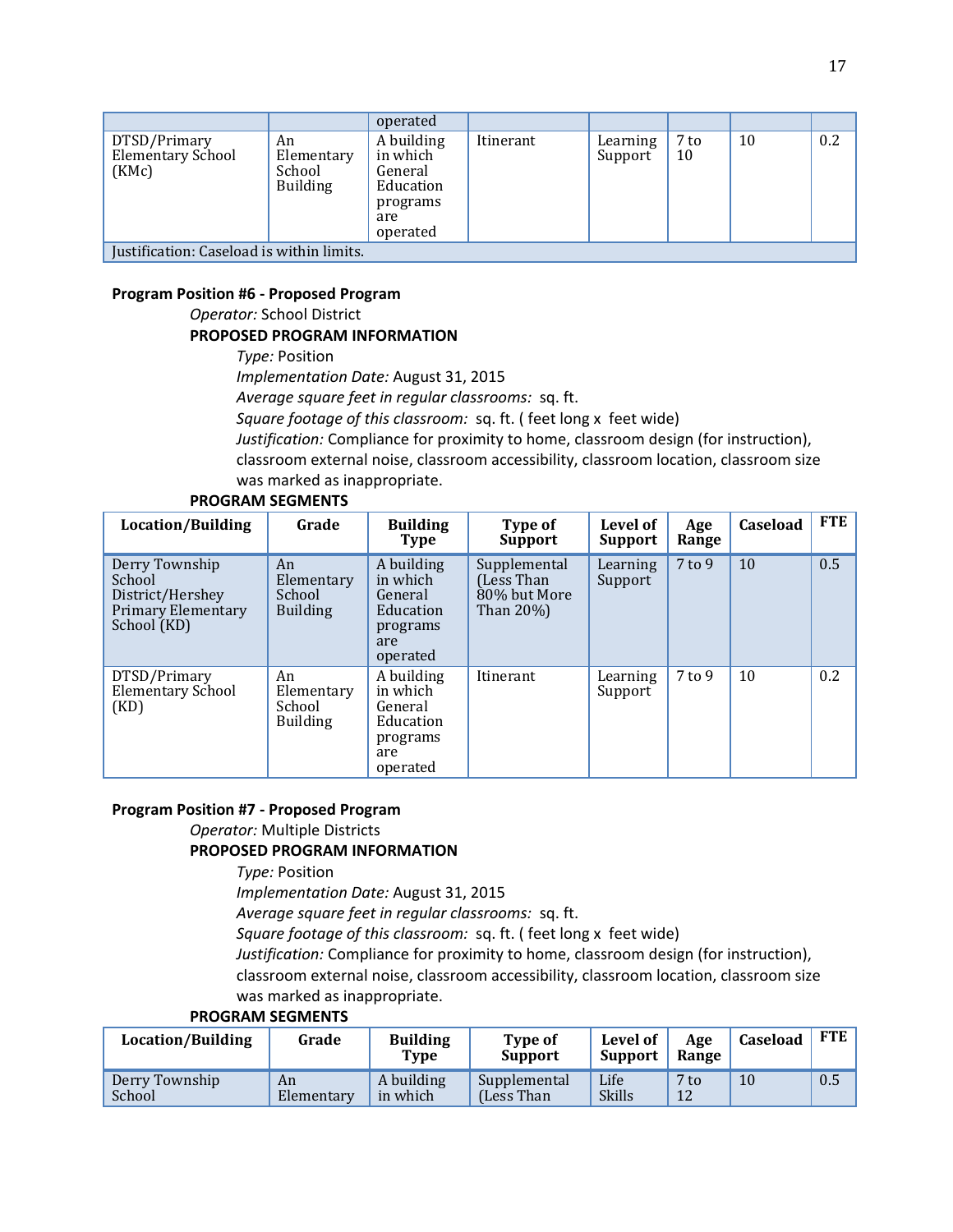|                                                   |                                               | operated                                                                      |           |                     |            |    |     |  |
|---------------------------------------------------|-----------------------------------------------|-------------------------------------------------------------------------------|-----------|---------------------|------------|----|-----|--|
| DTSD/Primary<br><b>Elementary School</b><br>(KMc) | An<br>Elementary<br>School<br><b>Building</b> | A building<br>in which<br>General<br>Education<br>programs<br>are<br>operated | Itinerant | Learning<br>Support | 7 to<br>10 | 10 | 0.2 |  |
| Justification: Caseload is within limits.         |                                               |                                                                               |           |                     |            |    |     |  |

#### **Program Position #6 - Proposed Program**

*Operator:* School District

#### **PROPOSED PROGRAM INFORMATION**

*Type:* Position

*Implementation Date:* August 31, 2015

*Average square feet in regular classrooms:* sq. ft.

*Square footage of this classroom:* sq. ft. ( feet long x feet wide)

*Justification:* Compliance for proximity to home, classroom design (for instruction), classroom external noise, classroom accessibility, classroom location, classroom size was marked as inappropriate.

#### **PROGRAM SEGMENTS**

| Location/Building                                                                 | Grade                                         | <b>Building</b><br><b>Type</b>                                                | Type of<br><b>Support</b>                               | Level of<br><b>Support</b> | Age<br>Range | Caseload | FTE |
|-----------------------------------------------------------------------------------|-----------------------------------------------|-------------------------------------------------------------------------------|---------------------------------------------------------|----------------------------|--------------|----------|-----|
| Derry Township<br>School<br>District/Hershey<br>Primary Elementary<br>School (KD) | An<br>Elementary<br>School<br><b>Building</b> | A building<br>in which<br>General<br>Education<br>programs<br>are<br>operated | Supplemental<br>(Less Than<br>80% but More<br>Than 20%) | Learning<br>Support        | $7$ to $9$   | 10       | 0.5 |
| DTSD/Primary<br><b>Elementary School</b><br>(KD)                                  | An<br>Elementary<br>School<br><b>Building</b> | A building<br>in which<br>General<br>Education<br>programs<br>are<br>operated | Itinerant                                               | Learning<br>Support        | $7$ to $9$   | 10       | 0.2 |

#### **Program Position #7 - Proposed Program**

*Operator:* Multiple Districts

#### **PROPOSED PROGRAM INFORMATION**

*Type:* Position

*Implementation Date:* August 31, 2015

*Average square feet in regular classrooms:* sq. ft.

*Square footage of this classroom:* sq. ft. ( feet long x feet wide)

*Justification:* Compliance for proximity to home, classroom design (for instruction),

classroom external noise, classroom accessibility, classroom location, classroom size was marked as inappropriate.

| Location/Building        | Grade            | <b>Building</b><br>Type | <b>Type of</b><br><b>Support</b> | Level of<br><b>Support</b> | Age<br>Range          | Caseload | <b>FTE</b> |
|--------------------------|------------------|-------------------------|----------------------------------|----------------------------|-----------------------|----------|------------|
| Derry Township<br>School | An<br>Elementary | A building<br>in which  | Supplemental<br>(Less Than)      | Life<br><b>Skills</b>      | 7 <sub>to</sub><br>12 | 10       | 0.5        |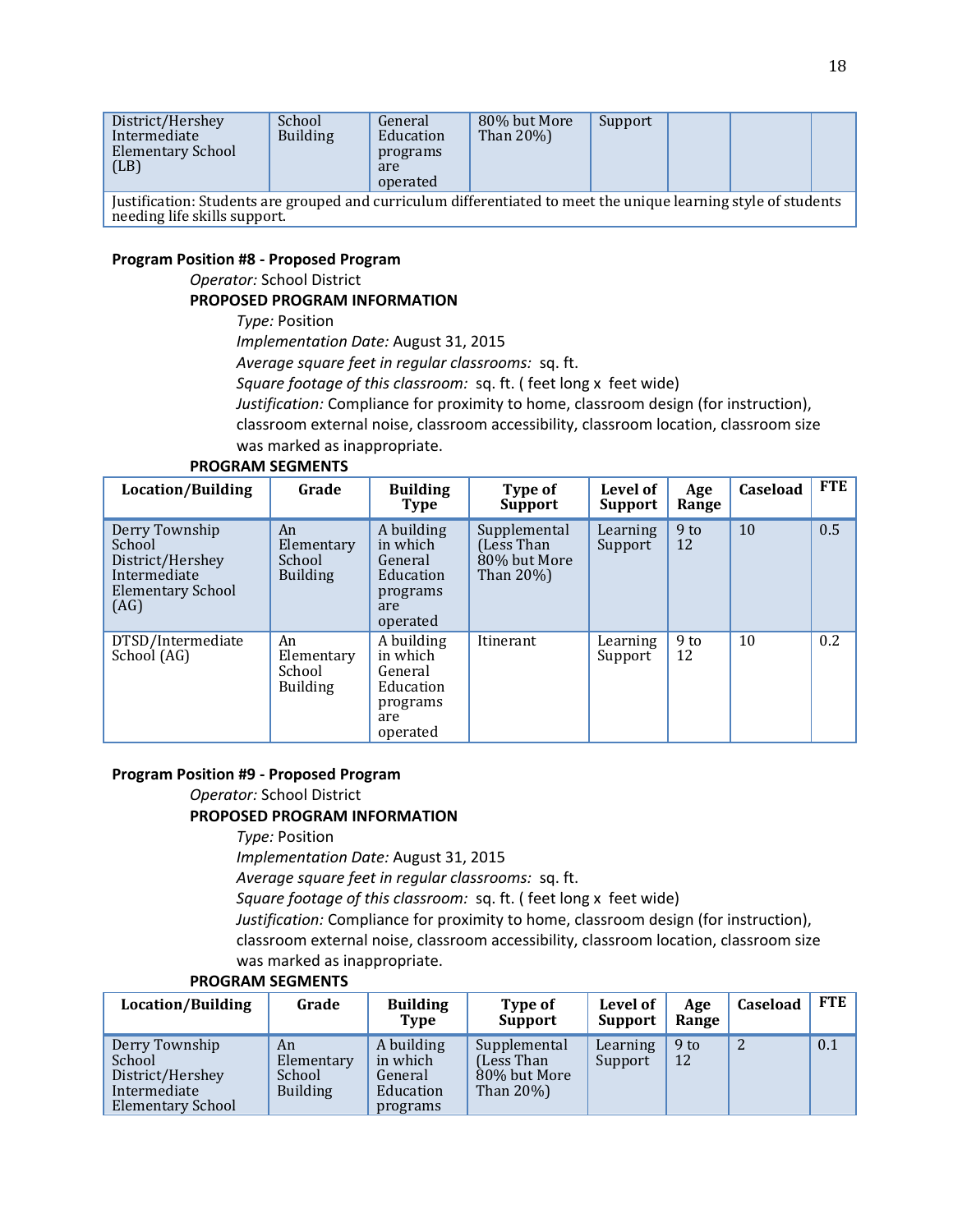| District/Hershey<br>Intermediate<br>Elementary School<br>(LB)                                                                                   | School<br><b>Building</b> | General<br>Education<br>programs<br>are<br>operated | 80% but More<br>Than $20\%$ ) | Support |  |  |
|-------------------------------------------------------------------------------------------------------------------------------------------------|---------------------------|-----------------------------------------------------|-------------------------------|---------|--|--|
| Justification: Students are grouped and curriculum differentiated to meet the unique learning style of students<br>needing life skills support. |                           |                                                     |                               |         |  |  |

#### **Program Position #8 - Proposed Program**

*Operator:* School District

#### **PROPOSED PROGRAM INFORMATION**

*Type:* Position

*Implementation Date:* August 31, 2015

*Average square feet in regular classrooms:* sq. ft.

*Square footage of this classroom:* sq. ft. ( feet long x feet wide)

*Justification:* Compliance for proximity to home, classroom design (for instruction),

classroom external noise, classroom accessibility, classroom location, classroom size was marked as inappropriate.

#### **PROGRAM SEGMENTS**

| <b>Location/Building</b>                                                                         | Grade                                         | <b>Building</b><br><b>Type</b>                                                | Type of<br><b>Support</b>                                    | Level of<br>Support | Age<br>Range          | Caseload | <b>FTE</b> |
|--------------------------------------------------------------------------------------------------|-----------------------------------------------|-------------------------------------------------------------------------------|--------------------------------------------------------------|---------------------|-----------------------|----------|------------|
| Derry Township<br>School<br>District/Hershey<br>Intermediate<br><b>Elementary School</b><br>(AG) | An<br>Elementary<br>School<br><b>Building</b> | A building<br>in which<br>General<br>Education<br>programs<br>are<br>operated | Supplemental<br>(Less Than)<br>80% but More<br>Than $20\%$ ) | Learning<br>Support | 9 <sub>to</sub><br>12 | 10       | 0.5        |
| DTSD/Intermediate<br>School (AG)                                                                 | An<br>Elementary<br>School<br><b>Building</b> | A building<br>in which<br>General<br>Education<br>programs<br>are<br>operated | Itinerant                                                    | Learning<br>Support | $9$ to<br>12          | 10       | 0.2        |

# **Program Position #9 - Proposed Program**

*Operator:* School District

### **PROPOSED PROGRAM INFORMATION**

*Type:* Position

*Implementation Date:* August 31, 2015

*Average square feet in regular classrooms:* sq. ft.

*Square footage of this classroom:* sq. ft. ( feet long x feet wide)

*Justification:* Compliance for proximity to home, classroom design (for instruction), classroom external noise, classroom accessibility, classroom location, classroom size

## was marked as inappropriate.

| <b>PROGRAM SEGMENTS</b> |  |
|-------------------------|--|
|                         |  |

| Location/Building                                                                 | Grade                                         | <b>Building</b><br>Type                                    | Type of<br><b>Support</b>                                  | Level of<br><b>Support</b> | Age<br>Range | Caseload | <b>FTE</b> |
|-----------------------------------------------------------------------------------|-----------------------------------------------|------------------------------------------------------------|------------------------------------------------------------|----------------------------|--------------|----------|------------|
| Derry Township<br>School<br>District/Hershey<br>Intermediate<br>Elementary School | An<br>Elementary<br>School<br><b>Building</b> | A building<br>in which<br>General<br>Education<br>programs | Supplemental<br>Less Than<br>80% but More<br>Than $20\%$ ) | Learning<br>Support        | $9$ to<br>12 |          | 0.1        |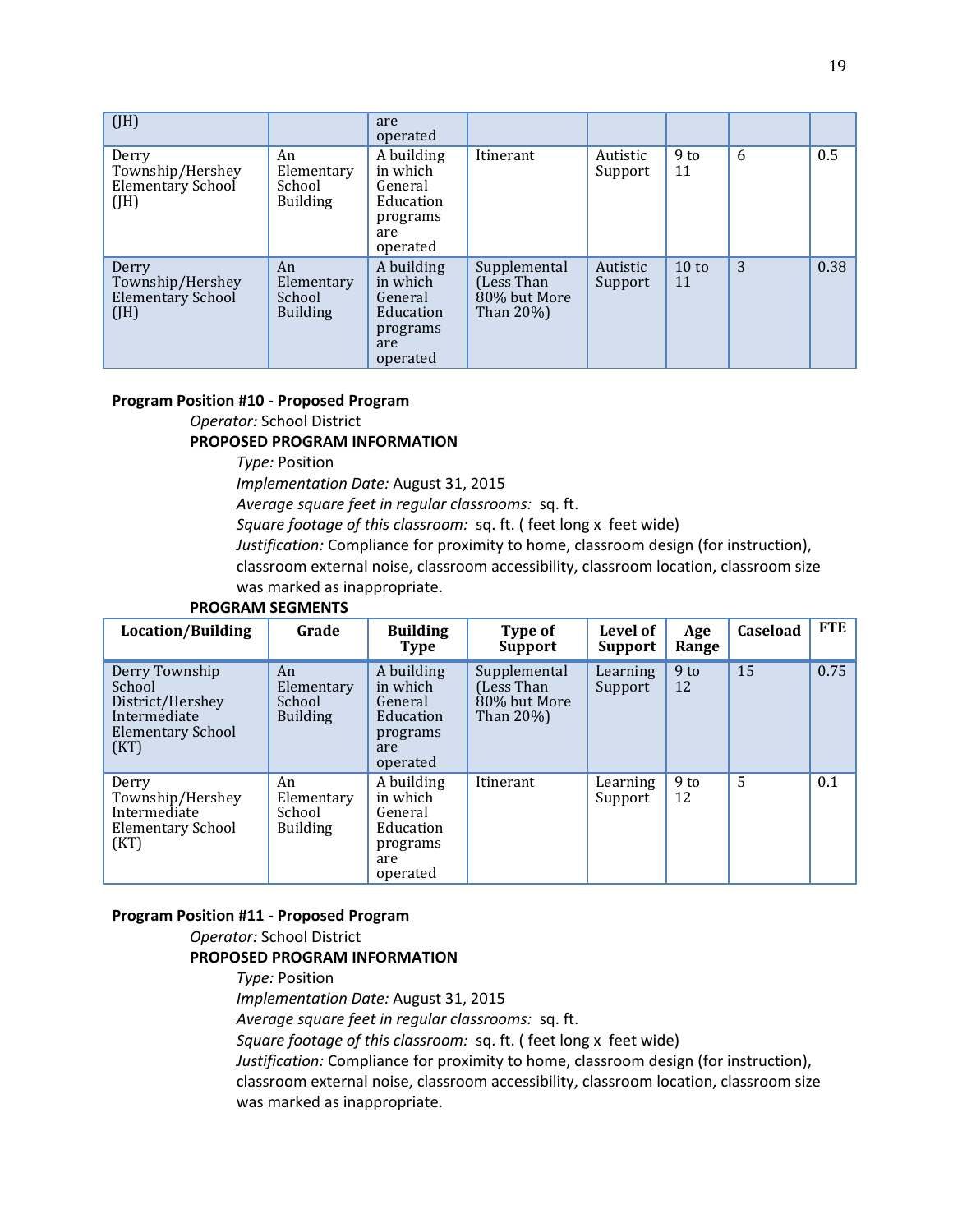| (JH)                                                         |                                               | are<br>operated                                                               |                                                         |                     |                       |   |      |
|--------------------------------------------------------------|-----------------------------------------------|-------------------------------------------------------------------------------|---------------------------------------------------------|---------------------|-----------------------|---|------|
| Derry<br>Township/Hershey<br><b>Elementary School</b><br>(H) | An<br>Elementary<br>School<br><b>Building</b> | A building<br>in which<br>General<br>Education<br>programs<br>are<br>operated | Itinerant                                               | Autistic<br>Support | 9 <sub>to</sub><br>11 | 6 | 0.5  |
| Derry<br>Township/Hershey<br><b>Elementary School</b><br>(H) | An<br>Elementary<br>School<br><b>Building</b> | A building<br>in which<br>General<br>Education<br>programs<br>are<br>operated | Supplemental<br>(Less Than<br>80% but More<br>Than 20%) | Autistic<br>Support | $10$ to<br>11         | 3 | 0.38 |

#### **Program Position #10 - Proposed Program**

*Operator:* School District

#### **PROPOSED PROGRAM INFORMATION**

*Type:* Position

*Implementation Date:* August 31, 2015

*Average square feet in regular classrooms:* sq. ft.

*Square footage of this classroom:* sq. ft. ( feet long x feet wide)

*Justification:* Compliance for proximity to home, classroom design (for instruction),

classroom external noise, classroom accessibility, classroom location, classroom size was marked as inappropriate.

#### **PROGRAM SEGMENTS**

| Location/Building                                                                                | Grade                                         | <b>Building</b><br><b>Type</b>                                                | Type of<br><b>Support</b>                                | Level of<br><b>Support</b> | Age<br>Range          | Caseload | <b>FTE</b> |
|--------------------------------------------------------------------------------------------------|-----------------------------------------------|-------------------------------------------------------------------------------|----------------------------------------------------------|----------------------------|-----------------------|----------|------------|
| Derry Township<br>School<br>District/Hershey<br>Intermediate<br><b>Elementary School</b><br>(KT) | An<br>Elementary<br>School<br><b>Building</b> | A building<br>in which<br>General<br>Education<br>programs<br>are<br>operated | Supplemental<br>(Less Than)<br>80% but More<br>Than 20%) | Learning<br>Support        | 9 <sub>to</sub><br>12 | 15       | 0.75       |
| Derry<br>Township/Hershey<br>Intermediate<br>Elementary School<br>(KT)                           | An<br>Elementary<br>School<br><b>Building</b> | A building<br>in which<br>General<br>Education<br>programs<br>are<br>operated | Itinerant                                                | Learning<br>Support        | 9 <sub>to</sub><br>12 | 5        | 0.1        |

#### **Program Position #11 - Proposed Program**

## *Operator:* School District **PROPOSED PROGRAM INFORMATION**

*Type:* Position *Implementation Date:* August 31, 2015 *Average square feet in regular classrooms:* sq. ft. *Square footage of this classroom:* sq. ft. ( feet long x feet wide) *Justification:* Compliance for proximity to home, classroom design (for instruction), classroom external noise, classroom accessibility, classroom location, classroom size was marked as inappropriate.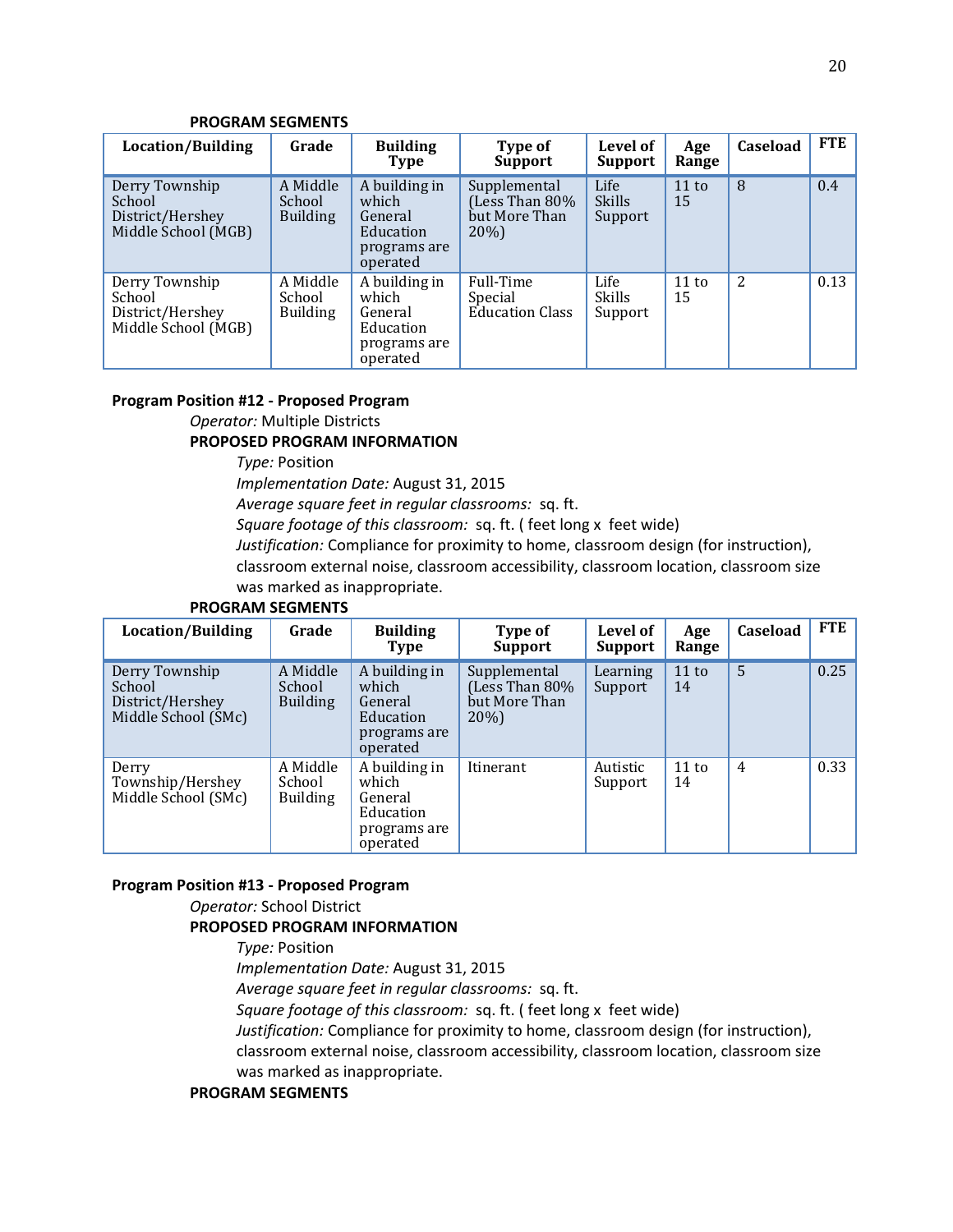#### **PROGRAM SEGMENTS**

| Location/Building                                                   | Grade                                 | <b>Building</b><br><b>Type</b>                                             | Type of<br><b>Support</b>                                | Level of<br><b>Support</b>       | Age<br>Range | <b>Caseload</b> | FTE  |
|---------------------------------------------------------------------|---------------------------------------|----------------------------------------------------------------------------|----------------------------------------------------------|----------------------------------|--------------|-----------------|------|
| Derry Township<br>School<br>District/Hershey<br>Middle School (MGB) | A Middle<br>School<br><b>Building</b> | A building in<br>which<br>General<br>Education<br>programs are<br>operated | Supplemental<br>Less Than 80%<br>but More Than<br>$20\%$ | Life<br><b>Skills</b><br>Support | 11 to<br>15  | 8               | 0.4  |
| Derry Township<br>School<br>District/Hershey<br>Middle School (MGB) | A Middle<br>School<br><b>Building</b> | A building in<br>which<br>General<br>Education<br>programs are<br>operated | Full-Time<br>Special<br><b>Education Class</b>           | Life<br><b>Skills</b><br>Support | 11 to<br>15  | 2               | 0.13 |

#### **Program Position #12 - Proposed Program**

*Operator:* Multiple Districts

#### **PROPOSED PROGRAM INFORMATION**

*Type:* Position

*Implementation Date:* August 31, 2015

*Average square feet in regular classrooms:* sq. ft.

*Square footage of this classroom:* sq. ft. ( feet long x feet wide)

*Justification:* Compliance for proximity to home, classroom design (for instruction),

classroom external noise, classroom accessibility, classroom location, classroom size was marked as inappropriate.

#### **PROGRAM SEGMENTS**

| Location/Building                                                   | Grade                                 | <b>Building</b><br>Type                                                    | Type of<br><b>Support</b>                                 | Level of<br><b>Support</b> | Age<br>Range | <b>Caseload</b> | <b>FTE</b> |
|---------------------------------------------------------------------|---------------------------------------|----------------------------------------------------------------------------|-----------------------------------------------------------|----------------------------|--------------|-----------------|------------|
| Derry Township<br>School<br>District/Hershey<br>Middle School (SMc) | A Middle<br>School<br><b>Building</b> | A building in<br>which<br>General<br>Education<br>programs are<br>operated | Supplemental<br>(Less Than 80%<br>but More Than<br>$20\%$ | Learning<br>Support        | 11 to<br>14  | 5               | 0.25       |
| Derry<br>Township/Hershey<br>Middle School (SMc)                    | A Middle<br>School<br><b>Building</b> | A building in<br>which<br>General<br>Education<br>programs are<br>operated | Itinerant                                                 | Autistic<br>Support        | 11 to<br>14  | 4               | 0.33       |

#### **Program Position #13 - Proposed Program**

*Operator:* School District

#### **PROPOSED PROGRAM INFORMATION**

*Type:* Position

*Implementation Date:* August 31, 2015

*Average square feet in regular classrooms:* sq. ft.

*Square footage of this classroom:* sq. ft. ( feet long x feet wide)

*Justification:* Compliance for proximity to home, classroom design (for instruction),

classroom external noise, classroom accessibility, classroom location, classroom size was marked as inappropriate.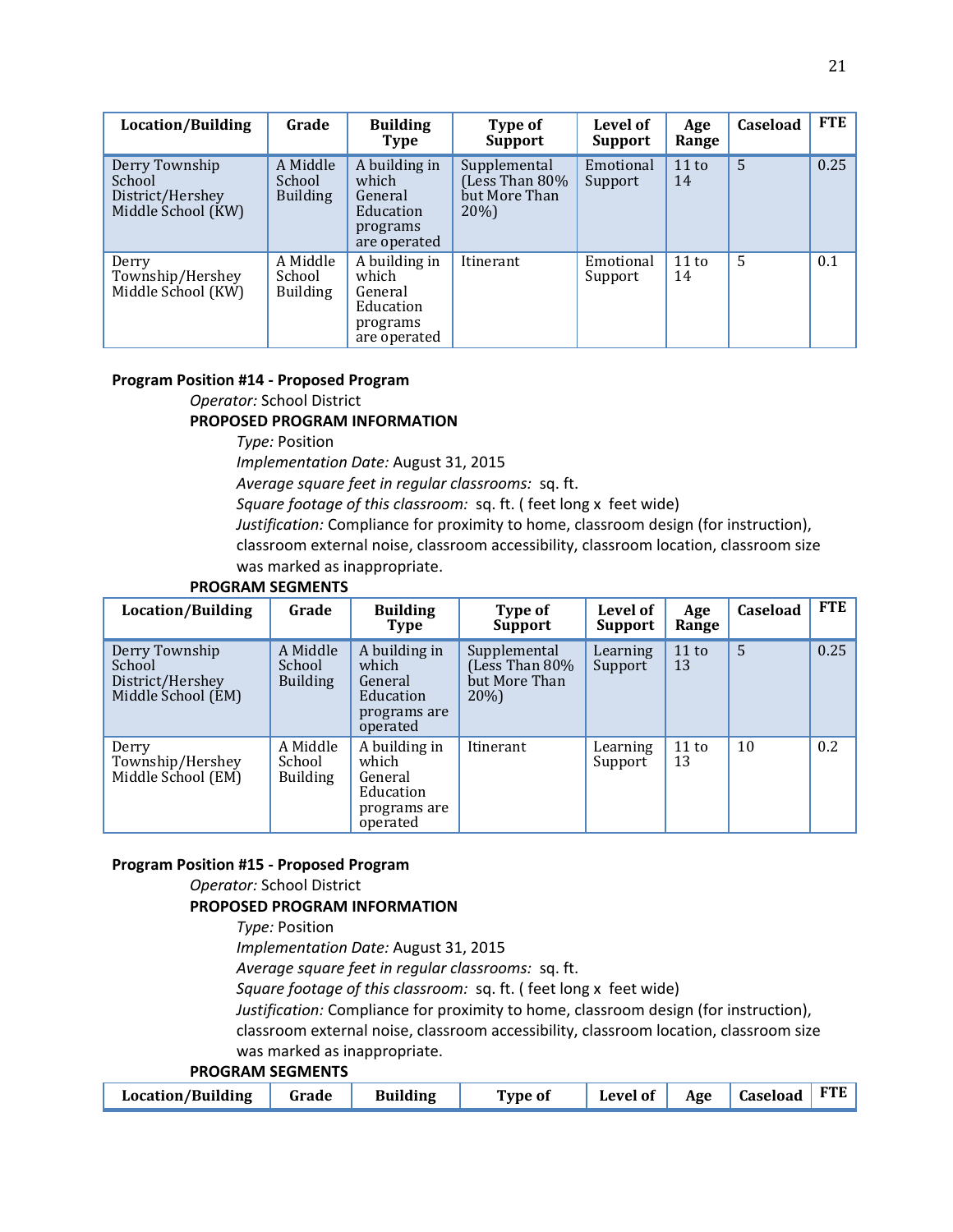| <b>Location/Building</b>                                           | Grade                                 | <b>Building</b><br><b>Type</b>                                             | Type of<br><b>Support</b>                                 | Level of<br><b>Support</b> | Age<br>Range | Caseload | FTE  |
|--------------------------------------------------------------------|---------------------------------------|----------------------------------------------------------------------------|-----------------------------------------------------------|----------------------------|--------------|----------|------|
| Derry Township<br>School<br>District/Hershey<br>Middle School (KW) | A Middle<br>School<br><b>Building</b> | A building in<br>which<br>General<br>Education<br>programs<br>are operated | Supplemental<br>(Less Than 80%<br>but More Than<br>$20\%$ | Emotional<br>Support       | 11 to<br>14  | 5        | 0.25 |
| Derry<br>Township/Hershey<br>Middle School (KW)                    | A Middle<br>School<br><b>Building</b> | A building in<br>which<br>General<br>Education<br>programs<br>are operated | Itinerant                                                 | Emotional<br>Support       | 11 to<br>14  | 5        | 0.1  |

#### **Program Position #14 - Proposed Program**

*Operator:* School District **PROPOSED PROGRAM INFORMATION**

*Type:* Position

*Implementation Date:* August 31, 2015

*Average square feet in regular classrooms:* sq. ft.

*Square footage of this classroom:* sq. ft. ( feet long x feet wide)

*Justification:* Compliance for proximity to home, classroom design (for instruction), classroom external noise, classroom accessibility, classroom location, classroom size was marked as inappropriate.

#### **PROGRAM SEGMENTS**

| <b>Location/Building</b>                                           | Grade                                 | <b>Building</b><br><b>Type</b>                                             | Type of<br>Support                                     | Level of<br><b>Support</b> | Age<br>Range | Caseload | <b>FTE</b> |
|--------------------------------------------------------------------|---------------------------------------|----------------------------------------------------------------------------|--------------------------------------------------------|----------------------------|--------------|----------|------------|
| Derry Township<br>School<br>District/Hershey<br>Middle School (EM) | A Middle<br>School<br><b>Building</b> | A building in<br>which<br>General<br>Education<br>programs are<br>operated | Supplemental<br>(Less Than 80%<br>but More Than<br>20% | Learning<br>Support        | 11 to<br>13  | 5        | 0.25       |
| Derry<br>Township/Hershey<br>Middle School (EM)                    | A Middle<br>School<br><b>Building</b> | A building in<br>which<br>General<br>Education<br>programs are<br>operated | Itinerant                                              | Learning<br>Support        | 11 to<br>13  | 10       | 0.2        |

#### **Program Position #15 - Proposed Program**

*Operator:* School District

#### **PROPOSED PROGRAM INFORMATION**

*Type:* Position

*Implementation Date:* August 31, 2015

*Average square feet in regular classrooms:* sq. ft.

*Square footage of this classroom:* sq. ft. ( feet long x feet wide)

*Justification:* Compliance for proximity to home, classroom design (for instruction),

classroom external noise, classroom accessibility, classroom location, classroom size was marked as inappropriate.

|  | Location/Building Grade Building |  |  | Type of | Level of Age Caseload FTE |  |  |  |
|--|----------------------------------|--|--|---------|---------------------------|--|--|--|
|--|----------------------------------|--|--|---------|---------------------------|--|--|--|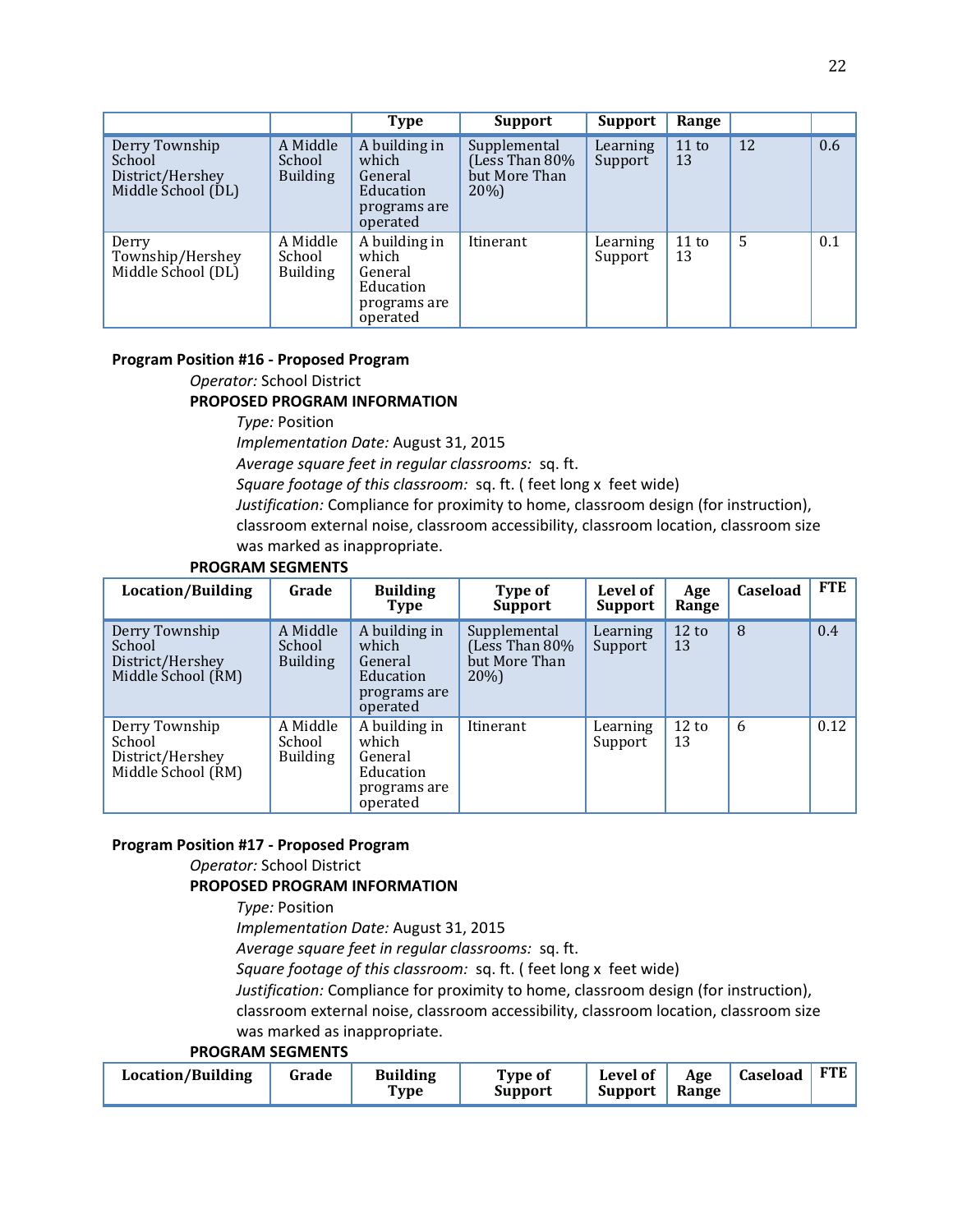|                                                                    |                                       | <b>Type</b>                                                                | <b>Support</b>                                         | <b>Support</b>      | Range       |    |     |
|--------------------------------------------------------------------|---------------------------------------|----------------------------------------------------------------------------|--------------------------------------------------------|---------------------|-------------|----|-----|
| Derry Township<br>School<br>District/Hershey<br>Middle School (DL) | A Middle<br>School<br><b>Building</b> | A building in<br>which<br>General<br>Education<br>programs are<br>operated | Supplemental<br>(Less Than 80%<br>but More Than<br>20% | Learning<br>Support | 11 to<br>13 | 12 | 0.6 |
| Derry<br>Township/Hershey<br>Middle School (DL)                    | A Middle<br>School<br><b>Building</b> | A building in<br>which<br>General<br>Education<br>programs are<br>operated | Itinerant                                              | Learning<br>Support | 11 to<br>13 | 5  | 0.1 |

#### **Program Position #16 - Proposed Program**

*Operator:* School District

#### **PROPOSED PROGRAM INFORMATION**

*Type:* Position

*Implementation Date:* August 31, 2015

*Average square feet in regular classrooms:* sq. ft.

*Square footage of this classroom:* sq. ft. ( feet long x feet wide)

*Justification:* Compliance for proximity to home, classroom design (for instruction),

classroom external noise, classroom accessibility, classroom location, classroom size was marked as inappropriate.

## **PROGRAM SEGMENTS**

| Location/Building                                                  | Grade                                 | <b>Building</b><br>Type                                                    | Type of<br><b>Support</b>                                 | Level of<br><b>Support</b> | Age<br>Range          | Caseload | FTE  |
|--------------------------------------------------------------------|---------------------------------------|----------------------------------------------------------------------------|-----------------------------------------------------------|----------------------------|-----------------------|----------|------|
| Derry Township<br>School<br>District/Hershey<br>Middle School (RM) | A Middle<br>School<br><b>Building</b> | A building in<br>which<br>General<br>Education<br>programs are<br>operated | Supplemental<br>(Less Than 80%<br>but More Than<br>$20\%$ | Learning<br>Support        | 12 to<br>13           | 8        | 0.4  |
| Derry Township<br>School<br>District/Hershey<br>Middle School (RM) | A Middle<br>School<br><b>Building</b> | A building in<br>which<br>General<br>Education<br>programs are<br>operated | Itinerant                                                 | Learning<br>Support        | $12 \text{ to}$<br>13 | 6        | 0.12 |

#### **Program Position #17 - Proposed Program**

*Operator:* School District

#### **PROPOSED PROGRAM INFORMATION**

*Type:* Position

*Implementation Date:* August 31, 2015

*Average square feet in regular classrooms:* sq. ft.

*Square footage of this classroom:* sq. ft. ( feet long x feet wide)

*Justification:* Compliance for proximity to home, classroom design (for instruction),

classroom external noise, classroom accessibility, classroom location, classroom size was marked as inappropriate.

| <b>Location/Building</b><br>Grade | <b>Building</b><br>Type | Type of<br>Support | Level of<br><b>Support</b> | Age<br>Range | Caseload | <b>FTE</b> |
|-----------------------------------|-------------------------|--------------------|----------------------------|--------------|----------|------------|
|-----------------------------------|-------------------------|--------------------|----------------------------|--------------|----------|------------|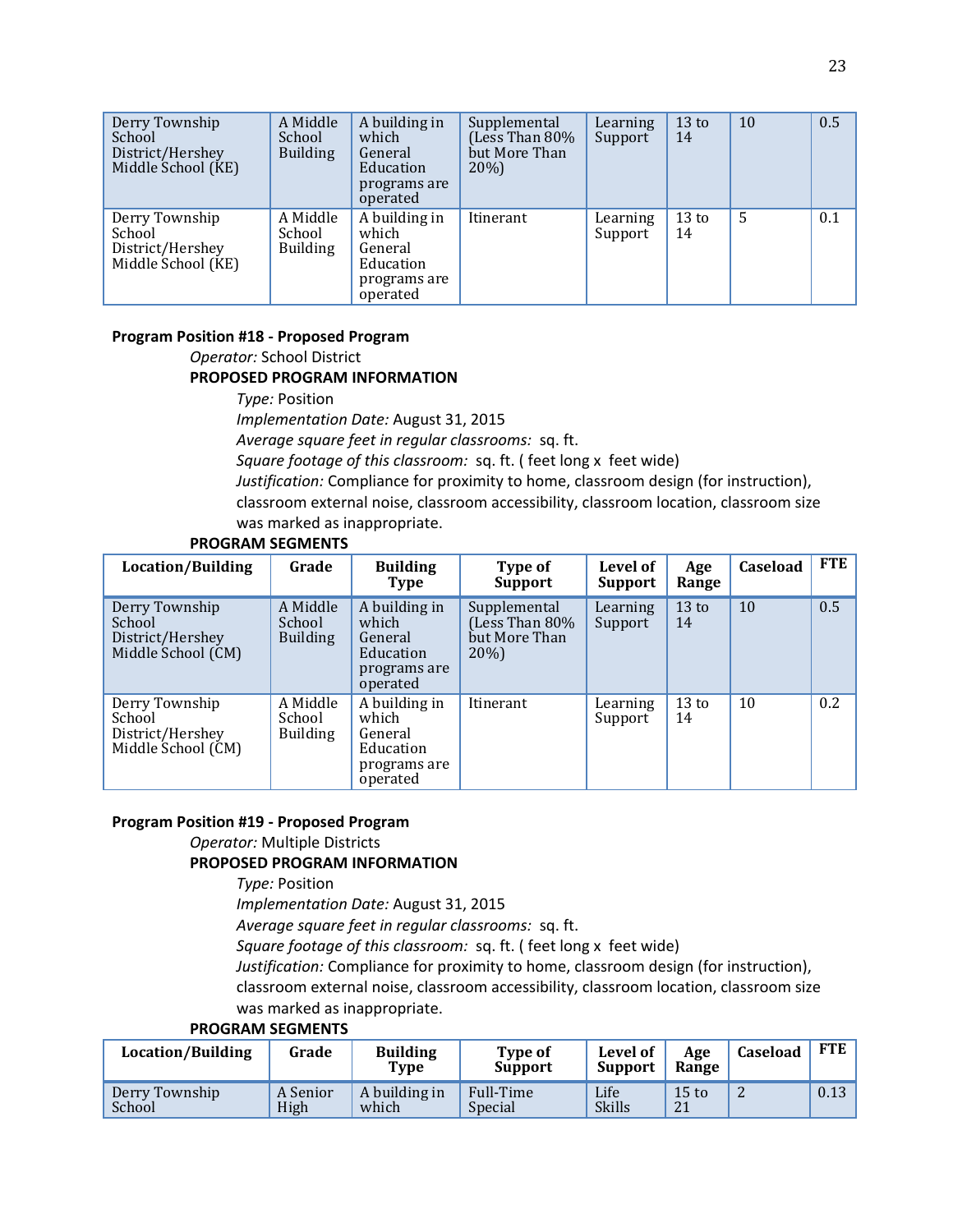| Derry Township<br>School<br>District/Hershey<br>Middle School (KE) | A Middle<br>School<br><b>Building</b> | A building in<br>which<br>General<br>Education<br>programs are<br>operated | Supplemental<br>(Less Than 80%<br>but More Than<br>20%) | Learning<br>Support | 13 <sub>to</sub><br>14 | 10 | 0.5 |
|--------------------------------------------------------------------|---------------------------------------|----------------------------------------------------------------------------|---------------------------------------------------------|---------------------|------------------------|----|-----|
| Derry Township<br>School<br>District/Hershey<br>Middle School (KE) | A Middle<br>School<br><b>Building</b> | A building in<br>which<br>General<br>Education<br>programs are<br>operated | Itinerant                                               | Learning<br>Support | 13 <sub>to</sub><br>14 | 5  | 0.1 |

#### **Program Position #18 - Proposed Program**

*Operator:* School District

#### **PROPOSED PROGRAM INFORMATION**

*Type:* Position

*Implementation Date:* August 31, 2015

*Average square feet in regular classrooms:* sq. ft.

*Square footage of this classroom:* sq. ft. ( feet long x feet wide)

*Justification:* Compliance for proximity to home, classroom design (for instruction), classroom external noise, classroom accessibility, classroom location, classroom size was marked as inappropriate.

#### **PROGRAM SEGMENTS**

| Location/Building                                                  | Grade                                 | <b>Building</b><br><b>Type</b>                                             | Type of<br><b>Support</b>                                 | Level of<br><b>Support</b> | Age<br>Range | Caseload | <b>FTE</b> |
|--------------------------------------------------------------------|---------------------------------------|----------------------------------------------------------------------------|-----------------------------------------------------------|----------------------------|--------------|----------|------------|
| Derry Township<br>School<br>District/Hershey<br>Middle School (CM) | A Middle<br>School<br><b>Building</b> | A building in<br>which<br>General<br>Education<br>programs are<br>operated | Supplemental<br>(Less Than 80%<br>but More Than<br>$20\%$ | Learning<br>Support        | 13 to<br>14  | 10       | 0.5        |
| Derry Township<br>School<br>District/Hershey<br>Middle School (CM) | A Middle<br>School<br><b>Building</b> | A building in<br>which<br>General<br>Education<br>programs are<br>operated | Itinerant                                                 | Learning<br>Support        | 13 to<br>14  | 10       | 0.2        |

#### **Program Position #19 - Proposed Program**

# *Operator:* Multiple Districts

#### **PROPOSED PROGRAM INFORMATION**

*Type:* Position

*Implementation Date:* August 31, 2015

*Average square feet in regular classrooms:* sq. ft.

*Square footage of this classroom:* sq. ft. ( feet long x feet wide)

*Justification:* Compliance for proximity to home, classroom design (for instruction),

classroom external noise, classroom accessibility, classroom location, classroom size was marked as inappropriate.

| Location/Building        | Grade            | <b>Building</b><br>Type | <b>Type of</b><br><b>Support</b> | Level of<br><b>Support</b> | Age<br>Range  | Caseload       | FTE  |
|--------------------------|------------------|-------------------------|----------------------------------|----------------------------|---------------|----------------|------|
| Derry Township<br>School | A Senior<br>High | A building in<br>which  | Full-Time<br>Special             | Life<br><b>Skills</b>      | $15$ to<br>21 | $\overline{L}$ | 0.13 |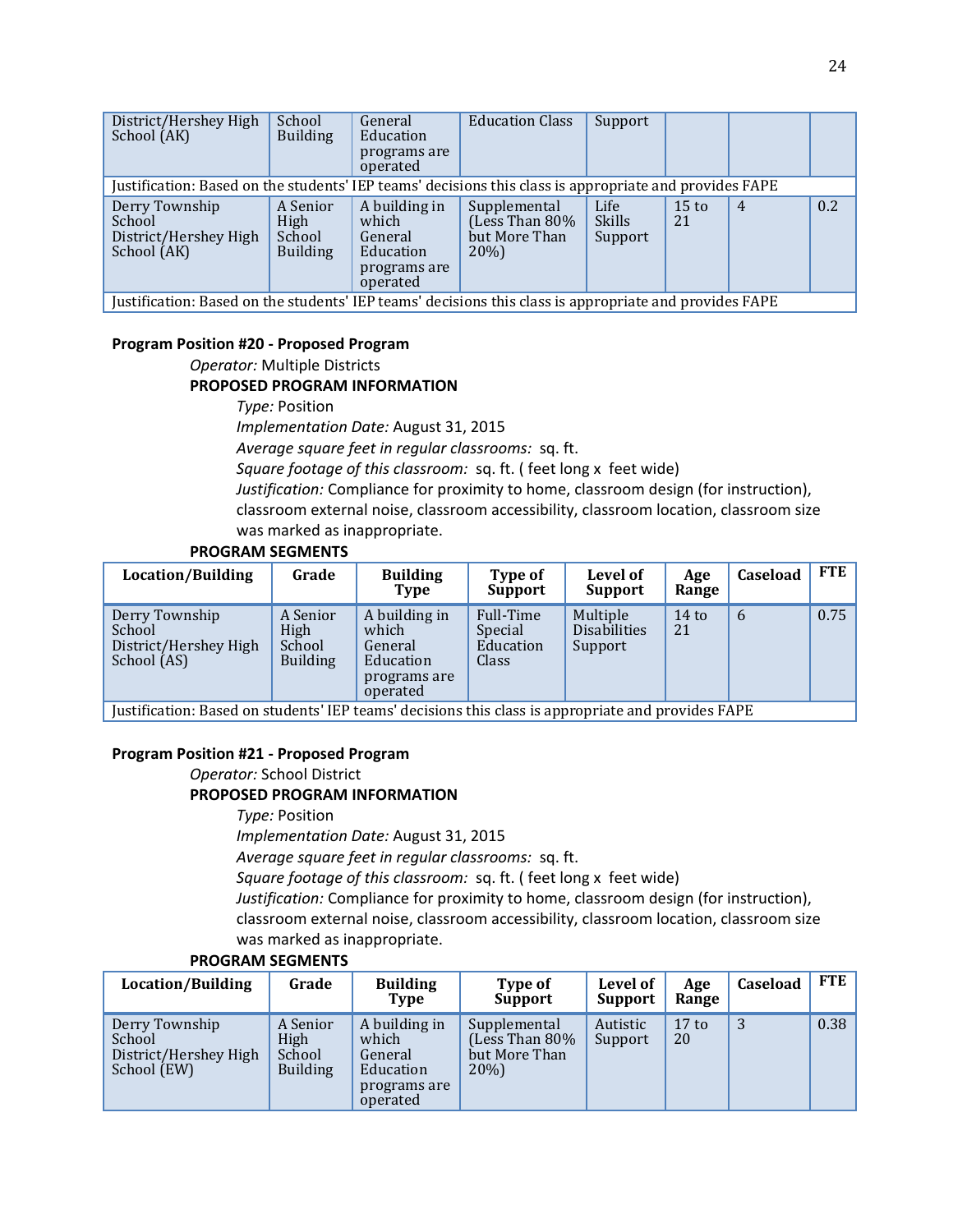| District/Hershey High<br>School (AK)                                                                   | School<br><b>Building</b>                     | General<br>Education<br>programs are<br>operated                           | <b>Education Class</b>                                    | Support                          |                       |                |     |  |
|--------------------------------------------------------------------------------------------------------|-----------------------------------------------|----------------------------------------------------------------------------|-----------------------------------------------------------|----------------------------------|-----------------------|----------------|-----|--|
| Justification: Based on the students' IEP teams' decisions this class is appropriate and provides FAPE |                                               |                                                                            |                                                           |                                  |                       |                |     |  |
| Derry Township<br>School<br>District/Hershey High<br>School (AK)                                       | A Senior<br>High<br>School<br><b>Building</b> | A building in<br>which<br>General<br>Education<br>programs are<br>operated | Supplemental<br>(Less Than 80%<br>but More Than<br>$20\%$ | Life<br><b>Skills</b><br>Support | $15 \text{ to}$<br>21 | $\overline{4}$ | 0.2 |  |
| Justification: Based on the students' IEP teams' decisions this class is appropriate and provides FAPE |                                               |                                                                            |                                                           |                                  |                       |                |     |  |

#### **Program Position #20 - Proposed Program**

*Operator:* Multiple Districts **PROPOSED PROGRAM INFORMATION**

*Type:* Position *Implementation Date:* August 31, 2015 *Average square feet in regular classrooms:* sq. ft. *Square footage of this classroom:* sq. ft. ( feet long x feet wide) *Justification:* Compliance for proximity to home, classroom design (for instruction), classroom external noise, classroom accessibility, classroom location, classroom size was marked as inappropriate.

#### **PROGRAM SEGMENTS**

| Location/Building                                                                                 | Grade                                                | <b>Building</b><br>Type                                                    | Type of<br><b>Support</b>                  | Level of<br>Support                        | Age<br>Range  | Caseload | FTE  |
|---------------------------------------------------------------------------------------------------|------------------------------------------------------|----------------------------------------------------------------------------|--------------------------------------------|--------------------------------------------|---------------|----------|------|
| Derry Township<br>School<br>District/Hershey High<br>School (AS)                                  | A Senior<br><b>High</b><br>School<br><b>Building</b> | A building in<br>which<br>General<br>Education<br>programs are<br>operated | Full-Time<br>Special<br>Education<br>Class | Multiple<br><b>Disabilities</b><br>Support | $14$ to<br>21 | 6        | 0.75 |
| Justification: Rased on students' IED teams' decisions this class is annonriate and provides EADE |                                                      |                                                                            |                                            |                                            |               |          |      |

Justification: Based on students' IEP teams' decisions this class is appropriate and provides FAPE

#### **Program Position #21 - Proposed Program**

*Operator:* School District

#### **PROPOSED PROGRAM INFORMATION**

*Type:* Position

*Implementation Date:* August 31, 2015

*Average square feet in regular classrooms:* sq. ft.

*Square footage of this classroom:* sq. ft. ( feet long x feet wide)

*Justification:* Compliance for proximity to home, classroom design (for instruction), classroom external noise, classroom accessibility, classroom location, classroom size was marked as inappropriate.

| Location/Building                                                | Grade                                         | <b>Building</b><br><b>Type</b>                                             | Type of<br><b>Support</b>                               | Level of<br>Support | Age<br>Range          | Caseload | FTE  |
|------------------------------------------------------------------|-----------------------------------------------|----------------------------------------------------------------------------|---------------------------------------------------------|---------------------|-----------------------|----------|------|
| Derry Township<br>School<br>District/Hershey High<br>School (EW) | A Senior<br>High<br>School<br><b>Building</b> | A building in<br>which<br>General<br>Education<br>programs are<br>operated | Supplemental<br>(Less Than 80%<br>but More Than<br>20%) | Autistic<br>Support | $17 \text{ to}$<br>20 | 3        | 0.38 |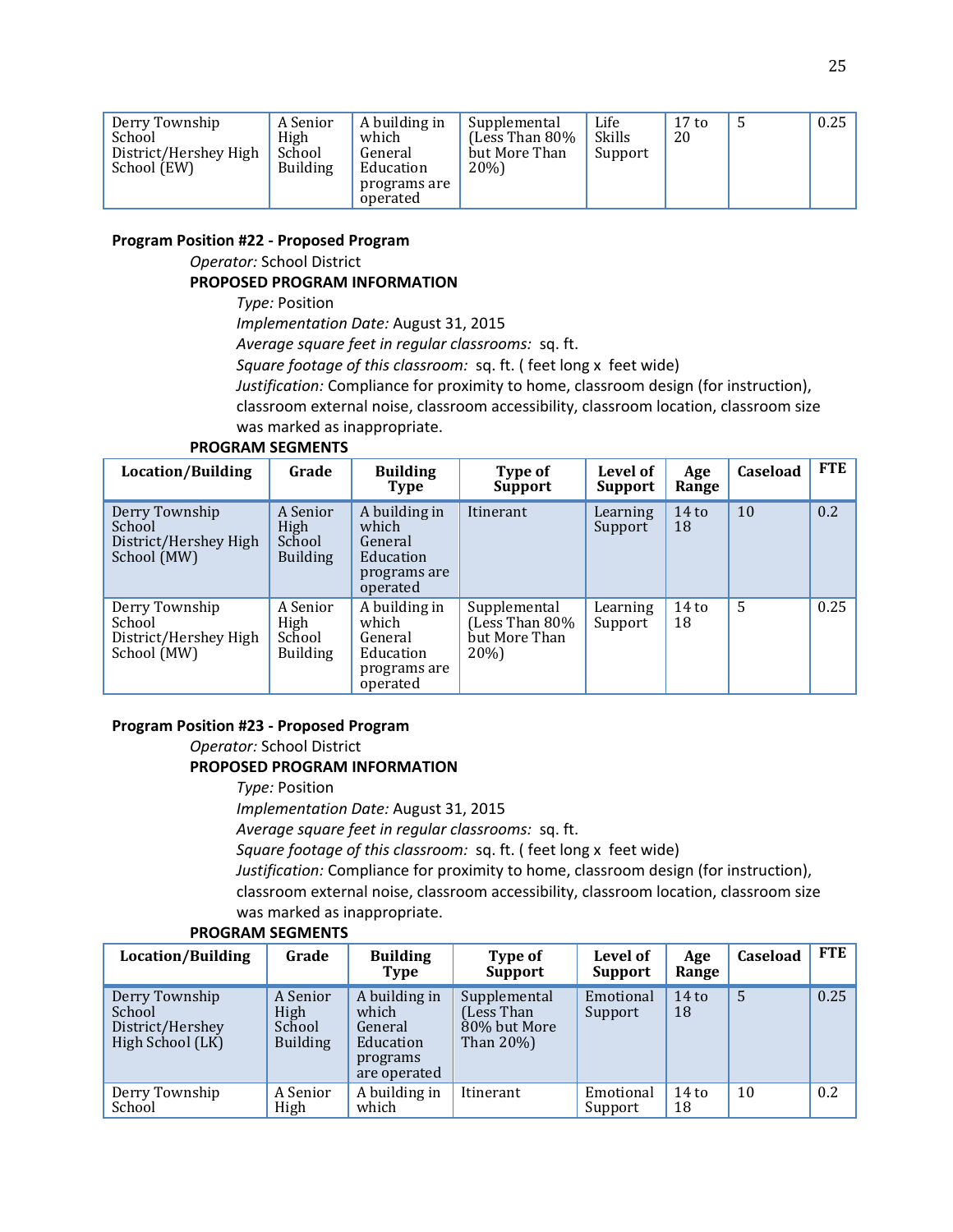| A building in<br>Derry Township<br>A Senior<br>High<br>School<br>which<br>District/Hershey High<br>School<br>General<br><b>Building</b><br>Education<br>School (EW)<br>programs are<br>operated | Supplemental<br>(Less Than 80%<br>but More Than<br>20%) | Life<br>Skills<br>Support | 17 <sub>to</sub><br>20 |  | 0.25 |
|-------------------------------------------------------------------------------------------------------------------------------------------------------------------------------------------------|---------------------------------------------------------|---------------------------|------------------------|--|------|
|-------------------------------------------------------------------------------------------------------------------------------------------------------------------------------------------------|---------------------------------------------------------|---------------------------|------------------------|--|------|

#### **Program Position #22 - Proposed Program**

*Operator:* School District

#### **PROPOSED PROGRAM INFORMATION**

*Type:* Position

*Implementation Date:* August 31, 2015

*Average square feet in regular classrooms:* sq. ft.

*Square footage of this classroom:* sq. ft. ( feet long x feet wide)

*Justification:* Compliance for proximity to home, classroom design (for instruction),

classroom external noise, classroom accessibility, classroom location, classroom size ked as inappropriate.

| was marked as inappropria |  |  |
|---------------------------|--|--|
|                           |  |  |

| Location/Building                                                | Grade                                                | <b>Building</b><br>Type                                                    | Type of<br><b>Support</b>                               | Level of<br>Support | Age<br>Range           | Caseload | <b>FTE</b> |
|------------------------------------------------------------------|------------------------------------------------------|----------------------------------------------------------------------------|---------------------------------------------------------|---------------------|------------------------|----------|------------|
| Derry Township<br>School<br>District/Hershey High<br>School (MW) | A Senior<br>High<br>School<br><b>Building</b>        | A building in<br>which<br>General<br>Education<br>programs are<br>operated | Itinerant                                               | Learning<br>Support | 14 <sub>to</sub><br>18 | 10       | 0.2        |
| Derry Township<br>School<br>District/Hershey High<br>School (MW) | A Senior<br><b>High</b><br>School<br><b>Building</b> | A building in<br>which<br>General<br>Education<br>programs are<br>operated | Supplemental<br>(Less Than 80%<br>but More Than<br>20%) | Learning<br>Support | $14$ to<br>18          | 5        | 0.25       |

#### **PROGRAM SEGMENTS**

#### **Program Position #23 - Proposed Program**

*Operator:* School District

## **PROPOSED PROGRAM INFORMATION**

*Type:* Position *Implementation Date:* August 31, 2015 *Average square feet in regular classrooms:* sq. ft. *Square footage of this classroom:* sq. ft. ( feet long x feet wide) *Justification:* Compliance for proximity to home, classroom design (for instruction), classroom external noise, classroom accessibility, classroom location, classroom size

was marked as inappropriate.

| <b>Location/Building</b>                                         | Grade                                         | <b>Building</b><br>Type                                                    | Type of<br><b>Support</b>                               | Level of<br>Support  | Age<br>Range  | Caseload | <b>FTE</b> |
|------------------------------------------------------------------|-----------------------------------------------|----------------------------------------------------------------------------|---------------------------------------------------------|----------------------|---------------|----------|------------|
| Derry Township<br>School<br>District/Hershey<br>High School (LK) | A Senior<br>High<br>School<br><b>Building</b> | A building in<br>which<br>General<br>Education<br>programs<br>are operated | Supplemental<br>(Less Than<br>80% but More<br>Than 20%) | Emotional<br>Support | $14$ to<br>18 | 5        | 0.25       |
| Derry Township<br>School                                         | A Senior<br>High                              | A building in<br>which                                                     | Itinerant                                               | Emotional<br>Support | $14$ to<br>18 | 10       | 0.2        |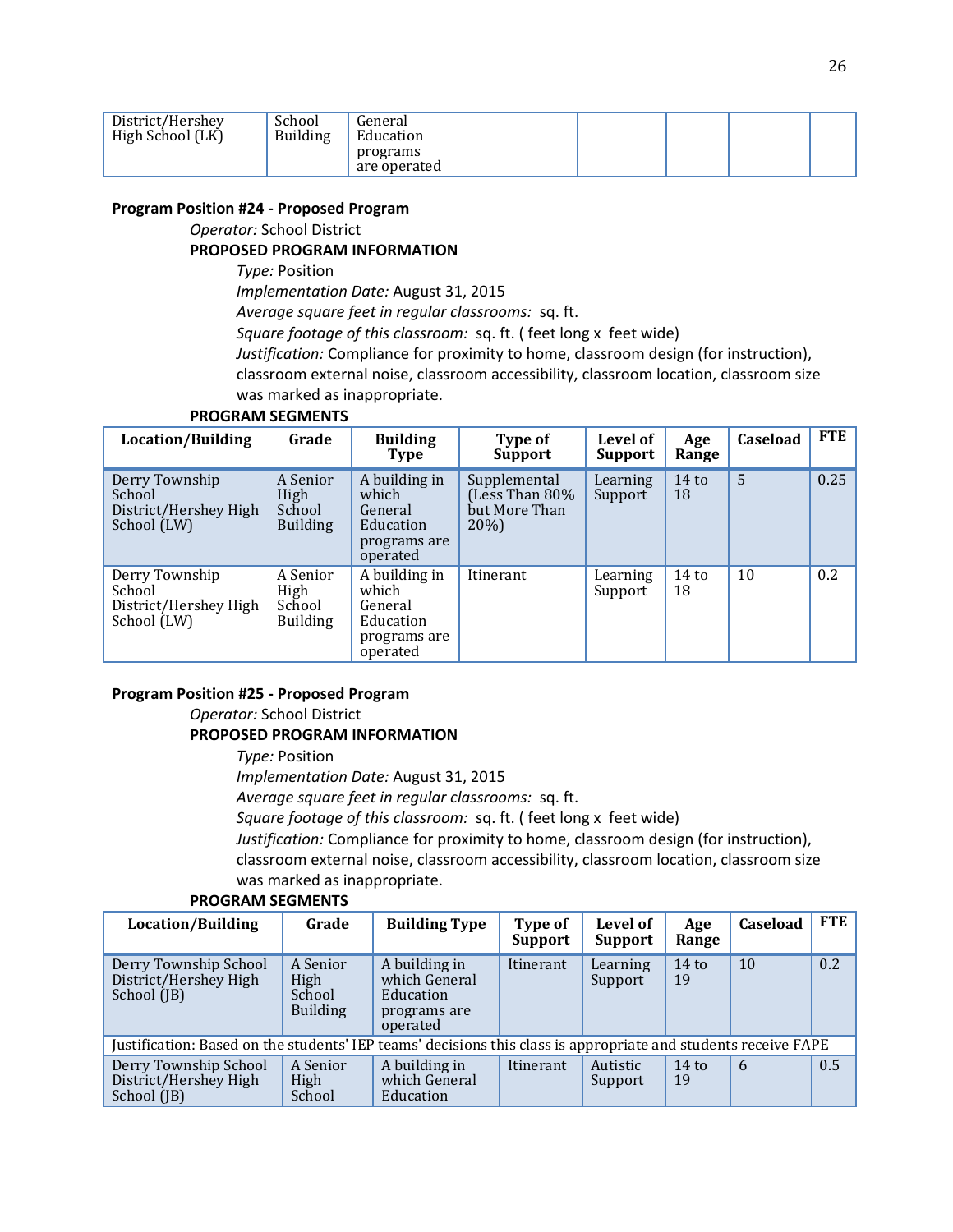| District/Hershey<br>High School (LK) | School<br><b>Building</b> | General<br>Education     |  |  |  |
|--------------------------------------|---------------------------|--------------------------|--|--|--|
|                                      |                           | programs<br>are operated |  |  |  |

#### **Program Position #24 - Proposed Program**

#### *Operator:* School District

#### **PROPOSED PROGRAM INFORMATION**

*Type:* Position

*Implementation Date:* August 31, 2015

*Average square feet in regular classrooms:* sq. ft.

*Square footage of this classroom:* sq. ft. ( feet long x feet wide)

*Justification:* Compliance for proximity to home, classroom design (for instruction), classroom external noise, classroom accessibility, classroom location, classroom size

was marked as inappropriate.

| Location/Building                                                | Grade                                         | <b>Building</b><br><b>Type</b>                                             | Type of<br><b>Support</b>                              | Level of<br><b>Support</b> | Age<br>Range           | Caseload | <b>FTE</b> |
|------------------------------------------------------------------|-----------------------------------------------|----------------------------------------------------------------------------|--------------------------------------------------------|----------------------------|------------------------|----------|------------|
| Derry Township<br>School<br>District/Hershey High<br>School (LW) | A Senior<br>High<br>School<br><b>Building</b> | A building in<br>which<br>General<br>Education<br>programs are<br>operated | Supplemental<br>Less Than 80%<br>but More Than<br>20%) | Learning<br>Support        | 14 <sub>to</sub><br>18 | 5        | 0.25       |
| Derry Township<br>School<br>District/Hershey High<br>School (LW) | A Senior<br>High<br>School<br><b>Building</b> | A building in<br>which<br>General<br>Education<br>programs are<br>operated | Itinerant                                              | Learning<br>Support        | 14 <sub>to</sub><br>18 | 10       | 0.2        |

#### **PROGRAM SEGMENTS**

#### **Program Position #25 - Proposed Program**

*Operator:* School District

#### **PROPOSED PROGRAM INFORMATION**

*Type:* Position

*Implementation Date:* August 31, 2015

*Average square feet in regular classrooms:* sq. ft.

*Square footage of this classroom:* sq. ft. ( feet long x feet wide)

*Justification:* Compliance for proximity to home, classroom design (for instruction), classroom external noise, classroom accessibility, classroom location, classroom size was marked as inappropriate.

| Location/Building                                                                                              | Grade                                         | <b>Building Type</b>                                                    | Type of<br><b>Support</b> | Level of<br><b>Support</b> | Age<br>Range  | <b>Caseload</b> | <b>FTE</b> |
|----------------------------------------------------------------------------------------------------------------|-----------------------------------------------|-------------------------------------------------------------------------|---------------------------|----------------------------|---------------|-----------------|------------|
| Derry Township School<br>District/Hershey High<br>School (JB)                                                  | A Senior<br>High<br>School<br><b>Building</b> | A building in<br>which General<br>Education<br>programs are<br>operated | Itinerant                 | Learning<br>Support        | $14$ to<br>19 | 10              | 0.2        |
| Justification: Based on the students' IEP teams' decisions this class is appropriate and students receive FAPE |                                               |                                                                         |                           |                            |               |                 |            |
| Derry Township School<br>District/Hershey High<br>School (JB)                                                  | A Senior<br>High<br>School                    | A building in<br>which General<br>Education                             | Itinerant                 | Autistic<br>Support        | $14$ to<br>19 | 6               | 0.5        |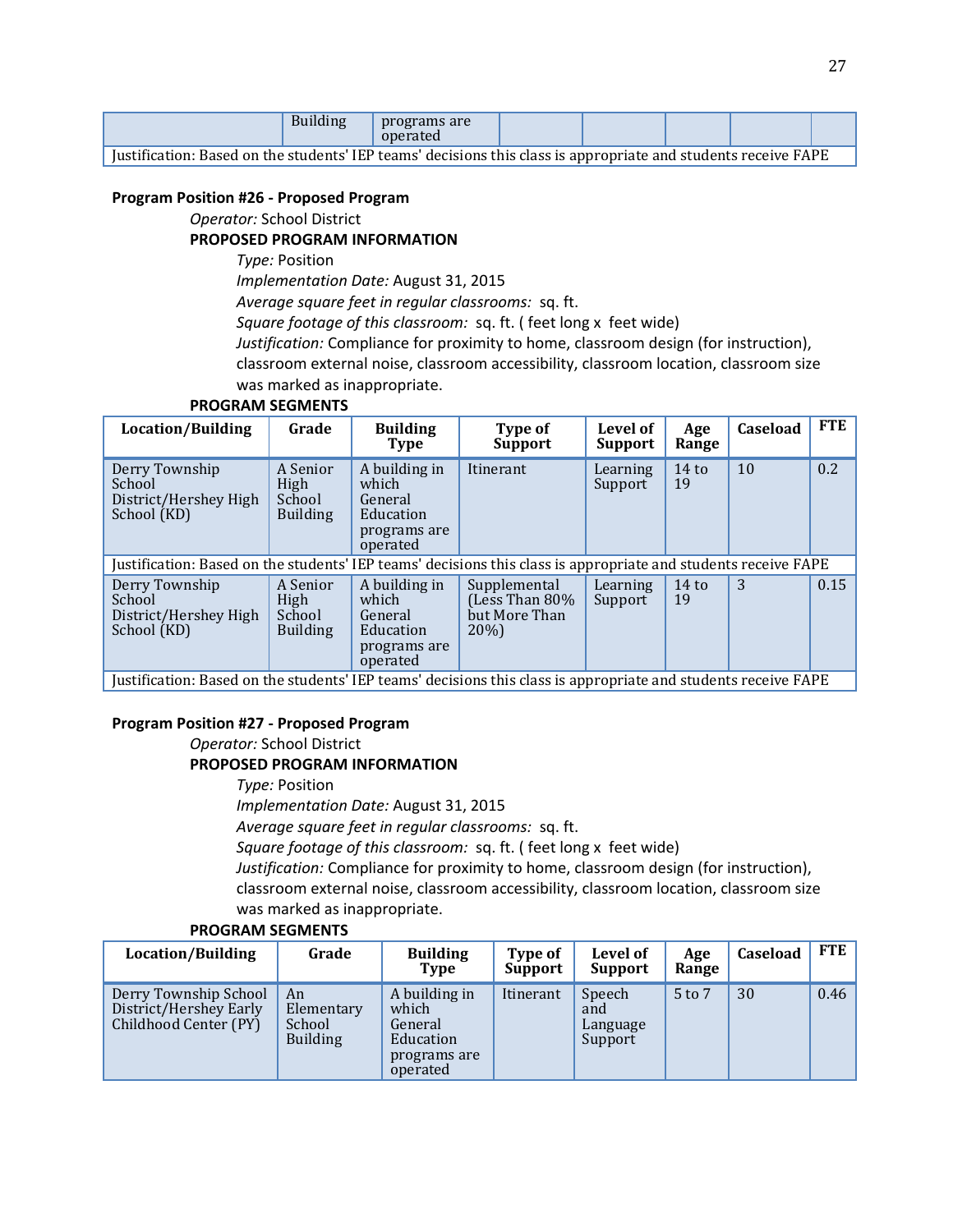|                                                                              | $\sqrt{ }$<br>Dunume | programs are<br>$n$ Oner<br>alea |  |                     |  |
|------------------------------------------------------------------------------|----------------------|----------------------------------|--|---------------------|--|
| $\sim$ $\sim$<br>$\overline{\phantom{0}}$<br>$\overline{\phantom{a}}$<br>. . | $\mathbf{r}$         | . .                              |  | $\sim \cdot$ $\sim$ |  |

Justification: Based on the students' IEP teams' decisions this class is appropriate and students receive FAPE

#### **Program Position #26 - Proposed Program**

*Operator:* School District

#### **PROPOSED PROGRAM INFORMATION**

*Type:* Position

*Implementation Date:* August 31, 2015

*Average square feet in regular classrooms:* sq. ft.

*Square footage of this classroom:* sq. ft. ( feet long x feet wide)

*Justification:* Compliance for proximity to home, classroom design (for instruction), classroom external noise, classroom accessibility, classroom location, classroom size was marked as inappropriate.

#### **PROGRAM SEGMENTS**

| Location/Building                                                                                              | Grade                                         | <b>Building</b><br><b>Type</b>                                             | Type of<br><b>Support</b>                              | Level of<br><b>Support</b> | Age<br>Range  | Caseload | <b>FTE</b> |
|----------------------------------------------------------------------------------------------------------------|-----------------------------------------------|----------------------------------------------------------------------------|--------------------------------------------------------|----------------------------|---------------|----------|------------|
| Derry Township<br>School<br>District/Hershey High<br>School (KD)                                               | A Senior<br>High<br>School<br><b>Building</b> | A building in<br>which<br>General<br>Education<br>programs are<br>operated | Itinerant                                              | Learning<br>Support        | $14$ to<br>19 | 10       | 0.2        |
| Justification: Based on the students' IEP teams' decisions this class is appropriate and students receive FAPE |                                               |                                                                            |                                                        |                            |               |          |            |
| Derry Township<br>School<br>District/Hershey High<br>School (KD)                                               | A Senior<br>High<br>School<br><b>Building</b> | A building in<br>which<br>General<br>Education<br>programs are<br>operated | Supplemental<br>(Less Than 80%<br>but More Than<br>20% | Learning<br>Support        | $14$ to<br>19 | 3        | 0.15       |

Justification: Based on the students' IEP teams' decisions this class is appropriate and students receive FAPE

#### **Program Position #27 - Proposed Program**

*Operator:* School District

#### **PROPOSED PROGRAM INFORMATION**

*Type:* Position

*Implementation Date:* August 31, 2015

*Average square feet in regular classrooms:* sq. ft.

*Square footage of this classroom:* sq. ft. ( feet long x feet wide)

*Justification:* Compliance for proximity to home, classroom design (for instruction), classroom external noise, classroom accessibility, classroom location, classroom size was marked as inappropriate.

| Location/Building                                                        | Grade                                         | <b>Building</b><br>Type                                                    | Type of<br>Support | Level of<br><b>Support</b>           | Age<br>Range | <b>Caseload</b> | <b>FTE</b> |
|--------------------------------------------------------------------------|-----------------------------------------------|----------------------------------------------------------------------------|--------------------|--------------------------------------|--------------|-----------------|------------|
| Derry Township School<br>District/Hershey Early<br>Childhood Center (PY) | An<br>Elementary<br>School<br><b>Building</b> | A building in<br>which<br>General<br>Education<br>programs are<br>operated | Itinerant          | Speech<br>and<br>Language<br>Support | 5 to 7       | 30              | 0.46       |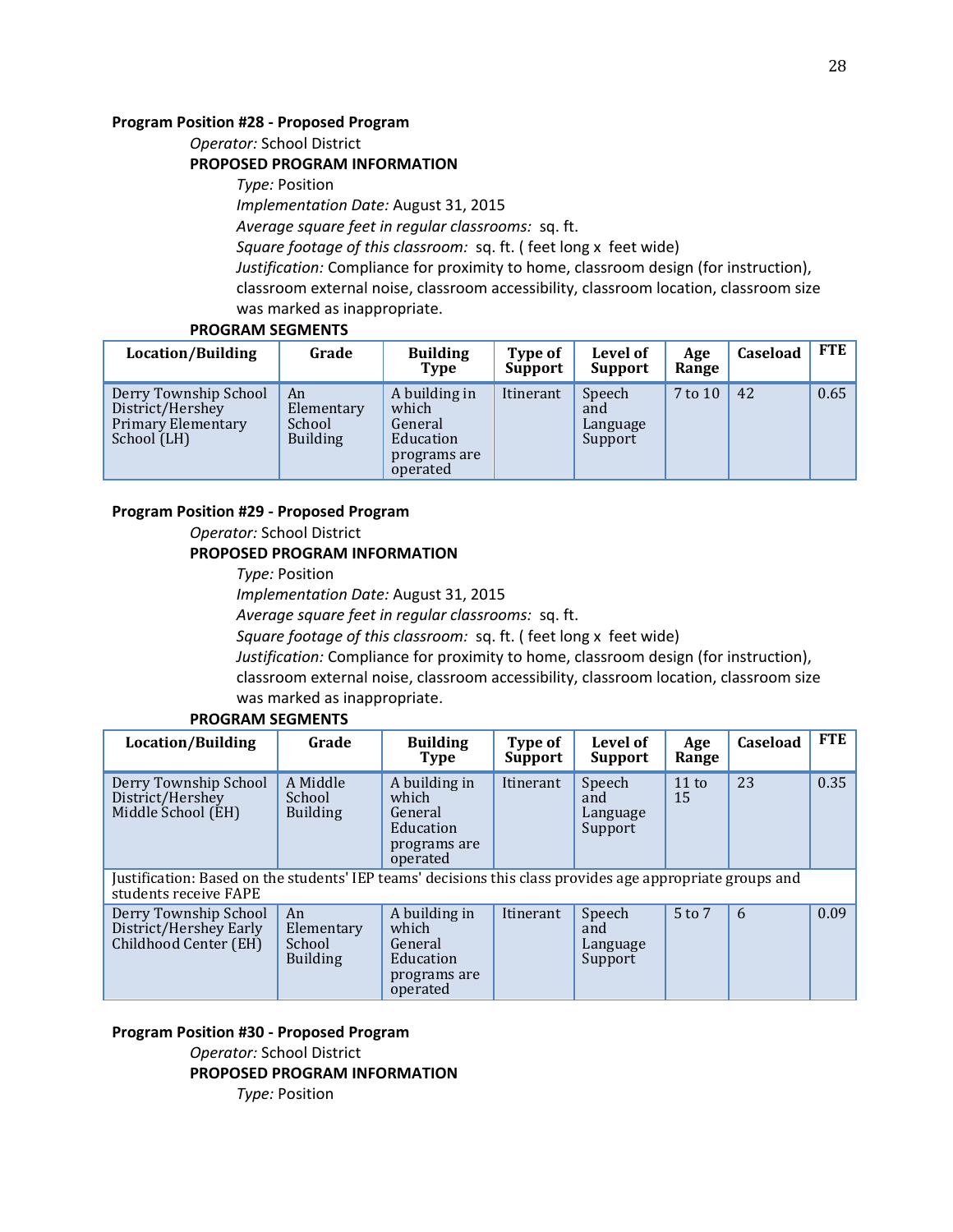#### **Program Position #28 - Proposed Program**

*Operator:* School District

#### **PROPOSED PROGRAM INFORMATION**

*Type:* Position *Implementation Date:* August 31, 2015 *Average square feet in regular classrooms:* sq. ft. *Square footage of this classroom:* sq. ft. ( feet long x feet wide) *Justification:* Compliance for proximity to home, classroom design (for instruction), classroom external noise, classroom accessibility, classroom location, classroom size was marked as inappropriate.

#### **PROGRAM SEGMENTS**

| Location/Building                                                              | Grade                                         | <b>Building</b><br>Type                                                    | Type of<br>Support | Level of<br><b>Support</b>           | Age<br>Range | Caseload | <b>FTE</b> |
|--------------------------------------------------------------------------------|-----------------------------------------------|----------------------------------------------------------------------------|--------------------|--------------------------------------|--------------|----------|------------|
| Derry Township School<br>District/Hershey<br>Primary Elementary<br>School (LH) | An<br>Elementary<br>School<br><b>Building</b> | A building in<br>which<br>General<br>Education<br>programs are<br>operated | Itinerant          | Speech<br>and<br>Language<br>Support | 7 to 10      | 42       | 0.65       |

#### **Program Position #29 - Proposed Program**

*Operator:* School District

#### **PROPOSED PROGRAM INFORMATION**

*Type:* Position *Implementation Date:* August 31, 2015 *Average square feet in regular classrooms:* sq. ft. *Square footage of this classroom:* sq. ft. ( feet long x feet wide) *Justification:* Compliance for proximity to home, classroom design (for instruction), classroom external noise, classroom accessibility, classroom location, classroom size was marked as inappropriate.

#### **PROGRAM SEGMENTS**

| Location/Building                                                                                                                  | Grade                                         | <b>Building</b><br>Type                                                    | Type of<br><b>Support</b> | Level of<br>Support                  | Age<br>Range          | Caseload | <b>FTE</b> |
|------------------------------------------------------------------------------------------------------------------------------------|-----------------------------------------------|----------------------------------------------------------------------------|---------------------------|--------------------------------------|-----------------------|----------|------------|
| Derry Township School<br>District/Hershey<br>Middle School (EH)                                                                    | A Middle<br>School<br><b>Building</b>         | A building in<br>which<br>General<br>Education<br>programs are<br>operated | Itinerant                 | Speech<br>and<br>Language<br>Support | $11 \text{ to}$<br>15 | 23       | 0.35       |
| Justification: Based on the students' IEP teams' decisions this class provides age appropriate groups and<br>students receive FAPE |                                               |                                                                            |                           |                                      |                       |          |            |
| Derry Township School<br>District/Hershey Early<br>Childhood Center (EH)                                                           | An<br>Elementary<br>School<br><b>Building</b> | A building in<br>which<br>General<br>Education<br>programs are<br>operated | Itinerant                 | Speech<br>and<br>Language<br>Support | 5 to 7                | 6        | 0.09       |

#### **Program Position #30 - Proposed Program**

*Operator:* School District

**PROPOSED PROGRAM INFORMATION**

*Type:* Position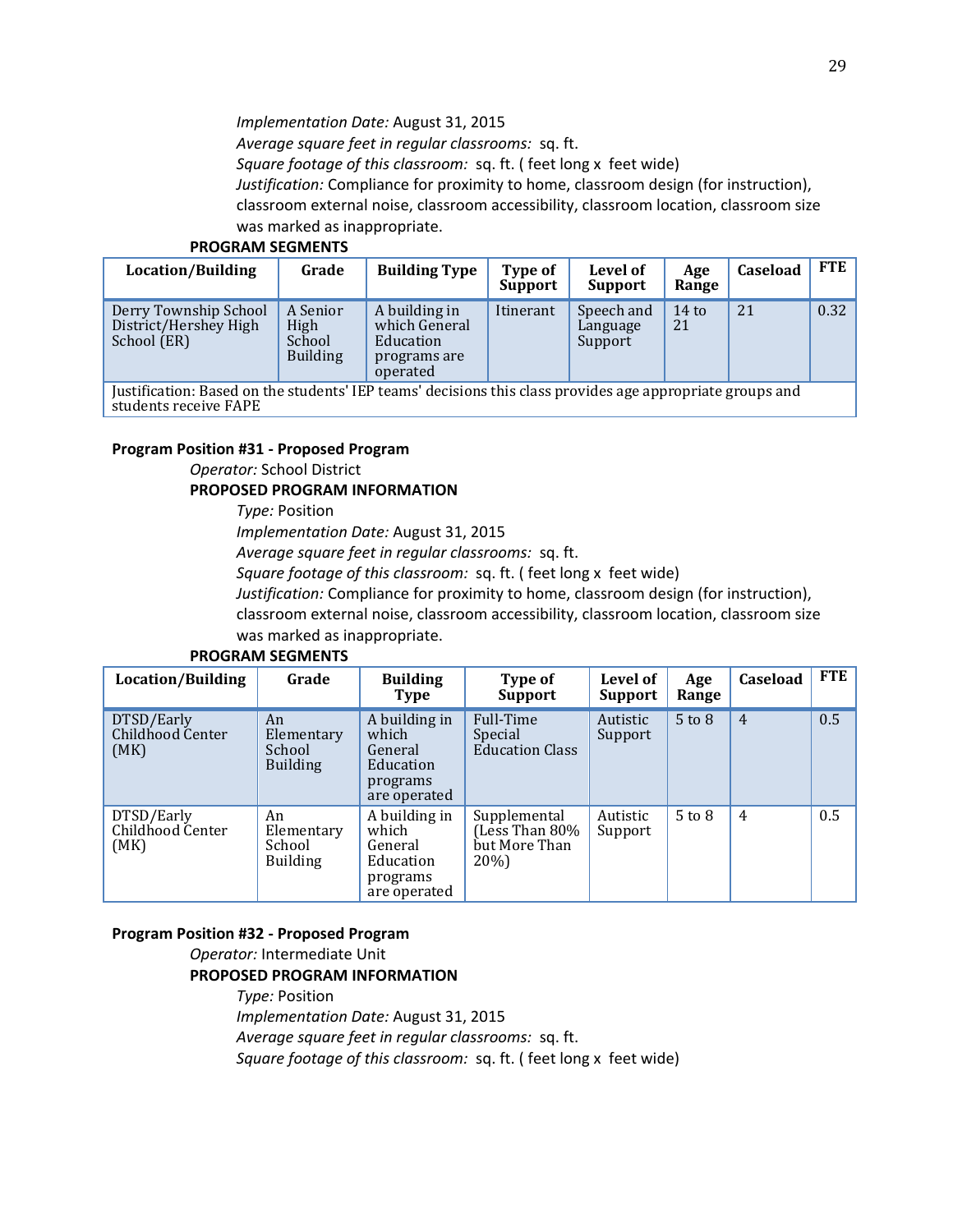*Implementation Date:* August 31, 2015

*Average square feet in regular classrooms:* sq. ft.

*Square footage of this classroom:* sq. ft. ( feet long x feet wide)

*Justification:* Compliance for proximity to home, classroom design (for instruction),

classroom external noise, classroom accessibility, classroom location, classroom size was marked as inappropriate.

#### **PROGRAM SEGMENTS**

| Location/Building                                                                                         | Grade                                         | <b>Building Type</b>                                                    | Type of<br>Support | Level of<br>Support               | Age<br>Range  | Caseload | <b>FTE</b> |
|-----------------------------------------------------------------------------------------------------------|-----------------------------------------------|-------------------------------------------------------------------------|--------------------|-----------------------------------|---------------|----------|------------|
| Derry Township School<br>District/Hershey High<br>School (ER)                                             | A Senior<br>High<br>School<br><b>Building</b> | A building in<br>which General<br>Education<br>programs are<br>operated | Itinerant          | Speech and<br>Language<br>Support | $14$ to<br>21 | 21       | 0.32       |
| Iustification: Based on the students' IEP teams' decisions this class provides age appropriate groups and |                                               |                                                                         |                    |                                   |               |          |            |

is class provides age appropriate gr students receive FAPE

#### **Program Position #31 - Proposed Program**

*Operator:* School District

#### **PROPOSED PROGRAM INFORMATION**

*Type:* Position

*Implementation Date:* August 31, 2015

*Average square feet in regular classrooms:* sq. ft.

*Square footage of this classroom:* sq. ft. ( feet long x feet wide)

*Justification:* Compliance for proximity to home, classroom design (for instruction),

classroom external noise, classroom accessibility, classroom location, classroom size was marked as inappropriate.

| Location/Building                      | Grade                                         | <b>Building</b><br><b>Type</b>                                             | Type of<br><b>Support</b>                              | Level of<br>Support | Age<br>Range | Caseload       | <b>FTE</b> |
|----------------------------------------|-----------------------------------------------|----------------------------------------------------------------------------|--------------------------------------------------------|---------------------|--------------|----------------|------------|
| DTSD/Early<br>Childhood Center<br>(MK) | An<br>Elementary<br>School<br><b>Building</b> | A building in<br>which<br>General<br>Education<br>programs<br>are operated | Full-Time<br>Special<br><b>Education Class</b>         | Autistic<br>Support | $5$ to $8$   | $\overline{4}$ | 0.5        |
| DTSD/Early<br>Childhood Center<br>(MK) | An<br>Elementary<br>School<br><b>Building</b> | A building in<br>which<br>General<br>Education<br>programs<br>are operated | Supplemental<br>(Less Than 80%<br>but More Than<br>20% | Autistic<br>Support | $5$ to $8$   | 4              | 0.5        |

#### **PROGRAM SEGMENTS**

#### **Program Position #32 - Proposed Program**

*Operator:* Intermediate Unit

#### **PROPOSED PROGRAM INFORMATION**

*Type:* Position *Implementation Date:* August 31, 2015 *Average square feet in regular classrooms:* sq. ft. *Square footage of this classroom:* sq. ft. ( feet long x feet wide)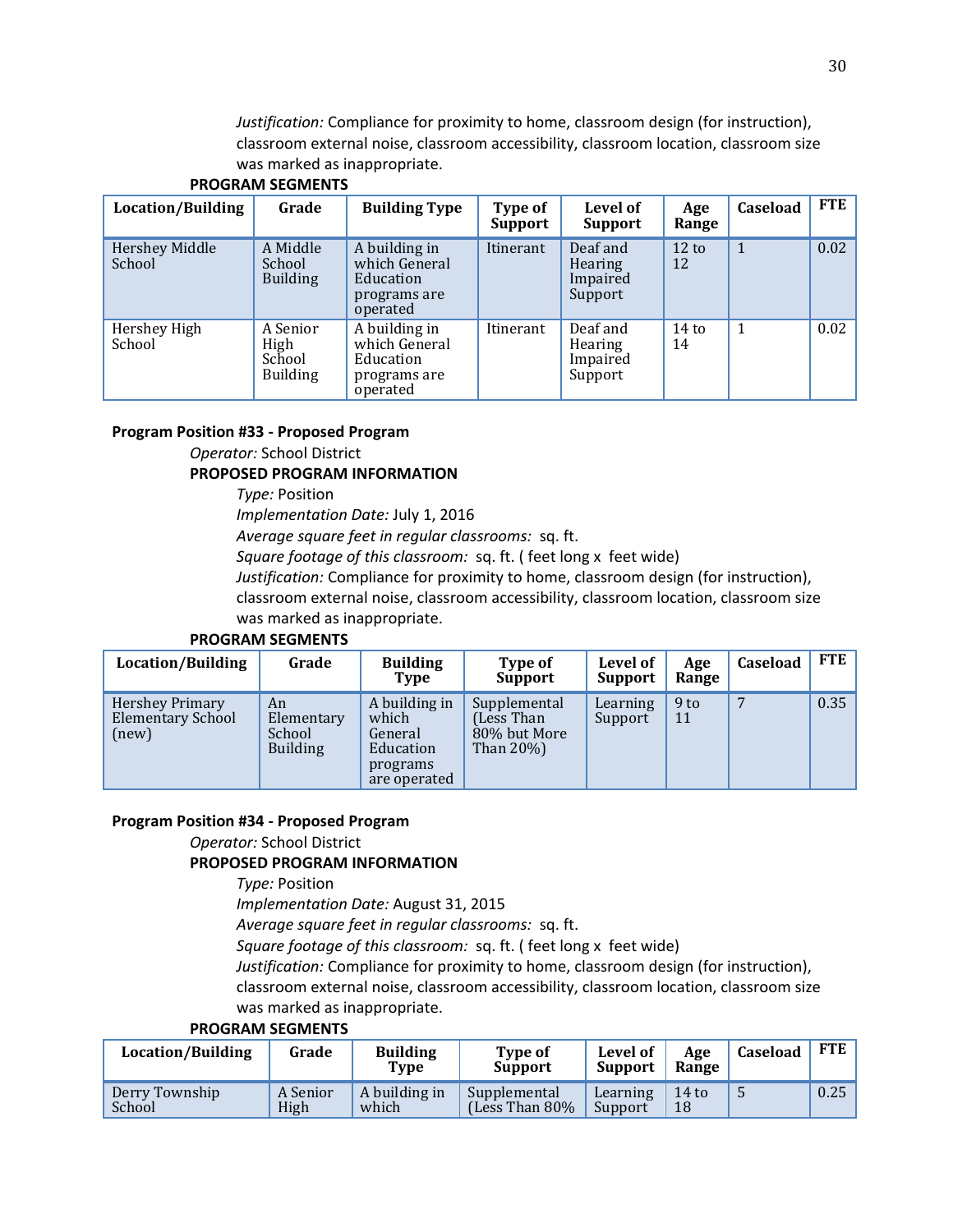*Justification:* Compliance for proximity to home, classroom design (for instruction), classroom external noise, classroom accessibility, classroom location, classroom size was marked as inappropriate.

| Location/Building        | Grade                                         | <b>Building Type</b>                                                    | Type of<br>Support | Level of<br><b>Support</b>                        | Age<br>Range          | Caseload | <b>FTE</b> |
|--------------------------|-----------------------------------------------|-------------------------------------------------------------------------|--------------------|---------------------------------------------------|-----------------------|----------|------------|
| Hershey Middle<br>School | A Middle<br>School<br><b>Building</b>         | A building in<br>which General<br>Education<br>programs are<br>operated | Itinerant          | Deaf and<br><b>Hearing</b><br>Impaired<br>Support | $12 \text{ to}$<br>12 | 1        | 0.02       |
| Hershey High<br>School   | A Senior<br>High<br>School<br><b>Building</b> | A building in<br>which General<br>Education<br>programs are<br>operated | Itinerant          | Deaf and<br><b>Hearing</b><br>Impaired<br>Support | $14$ to<br>14         |          | 0.02       |

## **PROGRAM SEGMENTS**

#### **Program Position #33 - Proposed Program**

*Operator:* School District

#### **PROPOSED PROGRAM INFORMATION**

*Type:* Position

*Implementation Date:* July 1, 2016

*Average square feet in regular classrooms:* sq. ft.

*Square footage of this classroom:* sq. ft. ( feet long x feet wide)

*Justification:* Compliance for proximity to home, classroom design (for instruction),

classroom external noise, classroom accessibility, classroom location, classroom size was marked as inappropriate.

#### **PROGRAM SEGMENTS**

| Location/Building                             | Grade                                         | <b>Building</b><br>Type                                                    | Type of<br><b>Support</b>                                    | Level of<br><b>Support</b> | Age<br>Range          | <b>Caseload</b> | <b>FTE</b> |
|-----------------------------------------------|-----------------------------------------------|----------------------------------------------------------------------------|--------------------------------------------------------------|----------------------------|-----------------------|-----------------|------------|
| Hershey Primary<br>Elementary School<br>(new) | An<br>Elementary<br>School<br><b>Building</b> | A building in<br>which<br>General<br>Education<br>programs<br>are operated | Supplemental<br>(Less Than)<br>80% but More<br>Than $20\%$ ) | Learning<br>Support        | 9 <sub>to</sub><br>11 | 7               | 0.35       |

#### **Program Position #34 - Proposed Program**

# *Operator:* School District

#### **PROPOSED PROGRAM INFORMATION**

*Type:* Position

*Implementation Date:* August 31, 2015

*Average square feet in regular classrooms:* sq. ft.

*Square footage of this classroom:* sq. ft. ( feet long x feet wide)

*Justification:* Compliance for proximity to home, classroom design (for instruction),

classroom external noise, classroom accessibility, classroom location, classroom size was marked as inappropriate.

| Location/Building        | Grade            | <b>Building</b><br>Type | <b>Type of</b><br><b>Support</b>    | Level of<br><b>Support</b> | Age<br>Range  | Caseload | FTE  |
|--------------------------|------------------|-------------------------|-------------------------------------|----------------------------|---------------|----------|------|
| Derry Township<br>School | A Senior<br>High | A building in<br>which  | Supplemental<br>(Less Than $80\%$ ) | Learning<br>Support        | $14$ to<br>18 | C        | 0.25 |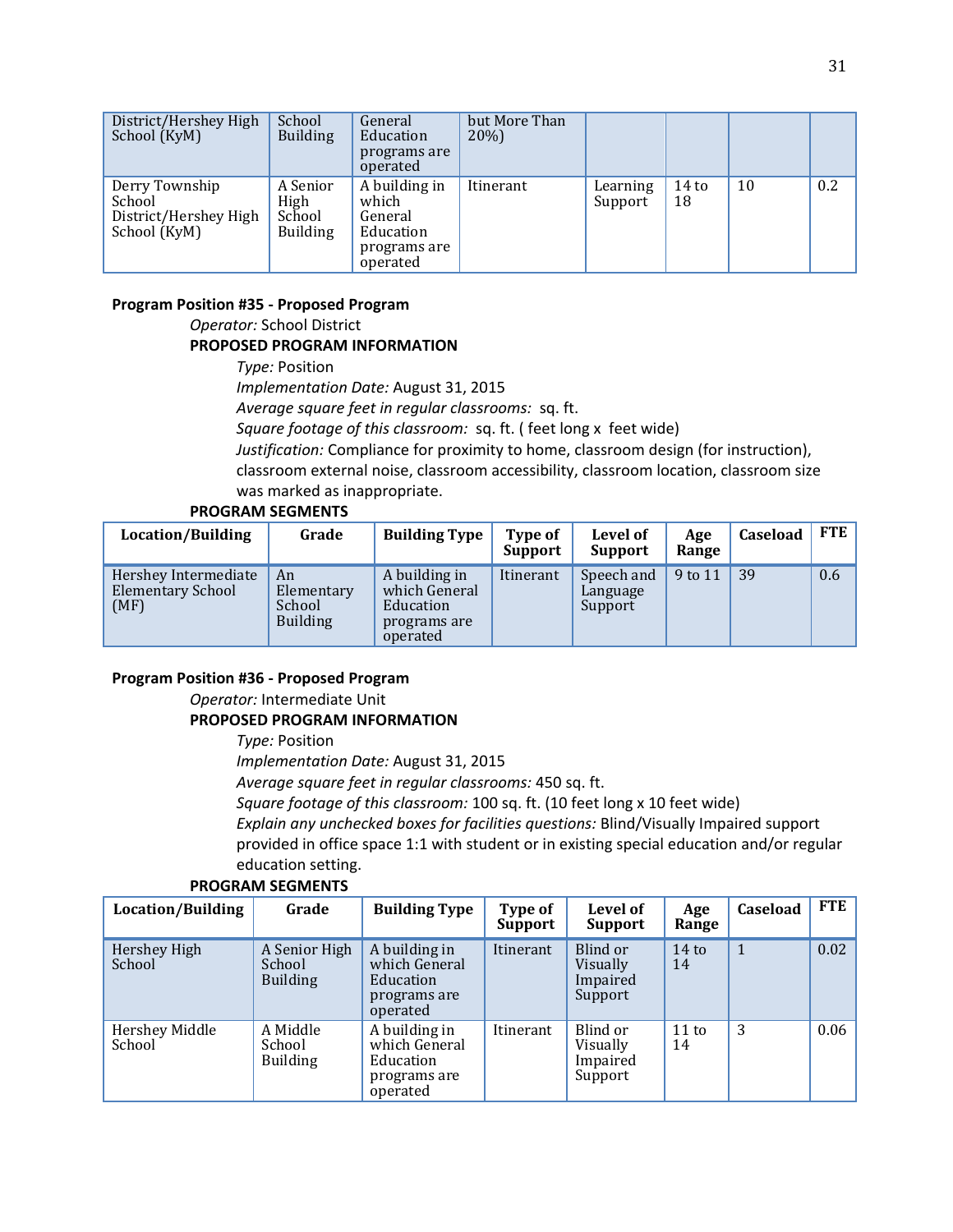| District/Hershey High<br>School (KyM)                             | School<br><b>Building</b>                     | General<br>Education<br>programs are<br>operated                           | but More Than<br>20%) |                     |               |    |     |
|-------------------------------------------------------------------|-----------------------------------------------|----------------------------------------------------------------------------|-----------------------|---------------------|---------------|----|-----|
| Derry Township<br>School<br>District/Hershey High<br>School (KyM) | A Senior<br>High<br>School<br><b>Building</b> | A building in<br>which<br>General<br>Education<br>programs are<br>operated | Itinerant             | Learning<br>Support | $14$ to<br>18 | 10 | 0.2 |

#### **Program Position #35 - Proposed Program**

### *Operator:* School District **PROPOSED PROGRAM INFORMATION**

*Type:* Position *Implementation Date:* August 31, 2015 *Average square feet in regular classrooms:* sq. ft. *Square footage of this classroom:* sq. ft. ( feet long x feet wide) *Justification:* Compliance for proximity to home, classroom design (for instruction), classroom external noise, classroom accessibility, classroom location, classroom size was marked as inappropriate.

#### **PROGRAM SEGMENTS**

| Location/Building                                        | Grade                                         | <b>Building Type</b>                                                    | Type of<br><b>Support</b> | Level of<br><b>Support</b>        | Age<br>Range | Caseload | FTE |
|----------------------------------------------------------|-----------------------------------------------|-------------------------------------------------------------------------|---------------------------|-----------------------------------|--------------|----------|-----|
| Hershey Intermediate<br><b>Elementary School</b><br>(MF) | An<br>Elementary<br>School<br><b>Building</b> | A building in<br>which General<br>Education<br>programs are<br>operated | Itinerant                 | Speech and<br>Language<br>Support | 9 to 11      | 39       | 0.6 |

#### **Program Position #36 - Proposed Program**

*Operator:* Intermediate Unit

#### **PROPOSED PROGRAM INFORMATION**

*Type:* Position

*Implementation Date:* August 31, 2015

*Average square feet in regular classrooms:* 450 sq. ft.

*Square footage of this classroom:* 100 sq. ft. (10 feet long x 10 feet wide)

*Explain any unchecked boxes for facilities questions:* Blind/Visually Impaired support provided in office space 1:1 with student or in existing special education and/or regular education setting.

| Location/Building        | Grade                                      | <b>Building Type</b>                                                    | Type of<br><b>Support</b> | <b>Level of</b><br>Support                  | Age<br>Range          | Caseload     | <b>FTE</b> |
|--------------------------|--------------------------------------------|-------------------------------------------------------------------------|---------------------------|---------------------------------------------|-----------------------|--------------|------------|
| Hershey High<br>School   | A Senior High<br>School<br><b>Building</b> | A building in<br>which General<br>Education<br>programs are<br>operated | Itinerant                 | Blind or<br>Visually<br>Impaired<br>Support | $14$ to<br>14         | $\mathbf{1}$ | 0.02       |
| Hershey Middle<br>School | A Middle<br>School<br><b>Building</b>      | A building in<br>which General<br>Education<br>programs are<br>operated | Itinerant                 | Blind or<br>Visually<br>Impaired<br>Support | $11 \text{ to}$<br>14 | 3            | 0.06       |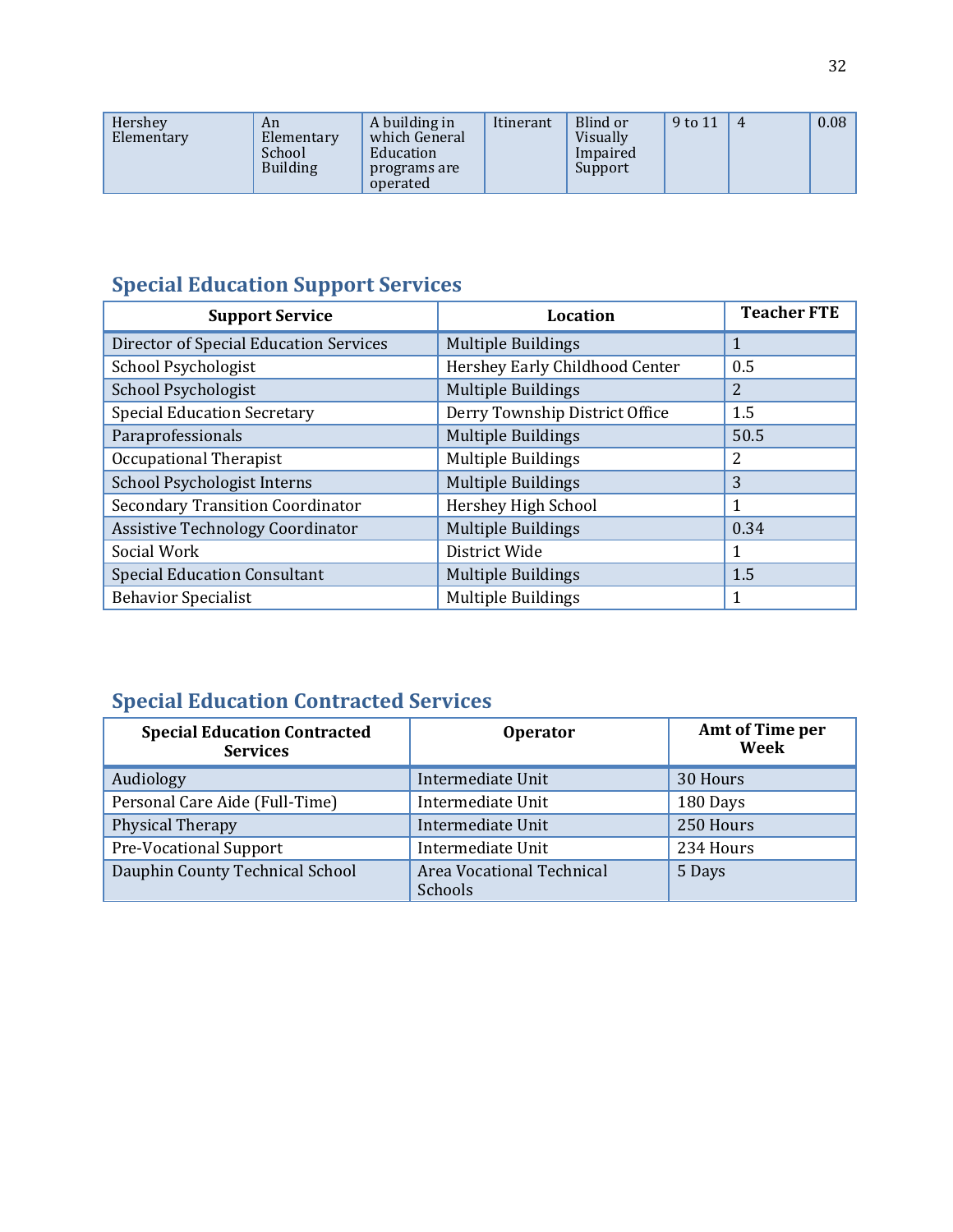| A building in<br>Hershey<br>An<br>Elementary<br>Elementary<br>which General<br>School<br>Education<br><b>Building</b><br>programs are<br>operated | Itinerant | Blind or<br>Visually<br>Impaired<br>Support | 9 to 11 | 4 | 0.08 |
|---------------------------------------------------------------------------------------------------------------------------------------------------|-----------|---------------------------------------------|---------|---|------|
|---------------------------------------------------------------------------------------------------------------------------------------------------|-----------|---------------------------------------------|---------|---|------|

# **Special Education Support Services**

| <b>Support Service</b>                  | <b>Location</b>                | <b>Teacher FTE</b> |
|-----------------------------------------|--------------------------------|--------------------|
| Director of Special Education Services  | <b>Multiple Buildings</b>      | 1                  |
| School Psychologist                     | Hershey Early Childhood Center | 0.5                |
| School Psychologist                     | <b>Multiple Buildings</b>      | 2                  |
| <b>Special Education Secretary</b>      | Derry Township District Office | 1.5                |
| Paraprofessionals                       | <b>Multiple Buildings</b>      | 50.5               |
| Occupational Therapist                  | <b>Multiple Buildings</b>      | 2                  |
| School Psychologist Interns             | <b>Multiple Buildings</b>      | 3                  |
| <b>Secondary Transition Coordinator</b> | Hershey High School            | 1                  |
| <b>Assistive Technology Coordinator</b> | <b>Multiple Buildings</b>      | 0.34               |
| Social Work                             | District Wide                  | 1                  |
| <b>Special Education Consultant</b>     | <b>Multiple Buildings</b>      | 1.5                |
| <b>Behavior Specialist</b>              | <b>Multiple Buildings</b>      |                    |

# **Special Education Contracted Services**

| <b>Special Education Contracted</b><br><b>Services</b> | <b>Operator</b>                      | <b>Amt of Time per</b><br>Week |
|--------------------------------------------------------|--------------------------------------|--------------------------------|
| Audiology                                              | Intermediate Unit                    | 30 Hours                       |
| Personal Care Aide (Full-Time)                         | Intermediate Unit                    | 180 Days                       |
| Physical Therapy                                       | Intermediate Unit                    | 250 Hours                      |
| <b>Pre-Vocational Support</b>                          | Intermediate Unit                    | 234 Hours                      |
| Dauphin County Technical School                        | Area Vocational Technical<br>Schools | 5 Days                         |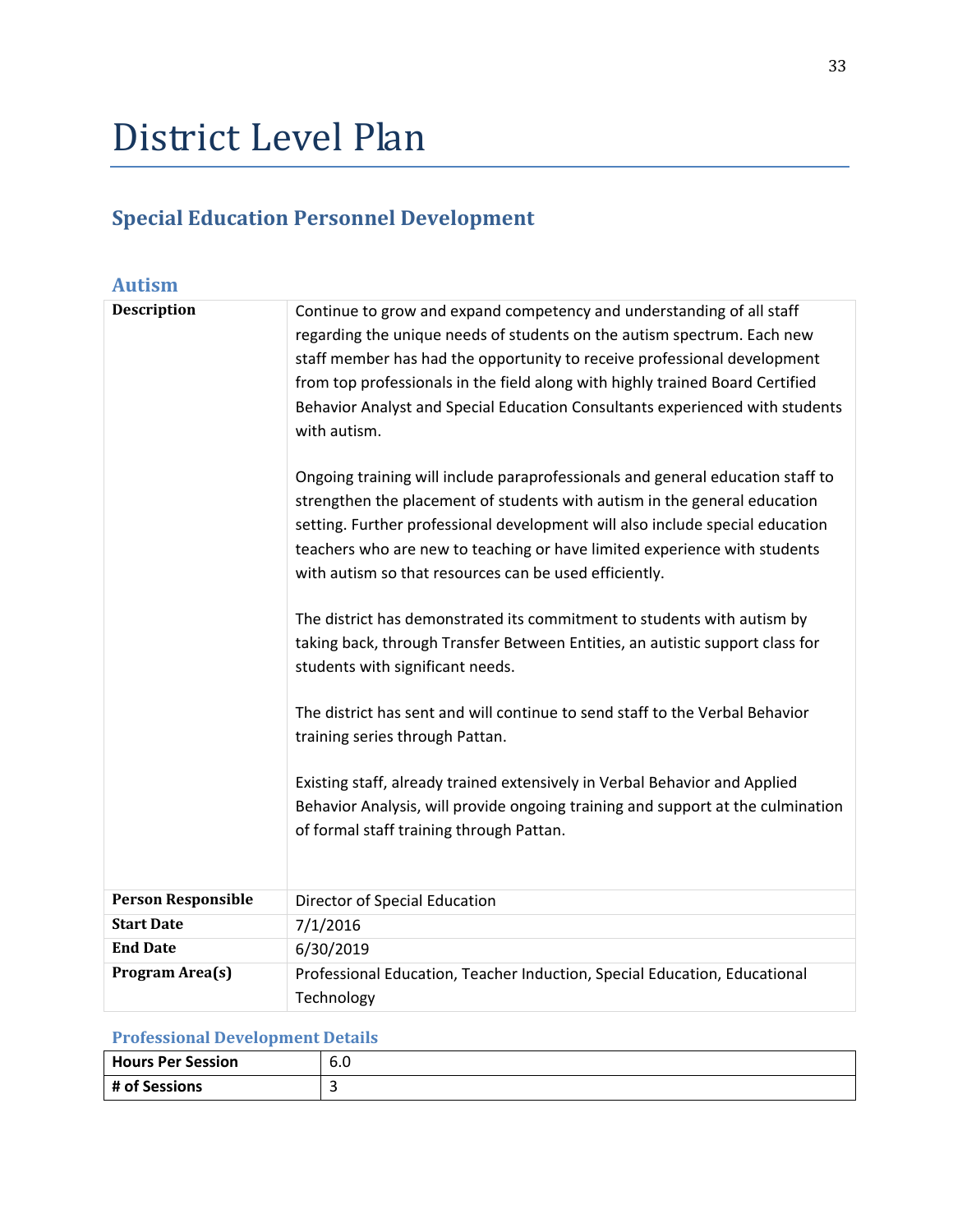# District Level Plan

# **Special Education Personnel Development**

| <b>Autism</b>             |                                                                                                                                                                                                                                              |
|---------------------------|----------------------------------------------------------------------------------------------------------------------------------------------------------------------------------------------------------------------------------------------|
| <b>Description</b>        | Continue to grow and expand competency and understanding of all staff                                                                                                                                                                        |
|                           | regarding the unique needs of students on the autism spectrum. Each new                                                                                                                                                                      |
|                           | staff member has had the opportunity to receive professional development                                                                                                                                                                     |
|                           | from top professionals in the field along with highly trained Board Certified                                                                                                                                                                |
|                           | Behavior Analyst and Special Education Consultants experienced with students<br>with autism.                                                                                                                                                 |
|                           | Ongoing training will include paraprofessionals and general education staff to<br>strengthen the placement of students with autism in the general education<br>setting. Further professional development will also include special education |
|                           | teachers who are new to teaching or have limited experience with students<br>with autism so that resources can be used efficiently.                                                                                                          |
|                           | The district has demonstrated its commitment to students with autism by                                                                                                                                                                      |
|                           | taking back, through Transfer Between Entities, an autistic support class for<br>students with significant needs.                                                                                                                            |
|                           | The district has sent and will continue to send staff to the Verbal Behavior<br>training series through Pattan.                                                                                                                              |
|                           |                                                                                                                                                                                                                                              |
|                           | Existing staff, already trained extensively in Verbal Behavior and Applied                                                                                                                                                                   |
|                           | Behavior Analysis, will provide ongoing training and support at the culmination                                                                                                                                                              |
|                           | of formal staff training through Pattan.                                                                                                                                                                                                     |
| <b>Person Responsible</b> | Director of Special Education                                                                                                                                                                                                                |
| <b>Start Date</b>         | 7/1/2016                                                                                                                                                                                                                                     |
| <b>End Date</b>           | 6/30/2019                                                                                                                                                                                                                                    |
| Program Area(s)           | Professional Education, Teacher Induction, Special Education, Educational                                                                                                                                                                    |
|                           | Technology                                                                                                                                                                                                                                   |

## **Professional Development Details**

| Hours Per Session | o.u |
|-------------------|-----|
| # of Sessions     |     |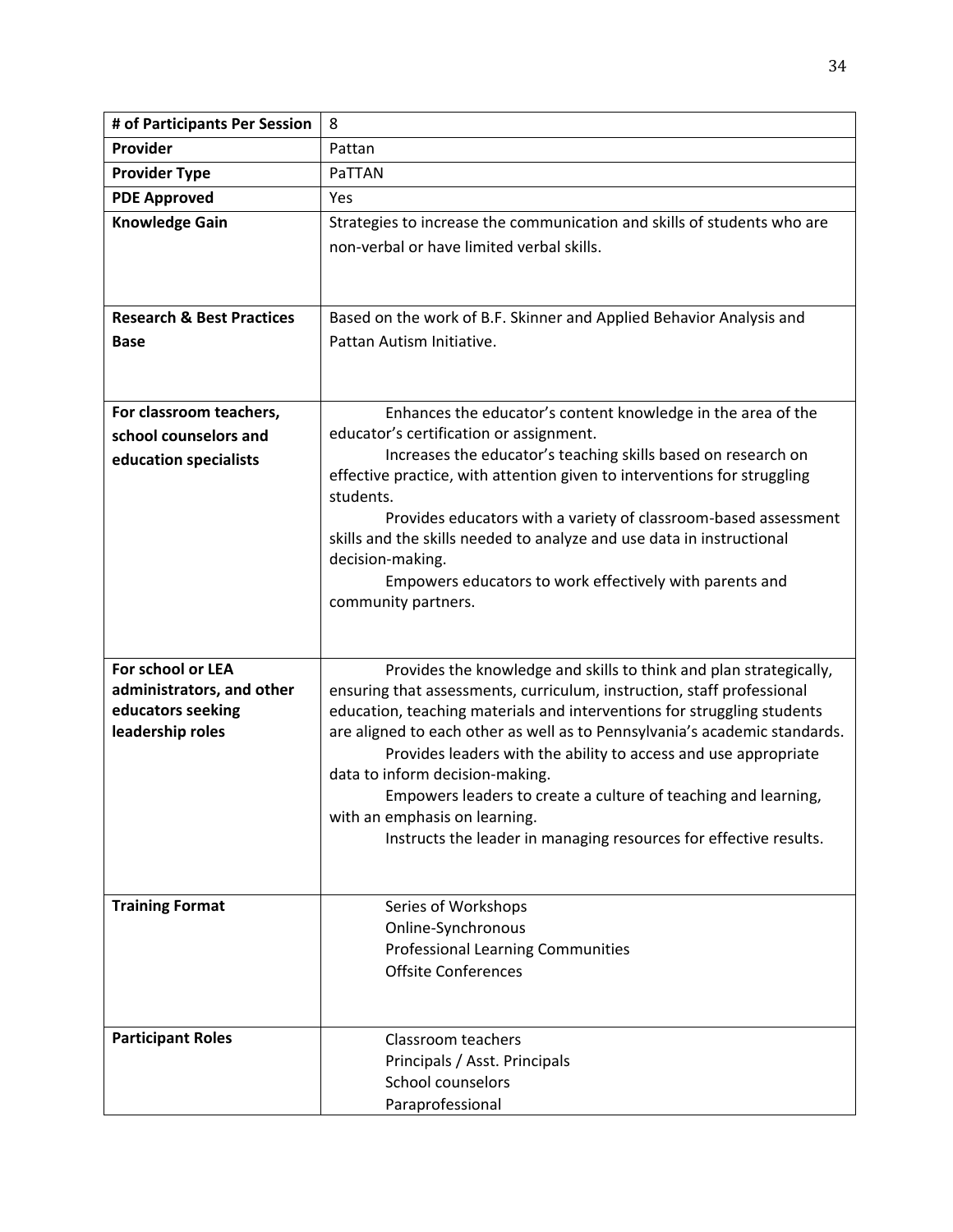| # of Participants Per Session                  | 8                                                                                                                                                 |
|------------------------------------------------|---------------------------------------------------------------------------------------------------------------------------------------------------|
| Provider                                       | Pattan                                                                                                                                            |
| <b>Provider Type</b>                           | PaTTAN                                                                                                                                            |
| <b>PDE Approved</b>                            | Yes                                                                                                                                               |
| <b>Knowledge Gain</b>                          | Strategies to increase the communication and skills of students who are<br>non-verbal or have limited verbal skills.                              |
|                                                |                                                                                                                                                   |
| <b>Research &amp; Best Practices</b>           | Based on the work of B.F. Skinner and Applied Behavior Analysis and                                                                               |
| Base                                           | Pattan Autism Initiative.                                                                                                                         |
|                                                |                                                                                                                                                   |
| For classroom teachers,                        | Enhances the educator's content knowledge in the area of the                                                                                      |
| school counselors and                          | educator's certification or assignment.                                                                                                           |
| education specialists                          | Increases the educator's teaching skills based on research on                                                                                     |
|                                                | effective practice, with attention given to interventions for struggling<br>students.                                                             |
|                                                | Provides educators with a variety of classroom-based assessment                                                                                   |
|                                                | skills and the skills needed to analyze and use data in instructional                                                                             |
|                                                | decision-making.                                                                                                                                  |
|                                                | Empowers educators to work effectively with parents and                                                                                           |
|                                                | community partners.                                                                                                                               |
|                                                |                                                                                                                                                   |
|                                                |                                                                                                                                                   |
| For school or LEA<br>administrators, and other | Provides the knowledge and skills to think and plan strategically,                                                                                |
| educators seeking                              | ensuring that assessments, curriculum, instruction, staff professional<br>education, teaching materials and interventions for struggling students |
| leadership roles                               | are aligned to each other as well as to Pennsylvania's academic standards.                                                                        |
|                                                | Provides leaders with the ability to access and use appropriate                                                                                   |
|                                                | data to inform decision-making.                                                                                                                   |
|                                                | Empowers leaders to create a culture of teaching and learning,                                                                                    |
|                                                | with an emphasis on learning.                                                                                                                     |
|                                                | Instructs the leader in managing resources for effective results.                                                                                 |
|                                                |                                                                                                                                                   |
| <b>Training Format</b>                         | Series of Workshops                                                                                                                               |
|                                                | Online-Synchronous                                                                                                                                |
|                                                | <b>Professional Learning Communities</b>                                                                                                          |
|                                                | <b>Offsite Conferences</b>                                                                                                                        |
|                                                |                                                                                                                                                   |
| <b>Participant Roles</b>                       | Classroom teachers                                                                                                                                |
|                                                | Principals / Asst. Principals                                                                                                                     |
|                                                | School counselors                                                                                                                                 |
|                                                | Paraprofessional                                                                                                                                  |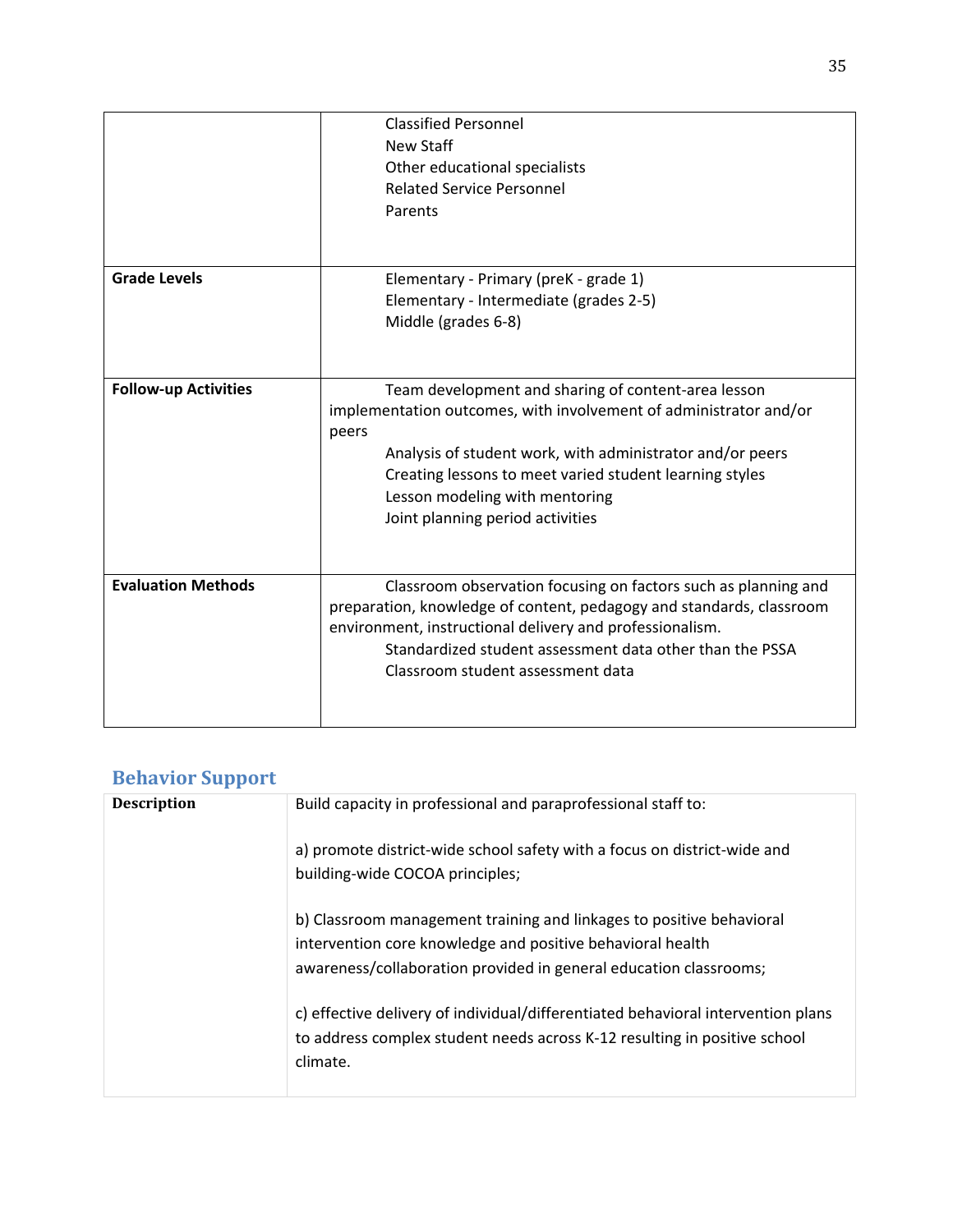|                             | <b>Classified Personnel</b><br><b>New Staff</b><br>Other educational specialists<br><b>Related Service Personnel</b><br>Parents                                                                                                                                                                                                 |
|-----------------------------|---------------------------------------------------------------------------------------------------------------------------------------------------------------------------------------------------------------------------------------------------------------------------------------------------------------------------------|
| <b>Grade Levels</b>         | Elementary - Primary (preK - grade 1)<br>Elementary - Intermediate (grades 2-5)<br>Middle (grades 6-8)                                                                                                                                                                                                                          |
| <b>Follow-up Activities</b> | Team development and sharing of content-area lesson<br>implementation outcomes, with involvement of administrator and/or<br>peers<br>Analysis of student work, with administrator and/or peers<br>Creating lessons to meet varied student learning styles<br>Lesson modeling with mentoring<br>Joint planning period activities |
| <b>Evaluation Methods</b>   | Classroom observation focusing on factors such as planning and<br>preparation, knowledge of content, pedagogy and standards, classroom<br>environment, instructional delivery and professionalism.<br>Standardized student assessment data other than the PSSA<br>Classroom student assessment data                             |

# **Behavior Support**

| <b>Description</b> | Build capacity in professional and paraprofessional staff to:                         |
|--------------------|---------------------------------------------------------------------------------------|
|                    | a) promote district-wide school safety with a focus on district-wide and              |
|                    | building-wide COCOA principles;                                                       |
|                    | b) Classroom management training and linkages to positive behavioral                  |
|                    | intervention core knowledge and positive behavioral health                            |
|                    | awareness/collaboration provided in general education classrooms;                     |
|                    | c) effective delivery of individual/differentiated behavioral intervention plans      |
|                    | to address complex student needs across K-12 resulting in positive school<br>climate. |
|                    |                                                                                       |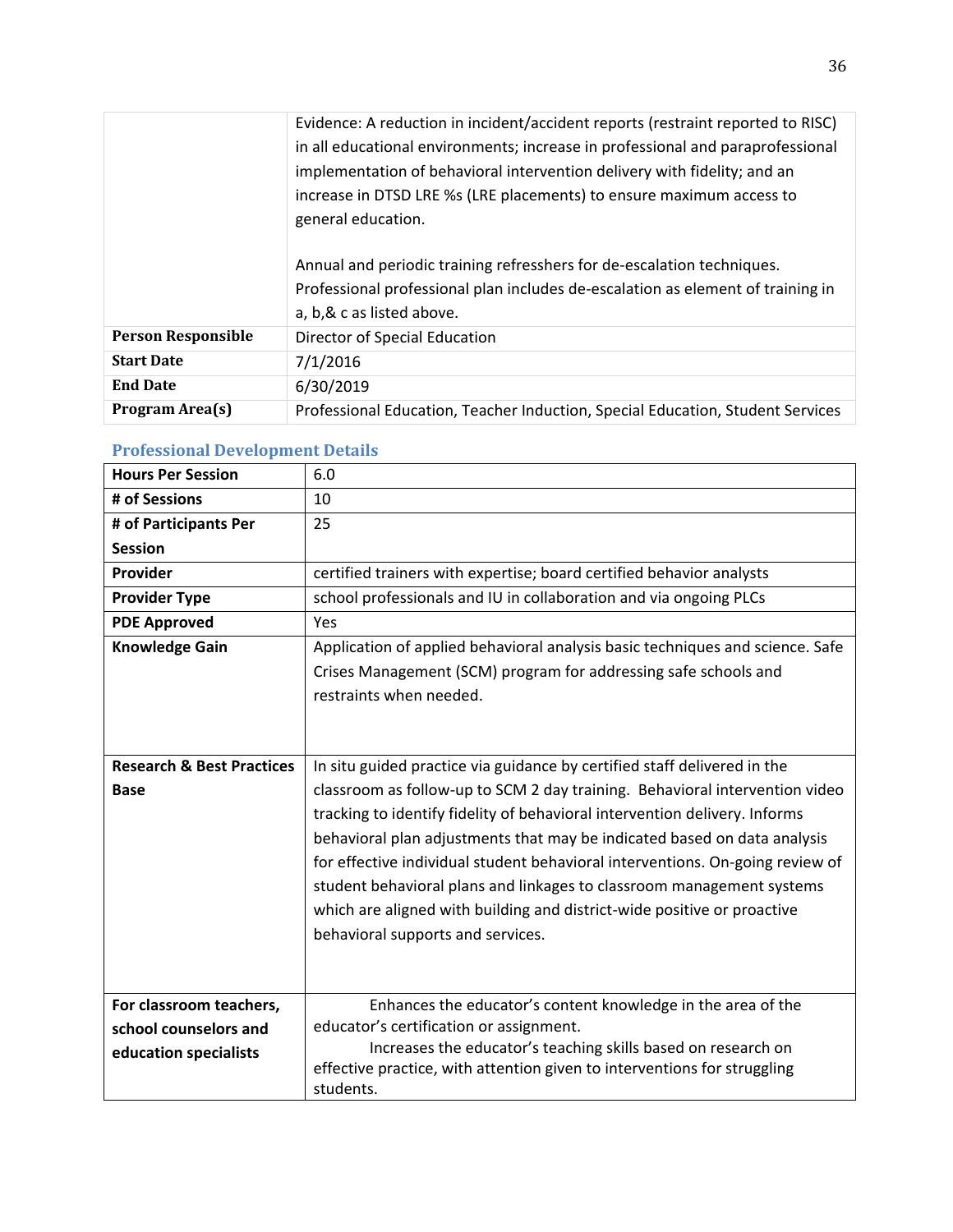|                           | Evidence: A reduction in incident/accident reports (restraint reported to RISC) |
|---------------------------|---------------------------------------------------------------------------------|
|                           | in all educational environments; increase in professional and paraprofessional  |
|                           | implementation of behavioral intervention delivery with fidelity; and an        |
|                           | increase in DTSD LRE %s (LRE placements) to ensure maximum access to            |
|                           | general education.                                                              |
|                           |                                                                                 |
|                           | Annual and periodic training refresshers for de-escalation techniques.          |
|                           | Professional professional plan includes de-escalation as element of training in |
|                           | a, b, & c as listed above.                                                      |
| <b>Person Responsible</b> | Director of Special Education                                                   |
| <b>Start Date</b>         | 7/1/2016                                                                        |
| <b>End Date</b>           | 6/30/2019                                                                       |
| Program Area(s)           | Professional Education, Teacher Induction, Special Education, Student Services  |

| <b>Hours Per Session</b>                                                  | 6.0                                                                                                                                                                                                                                                                                                                                                                                                                                                                                                                                                                                         |
|---------------------------------------------------------------------------|---------------------------------------------------------------------------------------------------------------------------------------------------------------------------------------------------------------------------------------------------------------------------------------------------------------------------------------------------------------------------------------------------------------------------------------------------------------------------------------------------------------------------------------------------------------------------------------------|
| # of Sessions                                                             | 10                                                                                                                                                                                                                                                                                                                                                                                                                                                                                                                                                                                          |
| # of Participants Per                                                     | 25                                                                                                                                                                                                                                                                                                                                                                                                                                                                                                                                                                                          |
| <b>Session</b>                                                            |                                                                                                                                                                                                                                                                                                                                                                                                                                                                                                                                                                                             |
| Provider                                                                  | certified trainers with expertise; board certified behavior analysts                                                                                                                                                                                                                                                                                                                                                                                                                                                                                                                        |
| <b>Provider Type</b>                                                      | school professionals and IU in collaboration and via ongoing PLCs                                                                                                                                                                                                                                                                                                                                                                                                                                                                                                                           |
| <b>PDE Approved</b>                                                       | Yes                                                                                                                                                                                                                                                                                                                                                                                                                                                                                                                                                                                         |
| <b>Knowledge Gain</b>                                                     | Application of applied behavioral analysis basic techniques and science. Safe<br>Crises Management (SCM) program for addressing safe schools and<br>restraints when needed.                                                                                                                                                                                                                                                                                                                                                                                                                 |
| <b>Research &amp; Best Practices</b><br><b>Base</b>                       | In situ guided practice via guidance by certified staff delivered in the<br>classroom as follow-up to SCM 2 day training. Behavioral intervention video<br>tracking to identify fidelity of behavioral intervention delivery. Informs<br>behavioral plan adjustments that may be indicated based on data analysis<br>for effective individual student behavioral interventions. On-going review of<br>student behavioral plans and linkages to classroom management systems<br>which are aligned with building and district-wide positive or proactive<br>behavioral supports and services. |
| For classroom teachers,<br>school counselors and<br>education specialists | Enhances the educator's content knowledge in the area of the<br>educator's certification or assignment.<br>Increases the educator's teaching skills based on research on<br>effective practice, with attention given to interventions for struggling<br>students.                                                                                                                                                                                                                                                                                                                           |

## **Professional Development Details**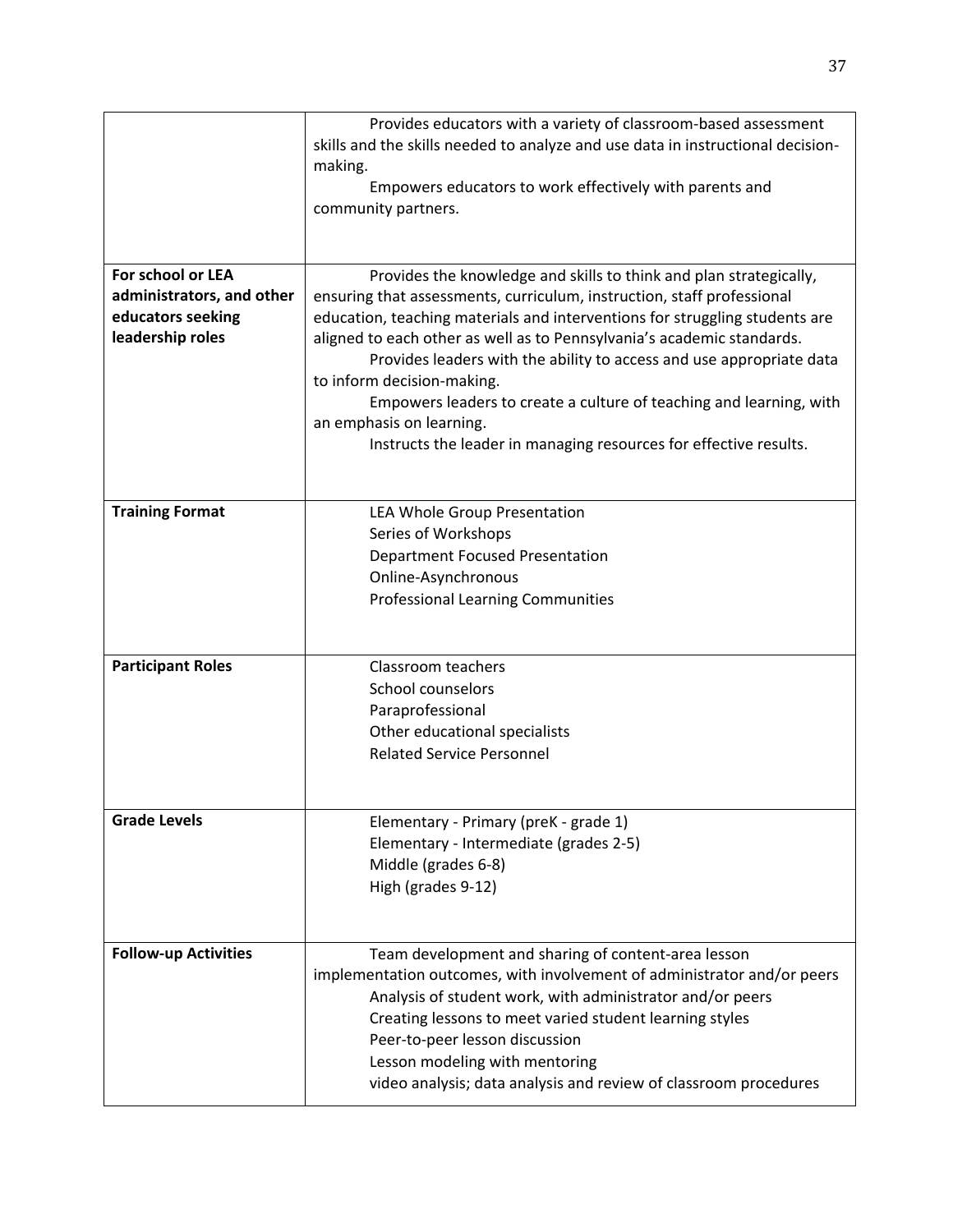|                                                                                         | Provides educators with a variety of classroom-based assessment<br>skills and the skills needed to analyze and use data in instructional decision-<br>making.<br>Empowers educators to work effectively with parents and<br>community partners.                                                                                                                                                                                                                                                                                                                                     |
|-----------------------------------------------------------------------------------------|-------------------------------------------------------------------------------------------------------------------------------------------------------------------------------------------------------------------------------------------------------------------------------------------------------------------------------------------------------------------------------------------------------------------------------------------------------------------------------------------------------------------------------------------------------------------------------------|
| For school or LEA<br>administrators, and other<br>educators seeking<br>leadership roles | Provides the knowledge and skills to think and plan strategically,<br>ensuring that assessments, curriculum, instruction, staff professional<br>education, teaching materials and interventions for struggling students are<br>aligned to each other as well as to Pennsylvania's academic standards.<br>Provides leaders with the ability to access and use appropriate data<br>to inform decision-making.<br>Empowers leaders to create a culture of teaching and learning, with<br>an emphasis on learning.<br>Instructs the leader in managing resources for effective results. |
| <b>Training Format</b>                                                                  | LEA Whole Group Presentation<br>Series of Workshops<br><b>Department Focused Presentation</b><br>Online-Asynchronous<br><b>Professional Learning Communities</b>                                                                                                                                                                                                                                                                                                                                                                                                                    |
| <b>Participant Roles</b>                                                                | Classroom teachers<br>School counselors<br>Paraprofessional<br>Other educational specialists<br><b>Related Service Personnel</b>                                                                                                                                                                                                                                                                                                                                                                                                                                                    |
| <b>Grade Levels</b>                                                                     | Elementary - Primary (preK - grade 1)<br>Elementary - Intermediate (grades 2-5)<br>Middle (grades 6-8)<br>High (grades 9-12)                                                                                                                                                                                                                                                                                                                                                                                                                                                        |
| <b>Follow-up Activities</b>                                                             | Team development and sharing of content-area lesson<br>implementation outcomes, with involvement of administrator and/or peers<br>Analysis of student work, with administrator and/or peers<br>Creating lessons to meet varied student learning styles<br>Peer-to-peer lesson discussion<br>Lesson modeling with mentoring<br>video analysis; data analysis and review of classroom procedures                                                                                                                                                                                      |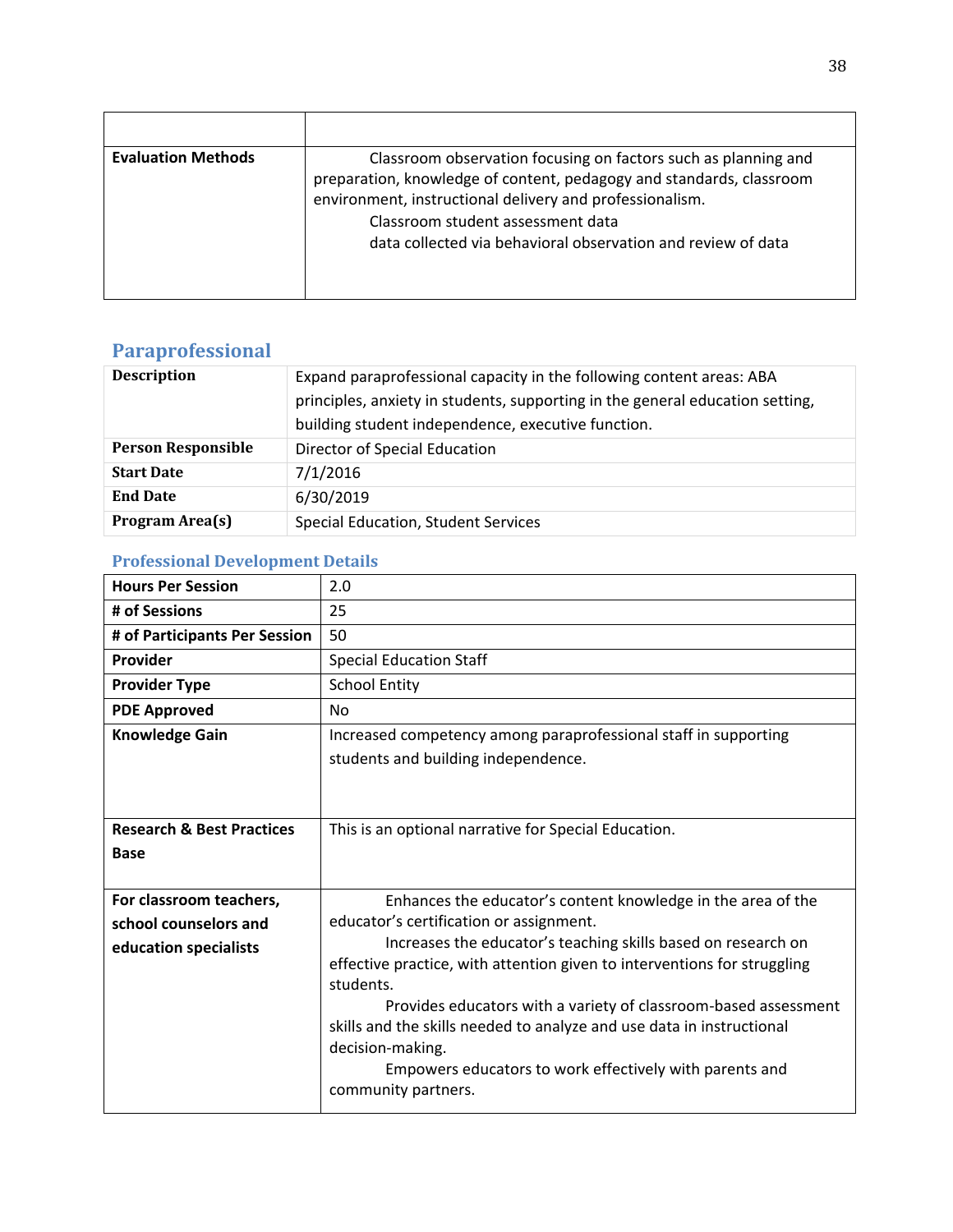| <b>Evaluation Methods</b> | Classroom observation focusing on factors such as planning and<br>preparation, knowledge of content, pedagogy and standards, classroom<br>environment, instructional delivery and professionalism.<br>Classroom student assessment data<br>data collected via behavioral observation and review of data |
|---------------------------|---------------------------------------------------------------------------------------------------------------------------------------------------------------------------------------------------------------------------------------------------------------------------------------------------------|

# **Paraprofessional**

| <b>Description</b>        | Expand paraprofessional capacity in the following content areas: ABA<br>principles, anxiety in students, supporting in the general education setting,<br>building student independence, executive function. |
|---------------------------|-------------------------------------------------------------------------------------------------------------------------------------------------------------------------------------------------------------|
| <b>Person Responsible</b> | Director of Special Education                                                                                                                                                                               |
| <b>Start Date</b>         | 7/1/2016                                                                                                                                                                                                    |
| <b>End Date</b>           | 6/30/2019                                                                                                                                                                                                   |
| Program Area(s)           | <b>Special Education, Student Services</b>                                                                                                                                                                  |

# **Professional Development Details**

| <b>Hours Per Session</b>                                                  | 2.0                                                                                                                                                                                                                                                                                                                                                                                                                                                                                                                 |
|---------------------------------------------------------------------------|---------------------------------------------------------------------------------------------------------------------------------------------------------------------------------------------------------------------------------------------------------------------------------------------------------------------------------------------------------------------------------------------------------------------------------------------------------------------------------------------------------------------|
| # of Sessions                                                             | 25                                                                                                                                                                                                                                                                                                                                                                                                                                                                                                                  |
| # of Participants Per Session                                             | 50                                                                                                                                                                                                                                                                                                                                                                                                                                                                                                                  |
| Provider                                                                  | <b>Special Education Staff</b>                                                                                                                                                                                                                                                                                                                                                                                                                                                                                      |
| <b>Provider Type</b>                                                      | <b>School Entity</b>                                                                                                                                                                                                                                                                                                                                                                                                                                                                                                |
| <b>PDE Approved</b>                                                       | N <sub>0</sub>                                                                                                                                                                                                                                                                                                                                                                                                                                                                                                      |
| <b>Knowledge Gain</b>                                                     | Increased competency among paraprofessional staff in supporting<br>students and building independence.                                                                                                                                                                                                                                                                                                                                                                                                              |
| <b>Research &amp; Best Practices</b><br><b>Base</b>                       | This is an optional narrative for Special Education.                                                                                                                                                                                                                                                                                                                                                                                                                                                                |
| For classroom teachers,<br>school counselors and<br>education specialists | Enhances the educator's content knowledge in the area of the<br>educator's certification or assignment.<br>Increases the educator's teaching skills based on research on<br>effective practice, with attention given to interventions for struggling<br>students.<br>Provides educators with a variety of classroom-based assessment<br>skills and the skills needed to analyze and use data in instructional<br>decision-making.<br>Empowers educators to work effectively with parents and<br>community partners. |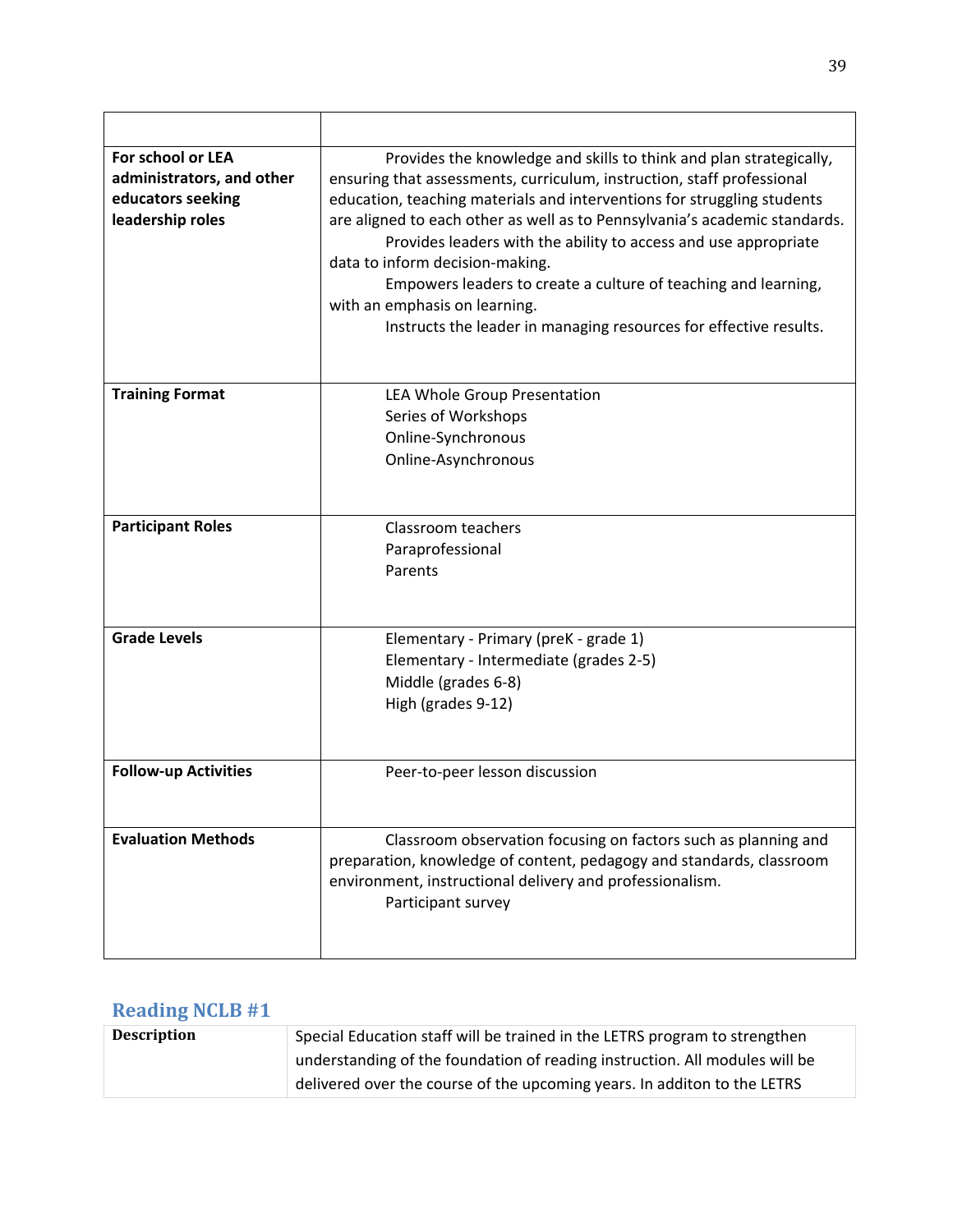| For school or LEA<br>administrators, and other<br>educators seeking<br>leadership roles | Provides the knowledge and skills to think and plan strategically,<br>ensuring that assessments, curriculum, instruction, staff professional<br>education, teaching materials and interventions for struggling students<br>are aligned to each other as well as to Pennsylvania's academic standards.<br>Provides leaders with the ability to access and use appropriate<br>data to inform decision-making.<br>Empowers leaders to create a culture of teaching and learning,<br>with an emphasis on learning.<br>Instructs the leader in managing resources for effective results. |
|-----------------------------------------------------------------------------------------|-------------------------------------------------------------------------------------------------------------------------------------------------------------------------------------------------------------------------------------------------------------------------------------------------------------------------------------------------------------------------------------------------------------------------------------------------------------------------------------------------------------------------------------------------------------------------------------|
| <b>Training Format</b>                                                                  | LEA Whole Group Presentation                                                                                                                                                                                                                                                                                                                                                                                                                                                                                                                                                        |
|                                                                                         | Series of Workshops<br>Online-Synchronous                                                                                                                                                                                                                                                                                                                                                                                                                                                                                                                                           |
|                                                                                         | Online-Asynchronous                                                                                                                                                                                                                                                                                                                                                                                                                                                                                                                                                                 |
|                                                                                         |                                                                                                                                                                                                                                                                                                                                                                                                                                                                                                                                                                                     |
| <b>Participant Roles</b>                                                                | Classroom teachers                                                                                                                                                                                                                                                                                                                                                                                                                                                                                                                                                                  |
|                                                                                         | Paraprofessional<br>Parents                                                                                                                                                                                                                                                                                                                                                                                                                                                                                                                                                         |
|                                                                                         |                                                                                                                                                                                                                                                                                                                                                                                                                                                                                                                                                                                     |
| <b>Grade Levels</b>                                                                     | Elementary - Primary (preK - grade 1)                                                                                                                                                                                                                                                                                                                                                                                                                                                                                                                                               |
|                                                                                         | Elementary - Intermediate (grades 2-5)<br>Middle (grades 6-8)                                                                                                                                                                                                                                                                                                                                                                                                                                                                                                                       |
|                                                                                         | High (grades 9-12)                                                                                                                                                                                                                                                                                                                                                                                                                                                                                                                                                                  |
|                                                                                         |                                                                                                                                                                                                                                                                                                                                                                                                                                                                                                                                                                                     |
| <b>Follow-up Activities</b>                                                             | Peer-to-peer lesson discussion                                                                                                                                                                                                                                                                                                                                                                                                                                                                                                                                                      |
|                                                                                         |                                                                                                                                                                                                                                                                                                                                                                                                                                                                                                                                                                                     |
| <b>Evaluation Methods</b>                                                               | Classroom observation focusing on factors such as planning and<br>preparation, knowledge of content, pedagogy and standards, classroom                                                                                                                                                                                                                                                                                                                                                                                                                                              |
|                                                                                         | environment, instructional delivery and professionalism.                                                                                                                                                                                                                                                                                                                                                                                                                                                                                                                            |
|                                                                                         | Participant survey                                                                                                                                                                                                                                                                                                                                                                                                                                                                                                                                                                  |
|                                                                                         |                                                                                                                                                                                                                                                                                                                                                                                                                                                                                                                                                                                     |

# **Reading NCLB #1**

| <b>Description</b> | Special Education staff will be trained in the LETRS program to strengthen  |
|--------------------|-----------------------------------------------------------------------------|
|                    | understanding of the foundation of reading instruction. All modules will be |
|                    | delivered over the course of the upcoming years. In additon to the LETRS    |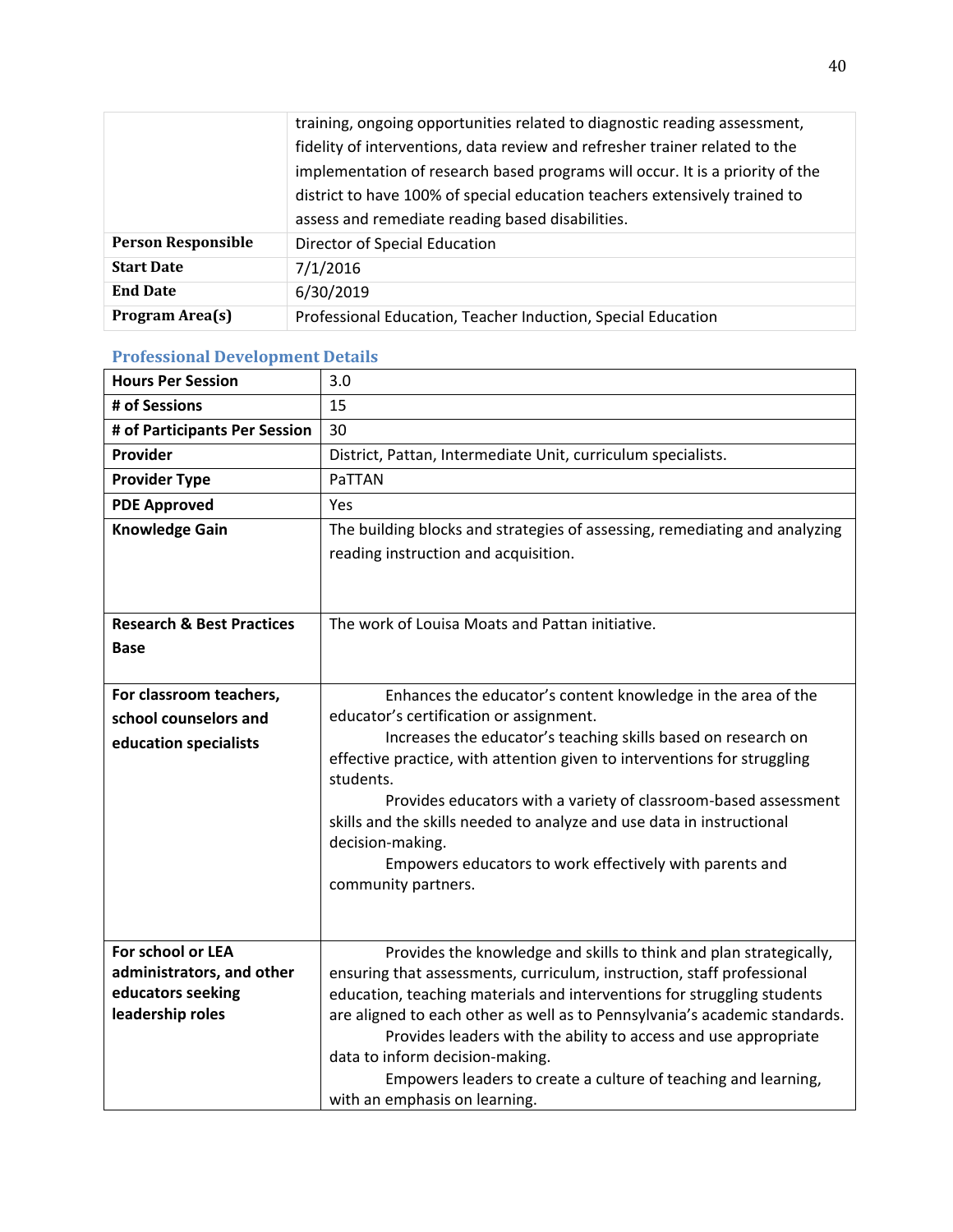|                           | training, ongoing opportunities related to diagnostic reading assessment,     |
|---------------------------|-------------------------------------------------------------------------------|
|                           | fidelity of interventions, data review and refresher trainer related to the   |
|                           | implementation of research based programs will occur. It is a priority of the |
|                           | district to have 100% of special education teachers extensively trained to    |
|                           | assess and remediate reading based disabilities.                              |
| <b>Person Responsible</b> | Director of Special Education                                                 |
| <b>Start Date</b>         | 7/1/2016                                                                      |
| <b>End Date</b>           | 6/30/2019                                                                     |
| Program Area(s)           | Professional Education, Teacher Induction, Special Education                  |

| <b>Hours Per Session</b>                       | 3.0                                                                                                                                               |
|------------------------------------------------|---------------------------------------------------------------------------------------------------------------------------------------------------|
| # of Sessions                                  | 15                                                                                                                                                |
| # of Participants Per Session                  | 30                                                                                                                                                |
| Provider                                       | District, Pattan, Intermediate Unit, curriculum specialists.                                                                                      |
| <b>Provider Type</b>                           | PaTTAN                                                                                                                                            |
| <b>PDE Approved</b>                            | Yes                                                                                                                                               |
| <b>Knowledge Gain</b>                          | The building blocks and strategies of assessing, remediating and analyzing                                                                        |
|                                                | reading instruction and acquisition.                                                                                                              |
|                                                |                                                                                                                                                   |
|                                                |                                                                                                                                                   |
| <b>Research &amp; Best Practices</b>           | The work of Louisa Moats and Pattan initiative.                                                                                                   |
| Base                                           |                                                                                                                                                   |
|                                                |                                                                                                                                                   |
| For classroom teachers,                        | Enhances the educator's content knowledge in the area of the                                                                                      |
| school counselors and                          | educator's certification or assignment.                                                                                                           |
| education specialists                          | Increases the educator's teaching skills based on research on<br>effective practice, with attention given to interventions for struggling         |
|                                                | students.                                                                                                                                         |
|                                                | Provides educators with a variety of classroom-based assessment                                                                                   |
|                                                | skills and the skills needed to analyze and use data in instructional<br>decision-making.                                                         |
|                                                | Empowers educators to work effectively with parents and                                                                                           |
|                                                | community partners.                                                                                                                               |
|                                                |                                                                                                                                                   |
|                                                |                                                                                                                                                   |
| For school or LEA<br>administrators, and other | Provides the knowledge and skills to think and plan strategically,                                                                                |
| educators seeking                              | ensuring that assessments, curriculum, instruction, staff professional<br>education, teaching materials and interventions for struggling students |
| leadership roles                               | are aligned to each other as well as to Pennsylvania's academic standards.                                                                        |
|                                                | Provides leaders with the ability to access and use appropriate                                                                                   |
|                                                | data to inform decision-making.                                                                                                                   |
|                                                | Empowers leaders to create a culture of teaching and learning,                                                                                    |
|                                                | with an emphasis on learning.                                                                                                                     |

# **Professional Development Details**

 $\overline{1}$ 

 $\overline{\phantom{0}}$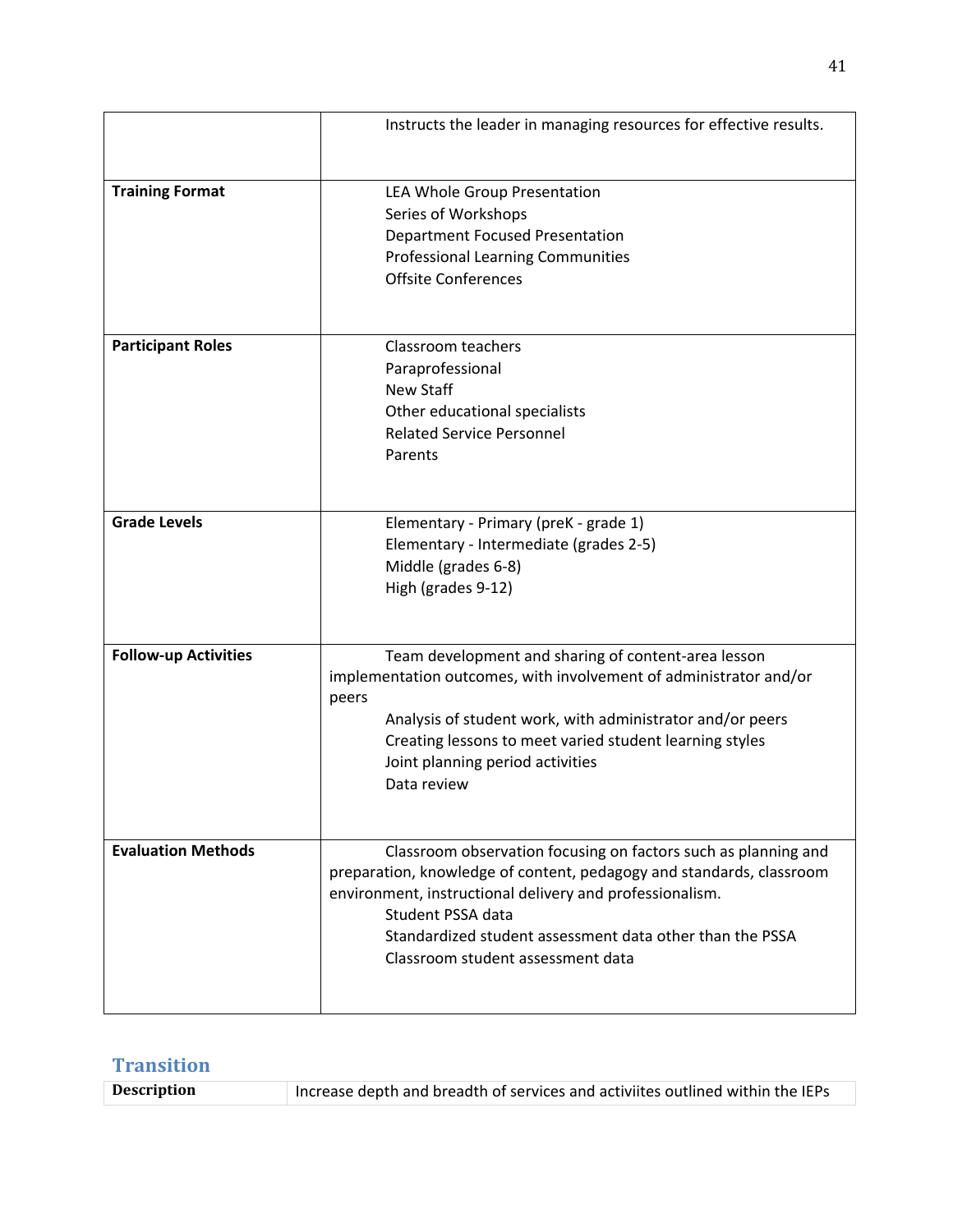|                             | Instructs the leader in managing resources for effective results.                                                                                                                                                                                                                                                        |
|-----------------------------|--------------------------------------------------------------------------------------------------------------------------------------------------------------------------------------------------------------------------------------------------------------------------------------------------------------------------|
| <b>Training Format</b>      | LEA Whole Group Presentation<br>Series of Workshops<br><b>Department Focused Presentation</b><br><b>Professional Learning Communities</b><br><b>Offsite Conferences</b>                                                                                                                                                  |
| <b>Participant Roles</b>    | Classroom teachers<br>Paraprofessional<br><b>New Staff</b><br>Other educational specialists<br><b>Related Service Personnel</b><br>Parents                                                                                                                                                                               |
| <b>Grade Levels</b>         | Elementary - Primary (preK - grade 1)<br>Elementary - Intermediate (grades 2-5)<br>Middle (grades 6-8)<br>High (grades 9-12)                                                                                                                                                                                             |
| <b>Follow-up Activities</b> | Team development and sharing of content-area lesson<br>implementation outcomes, with involvement of administrator and/or<br>peers<br>Analysis of student work, with administrator and/or peers<br>Creating lessons to meet varied student learning styles<br>Joint planning period activities<br>Data review             |
| <b>Evaluation Methods</b>   | Classroom observation focusing on factors such as planning and<br>preparation, knowledge of content, pedagogy and standards, classroom<br>environment, instructional delivery and professionalism.<br>Student PSSA data<br>Standardized student assessment data other than the PSSA<br>Classroom student assessment data |

# **Transition**

| <b>Description</b><br>Increase depth and breadth of services and activiites outlined within the IEPs |  |
|------------------------------------------------------------------------------------------------------|--|
|------------------------------------------------------------------------------------------------------|--|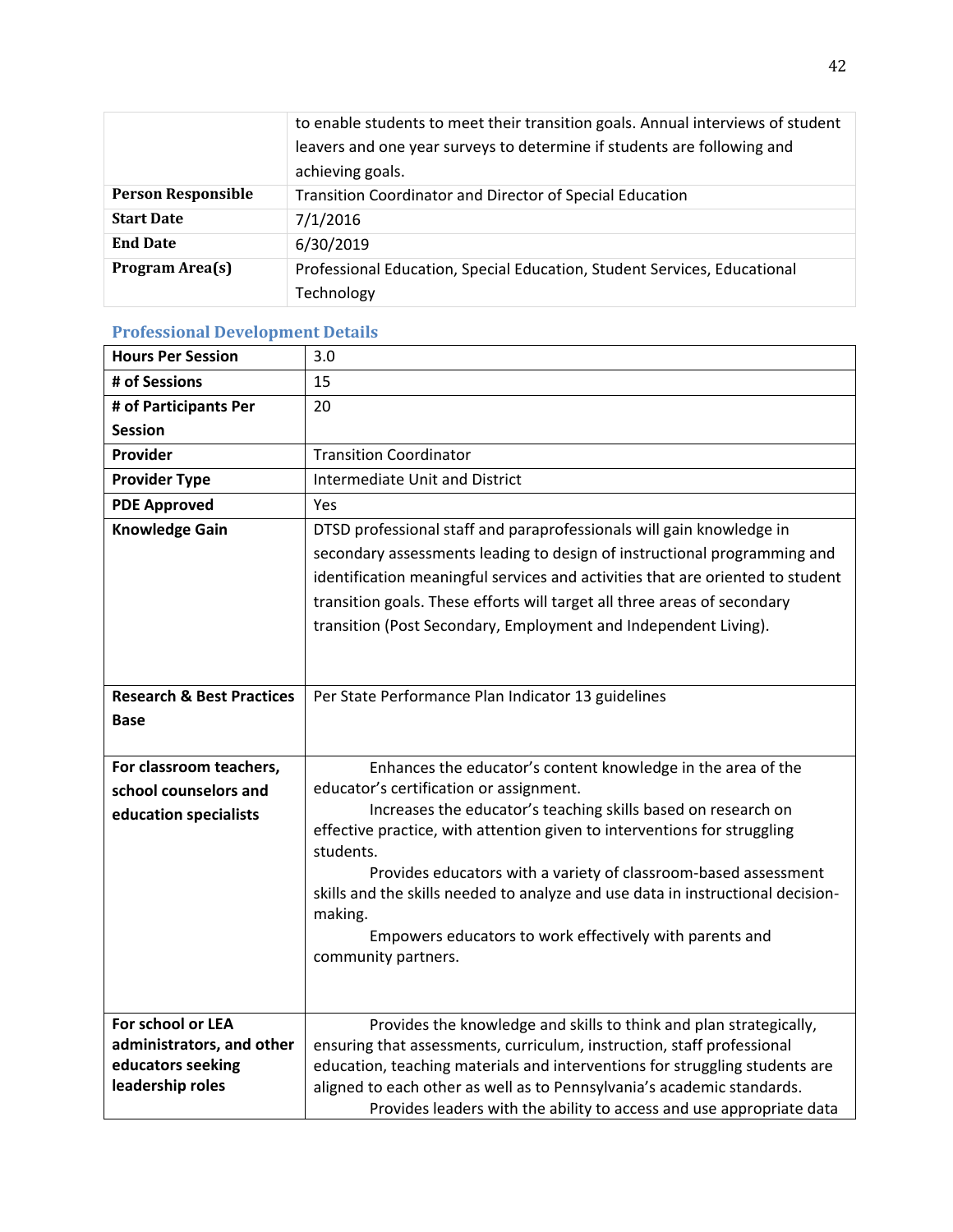|                           | to enable students to meet their transition goals. Annual interviews of student |
|---------------------------|---------------------------------------------------------------------------------|
|                           | leavers and one year surveys to determine if students are following and         |
|                           | achieving goals.                                                                |
| <b>Person Responsible</b> | Transition Coordinator and Director of Special Education                        |
| <b>Start Date</b>         | 7/1/2016                                                                        |
| <b>End Date</b>           | 6/30/2019                                                                       |
| Program Area(s)           | Professional Education, Special Education, Student Services, Educational        |
|                           | Technology                                                                      |

# **Professional Development Details**

| <b>Hours Per Session</b>              | 3.0                                                                                                                                                   |
|---------------------------------------|-------------------------------------------------------------------------------------------------------------------------------------------------------|
| # of Sessions                         | 15                                                                                                                                                    |
| # of Participants Per                 | 20                                                                                                                                                    |
| <b>Session</b>                        |                                                                                                                                                       |
| Provider                              | <b>Transition Coordinator</b>                                                                                                                         |
| <b>Provider Type</b>                  | <b>Intermediate Unit and District</b>                                                                                                                 |
| <b>PDE Approved</b>                   | Yes                                                                                                                                                   |
| <b>Knowledge Gain</b>                 | DTSD professional staff and paraprofessionals will gain knowledge in                                                                                  |
|                                       | secondary assessments leading to design of instructional programming and                                                                              |
|                                       | identification meaningful services and activities that are oriented to student                                                                        |
|                                       | transition goals. These efforts will target all three areas of secondary                                                                              |
|                                       | transition (Post Secondary, Employment and Independent Living).                                                                                       |
|                                       |                                                                                                                                                       |
|                                       |                                                                                                                                                       |
| <b>Research &amp; Best Practices</b>  | Per State Performance Plan Indicator 13 guidelines                                                                                                    |
| Base                                  |                                                                                                                                                       |
|                                       |                                                                                                                                                       |
| For classroom teachers,               | Enhances the educator's content knowledge in the area of the                                                                                          |
| school counselors and                 | educator's certification or assignment.                                                                                                               |
| education specialists                 | Increases the educator's teaching skills based on research on                                                                                         |
|                                       | effective practice, with attention given to interventions for struggling<br>students.                                                                 |
|                                       | Provides educators with a variety of classroom-based assessment                                                                                       |
|                                       | skills and the skills needed to analyze and use data in instructional decision-                                                                       |
|                                       | making.                                                                                                                                               |
|                                       | Empowers educators to work effectively with parents and                                                                                               |
|                                       | community partners.                                                                                                                                   |
|                                       |                                                                                                                                                       |
|                                       |                                                                                                                                                       |
| For school or LEA                     | Provides the knowledge and skills to think and plan strategically,                                                                                    |
| administrators, and other             | ensuring that assessments, curriculum, instruction, staff professional                                                                                |
| educators seeking<br>leadership roles | education, teaching materials and interventions for struggling students are<br>aligned to each other as well as to Pennsylvania's academic standards. |
|                                       | Provides leaders with the ability to access and use appropriate data                                                                                  |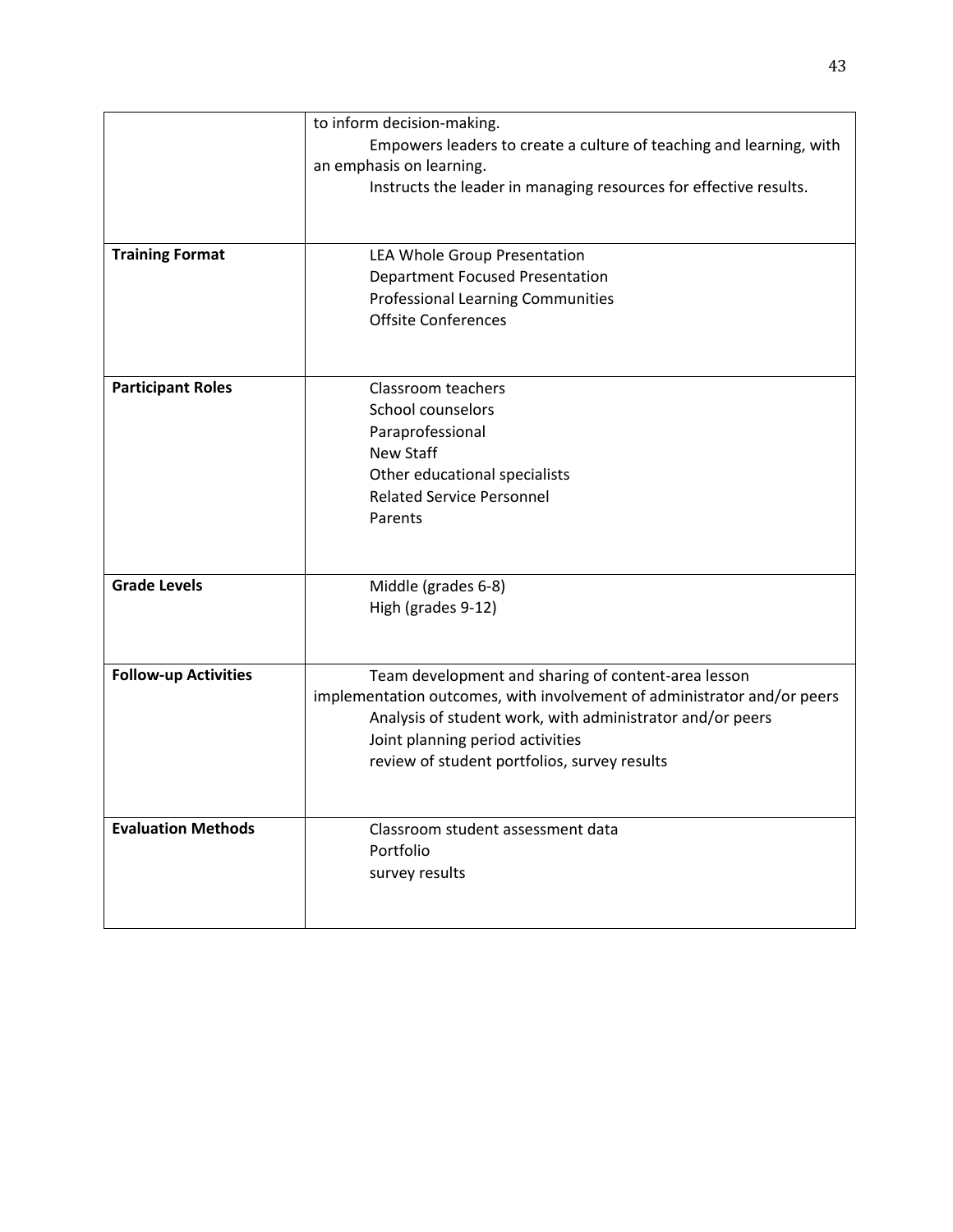|                             | to inform decision-making.                                                                                                           |
|-----------------------------|--------------------------------------------------------------------------------------------------------------------------------------|
|                             | Empowers leaders to create a culture of teaching and learning, with                                                                  |
|                             | an emphasis on learning.                                                                                                             |
|                             | Instructs the leader in managing resources for effective results.                                                                    |
|                             |                                                                                                                                      |
|                             |                                                                                                                                      |
| <b>Training Format</b>      | LEA Whole Group Presentation                                                                                                         |
|                             | <b>Department Focused Presentation</b>                                                                                               |
|                             | <b>Professional Learning Communities</b>                                                                                             |
|                             | <b>Offsite Conferences</b>                                                                                                           |
|                             |                                                                                                                                      |
|                             |                                                                                                                                      |
| <b>Participant Roles</b>    | Classroom teachers                                                                                                                   |
|                             | School counselors                                                                                                                    |
|                             | Paraprofessional                                                                                                                     |
|                             | <b>New Staff</b>                                                                                                                     |
|                             | Other educational specialists                                                                                                        |
|                             | <b>Related Service Personnel</b>                                                                                                     |
|                             | Parents                                                                                                                              |
|                             |                                                                                                                                      |
|                             |                                                                                                                                      |
| <b>Grade Levels</b>         | Middle (grades 6-8)                                                                                                                  |
|                             | High (grades 9-12)                                                                                                                   |
|                             |                                                                                                                                      |
|                             |                                                                                                                                      |
| <b>Follow-up Activities</b> | Team development and sharing of content-area lesson                                                                                  |
|                             | implementation outcomes, with involvement of administrator and/or peers<br>Analysis of student work, with administrator and/or peers |
|                             | Joint planning period activities                                                                                                     |
|                             |                                                                                                                                      |
|                             | review of student portfolios, survey results                                                                                         |
|                             |                                                                                                                                      |
| <b>Evaluation Methods</b>   | Classroom student assessment data                                                                                                    |
|                             | Portfolio                                                                                                                            |
|                             | survey results                                                                                                                       |
|                             |                                                                                                                                      |
|                             |                                                                                                                                      |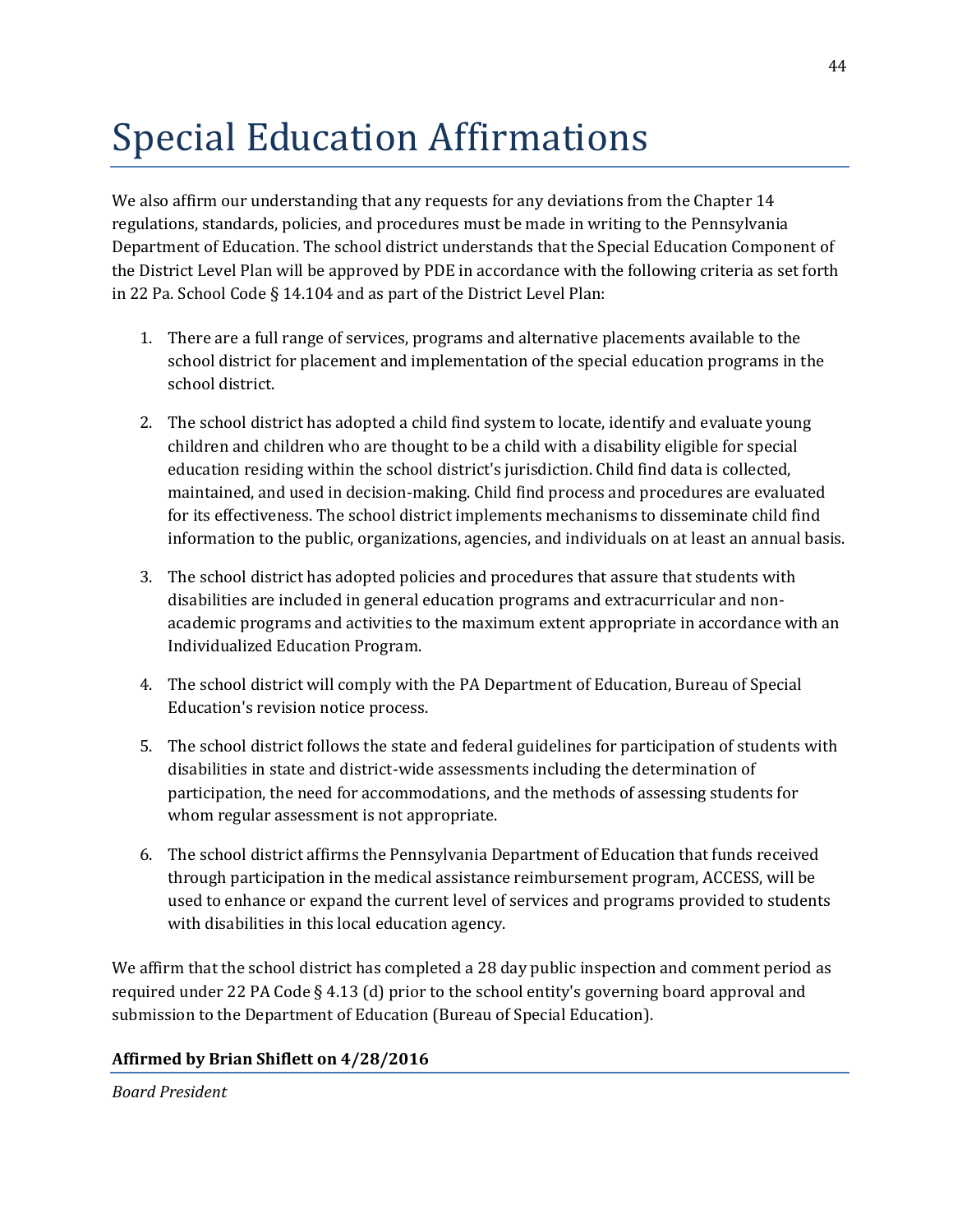# Special Education Affirmations

We also affirm our understanding that any requests for any deviations from the Chapter 14 regulations, standards, policies, and procedures must be made in writing to the Pennsylvania Department of Education. The school district understands that the Special Education Component of the District Level Plan will be approved by PDE in accordance with the following criteria as set forth in 22 Pa. School Code § 14.104 and as part of the District Level Plan:

- 1. There are a full range of services, programs and alternative placements available to the school district for placement and implementation of the special education programs in the school district.
- 2. The school district has adopted a child find system to locate, identify and evaluate young children and children who are thought to be a child with a disability eligible for special education residing within the school district's jurisdiction. Child find data is collected, maintained, and used in decision-making. Child find process and procedures are evaluated for its effectiveness. The school district implements mechanisms to disseminate child find information to the public, organizations, agencies, and individuals on at least an annual basis.
- 3. The school district has adopted policies and procedures that assure that students with disabilities are included in general education programs and extracurricular and nonacademic programs and activities to the maximum extent appropriate in accordance with an Individualized Education Program.
- 4. The school district will comply with the PA Department of Education, Bureau of Special Education's revision notice process.
- 5. The school district follows the state and federal guidelines for participation of students with disabilities in state and district-wide assessments including the determination of participation, the need for accommodations, and the methods of assessing students for whom regular assessment is not appropriate.
- 6. The school district affirms the Pennsylvania Department of Education that funds received through participation in the medical assistance reimbursement program, ACCESS, will be used to enhance or expand the current level of services and programs provided to students with disabilities in this local education agency.

We affirm that the school district has completed a 28 day public inspection and comment period as required under 22 PA Code § 4.13 (d) prior to the school entity's governing board approval and submission to the Department of Education (Bureau of Special Education).

# **Affirmed by Brian Shiflett on 4/28/2016**

*Board President*